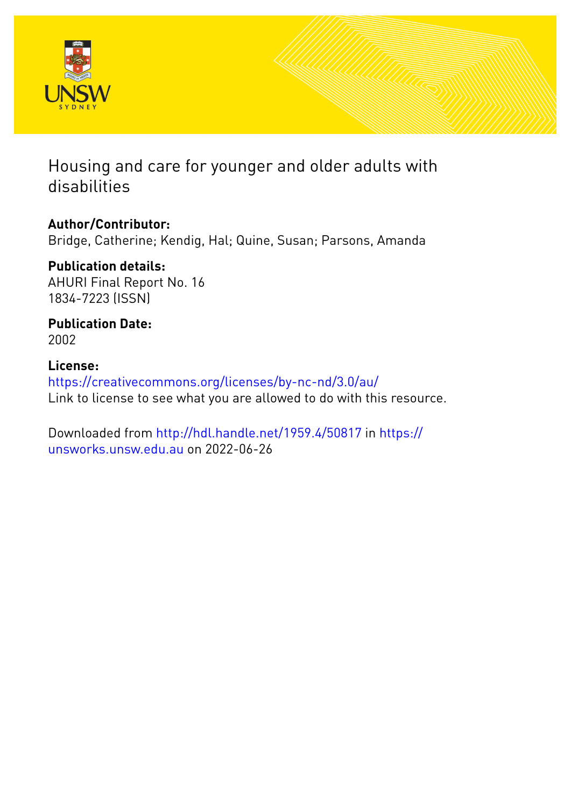

# Housing and care for younger and older adults with disabilities

**Author/Contributor:** Bridge, Catherine; Kendig, Hal; Quine, Susan; Parsons, Amanda

**Publication details:** AHURI Final Report No. 16 1834-7223 (ISSN)

**Publication Date:** 2002

**License:** <https://creativecommons.org/licenses/by-nc-nd/3.0/au/> Link to license to see what you are allowed to do with this resource.

Downloaded from <http://hdl.handle.net/1959.4/50817> in [https://](https://unsworks.unsw.edu.au) [unsworks.unsw.edu.au](https://unsworks.unsw.edu.au) on 2022-06-26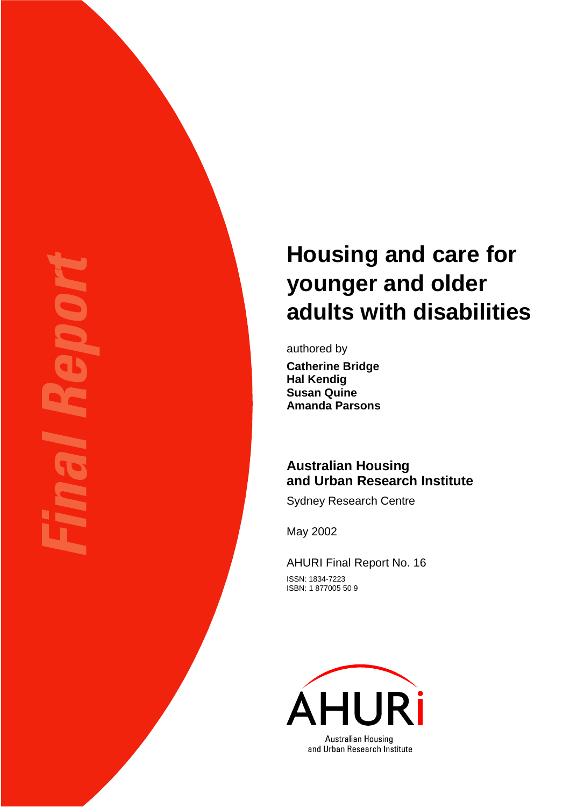# **Housing and care for younger and older adults with disabilities**

authored by **Catherine Bridge Hal Kendig Susan Quine Amanda Parsons** 

# **Australian Housing and Urban Research Institute**

Sydney Research Centre

May 2002

AHURI Final Report No. 16 ISSN: 1834-7223

ISBN: 1 877005 50 9

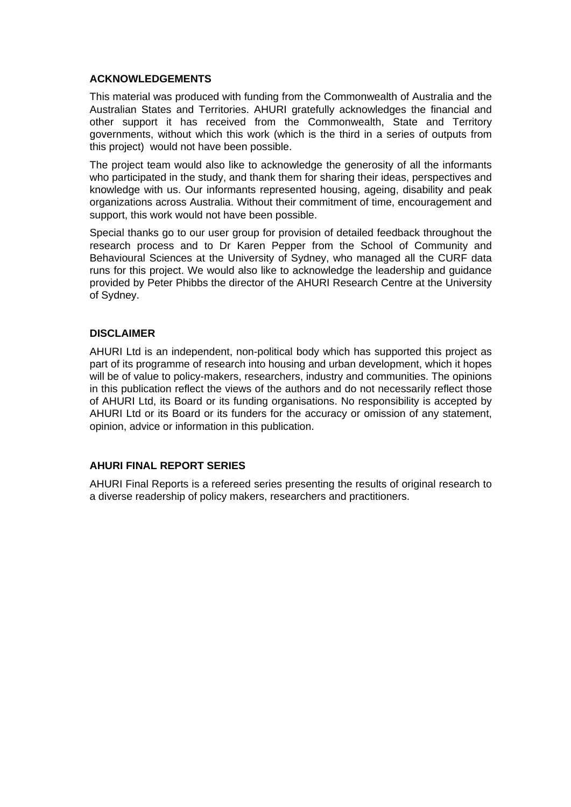#### **ACKNOWLEDGEMENTS**

This material was produced with funding from the Commonwealth of Australia and the Australian States and Territories. AHURI gratefully acknowledges the financial and other support it has received from the Commonwealth, State and Territory governments, without which this work (which is the third in a series of outputs from this project) would not have been possible.

The project team would also like to acknowledge the generosity of all the informants who participated in the study, and thank them for sharing their ideas, perspectives and knowledge with us. Our informants represented housing, ageing, disability and peak organizations across Australia. Without their commitment of time, encouragement and support, this work would not have been possible.

Special thanks go to our user group for provision of detailed feedback throughout the research process and to Dr Karen Pepper from the School of Community and Behavioural Sciences at the University of Sydney, who managed all the CURF data runs for this project. We would also like to acknowledge the leadership and guidance provided by Peter Phibbs the director of the AHURI Research Centre at the University of Sydney.

### **DISCLAIMER**

AHURI Ltd is an independent, non-political body which has supported this project as part of its programme of research into housing and urban development, which it hopes will be of value to policy-makers, researchers, industry and communities. The opinions in this publication reflect the views of the authors and do not necessarily reflect those of AHURI Ltd, its Board or its funding organisations. No responsibility is accepted by AHURI Ltd or its Board or its funders for the accuracy or omission of any statement, opinion, advice or information in this publication.

### **AHURI FINAL REPORT SERIES**

AHURI Final Reports is a refereed series presenting the results of original research to a diverse readership of policy makers, researchers and practitioners.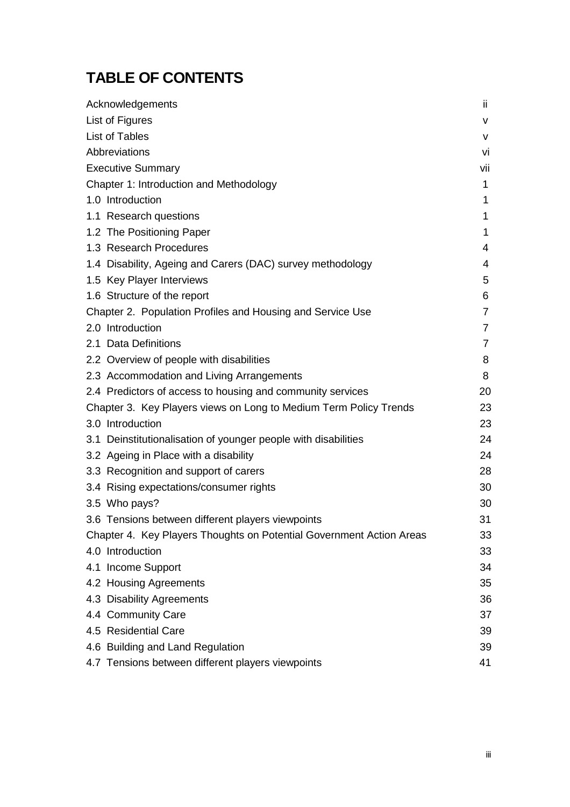# **TABLE OF CONTENTS**

| Acknowledgements                                                     | ii.            |
|----------------------------------------------------------------------|----------------|
| List of Figures                                                      | v              |
| <b>List of Tables</b>                                                | v              |
| Abbreviations                                                        | vi             |
| <b>Executive Summary</b>                                             | vii            |
| Chapter 1: Introduction and Methodology                              | 1              |
| 1.0 Introduction                                                     | 1              |
| 1.1 Research questions                                               | 1              |
| 1.2 The Positioning Paper                                            | 1              |
| 1.3 Research Procedures                                              | 4              |
| 1.4 Disability, Ageing and Carers (DAC) survey methodology           | 4              |
| 1.5 Key Player Interviews                                            | 5              |
| 1.6 Structure of the report                                          | 6              |
| Chapter 2. Population Profiles and Housing and Service Use           | $\overline{7}$ |
| 2.0 Introduction                                                     | $\overline{7}$ |
| 2.1 Data Definitions                                                 | $\overline{7}$ |
| 2.2 Overview of people with disabilities                             | 8              |
| 2.3 Accommodation and Living Arrangements                            | 8              |
| 2.4 Predictors of access to housing and community services           | 20             |
| Chapter 3. Key Players views on Long to Medium Term Policy Trends    | 23             |
| 3.0 Introduction                                                     | 23             |
| 3.1 Deinstitutionalisation of younger people with disabilities       | 24             |
| 3.2 Ageing in Place with a disability                                | 24             |
| 3.3 Recognition and support of carers                                | 28             |
| 3.4 Rising expectations/consumer rights                              | 30             |
| 3.5 Who pays?                                                        | 30             |
| 3.6 Tensions between different players viewpoints                    | 31             |
| Chapter 4. Key Players Thoughts on Potential Government Action Areas | 33             |
| 4.0 Introduction                                                     | 33             |
| 4.1 Income Support                                                   | 34             |
| 4.2 Housing Agreements                                               | 35             |
| 4.3 Disability Agreements                                            | 36             |
| 4.4 Community Care                                                   | 37             |
| 4.5 Residential Care                                                 | 39             |
| 4.6 Building and Land Regulation                                     | 39             |
| 4.7 Tensions between different players viewpoints                    | 41             |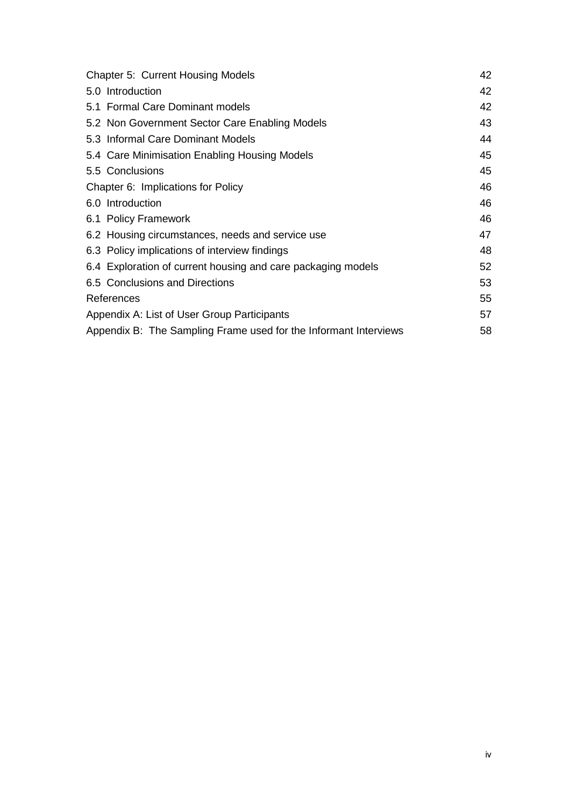| <b>Chapter 5: Current Housing Models</b>                         | 42 |
|------------------------------------------------------------------|----|
| 5.0 Introduction                                                 | 42 |
| 5.1 Formal Care Dominant models                                  | 42 |
| 5.2 Non Government Sector Care Enabling Models                   | 43 |
| 5.3 Informal Care Dominant Models                                | 44 |
| 5.4 Care Minimisation Enabling Housing Models                    | 45 |
| 5.5 Conclusions                                                  | 45 |
| Chapter 6: Implications for Policy                               | 46 |
| 6.0 Introduction                                                 | 46 |
| 6.1 Policy Framework                                             | 46 |
| 6.2 Housing circumstances, needs and service use                 | 47 |
| 6.3 Policy implications of interview findings                    | 48 |
| 6.4 Exploration of current housing and care packaging models     | 52 |
| 6.5 Conclusions and Directions                                   | 53 |
| References                                                       | 55 |
| Appendix A: List of User Group Participants                      | 57 |
| Appendix B: The Sampling Frame used for the Informant Interviews | 58 |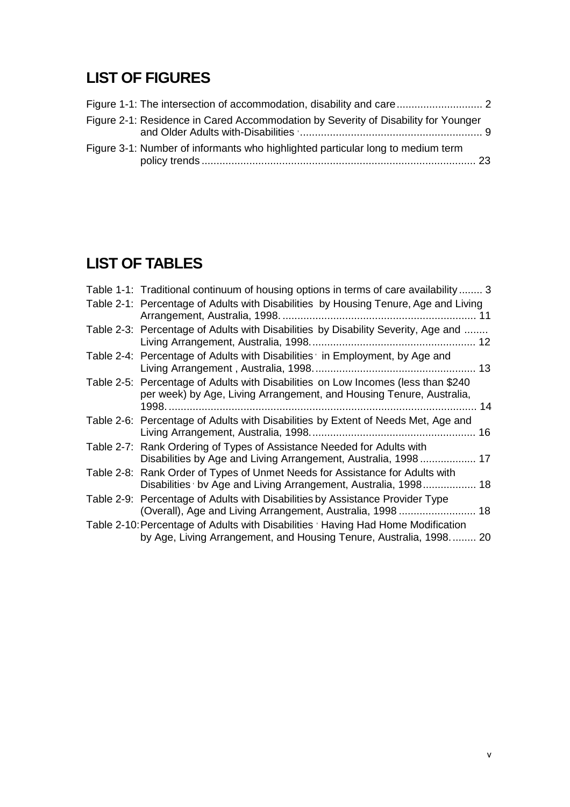# **LIST OF FIGURES**

| Figure 2-1: Residence in Cared Accommodation by Severity of Disability for Younger |  |
|------------------------------------------------------------------------------------|--|
| Figure 3-1: Number of informants who highlighted particular long to medium term    |  |

# **LIST OF TABLES**

| Table 1-1: Traditional continuum of housing options in terms of care availability 3                                                                       |  |
|-----------------------------------------------------------------------------------------------------------------------------------------------------------|--|
| Table 2-1: Percentage of Adults with Disabilities by Housing Tenure, Age and Living                                                                       |  |
| Table 2-3: Percentage of Adults with Disabilities by Disability Severity, Age and                                                                         |  |
| Table 2-4: Percentage of Adults with Disabilities <sup>,</sup> in Employment, by Age and                                                                  |  |
| Table 2-5: Percentage of Adults with Disabilities on Low Incomes (less than \$240<br>per week) by Age, Living Arrangement, and Housing Tenure, Australia, |  |
| Table 2-6: Percentage of Adults with Disabilities by Extent of Needs Met, Age and                                                                         |  |
| Table 2-7: Rank Ordering of Types of Assistance Needed for Adults with<br>Disabilities by Age and Living Arrangement, Australia, 1998 17                  |  |
| Table 2-8: Rank Order of Types of Unmet Needs for Assistance for Adults with<br>Disabilities ' bv Age and Living Arrangement, Australia, 1998 18          |  |
| Table 2-9: Percentage of Adults with Disabilities by Assistance Provider Type<br>(Overall), Age and Living Arrangement, Australia, 1998  18               |  |
| Table 2-10: Percentage of Adults with Disabilities 'Having Had Home Modification<br>by Age, Living Arrangement, and Housing Tenure, Australia, 1998 20    |  |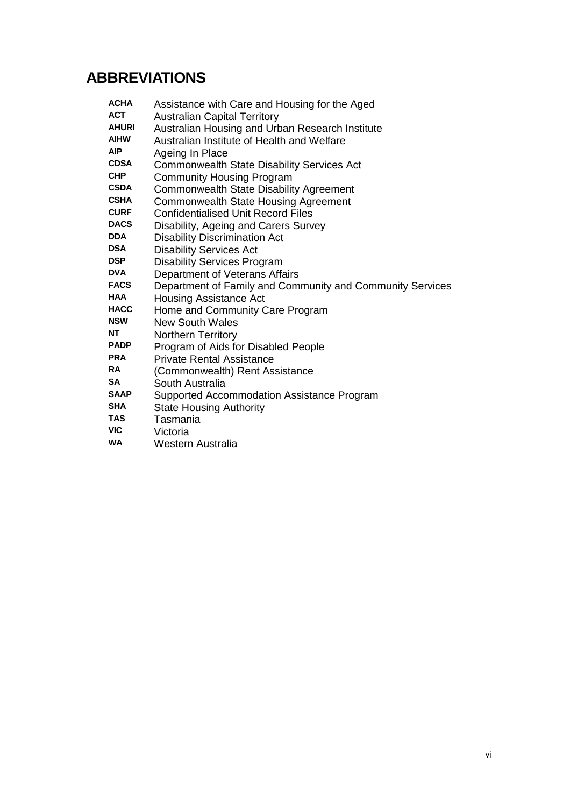# **ABBREVIATIONS**

| ACHA         | Assistance with Care and Housing for the Aged             |
|--------------|-----------------------------------------------------------|
| <b>ACT</b>   | <b>Australian Capital Territory</b>                       |
| <b>AHURI</b> | Australian Housing and Urban Research Institute           |
| AIHW         | Australian Institute of Health and Welfare                |
| AIP.         | Ageing In Place                                           |
| <b>CDSA</b>  | <b>Commonwealth State Disability Services Act</b>         |
| <b>CHP</b>   | <b>Community Housing Program</b>                          |
| <b>CSDA</b>  | Commonwealth State Disability Agreement                   |
| <b>CSHA</b>  | Commonwealth State Housing Agreement                      |
| <b>CURF</b>  | <b>Confidentialised Unit Record Files</b>                 |
| <b>DACS</b>  | Disability, Ageing and Carers Survey                      |
| DDA          | <b>Disability Discrimination Act</b>                      |
| <b>DSA</b>   | <b>Disability Services Act</b>                            |
| DSP          | <b>Disability Services Program</b>                        |
| DVA          | Department of Veterans Affairs                            |
| FACS         | Department of Family and Community and Community Services |
| HAA          | Housing Assistance Act                                    |
| HACC         | Home and Community Care Program                           |
| <b>NSW</b>   | <b>New South Wales</b>                                    |
| NT           | <b>Northern Territory</b>                                 |
| <b>PADP</b>  | Program of Aids for Disabled People                       |
| <b>PRA</b>   | <b>Private Rental Assistance</b>                          |
| RA           | (Commonwealth) Rent Assistance                            |
| SA           | South Australia                                           |
| <b>SAAP</b>  | Supported Accommodation Assistance Program                |
| <b>SHA</b>   | <b>State Housing Authority</b>                            |
| TAS          | Taemania                                                  |

- **TAS** Tasmania<br>**VIC** Victoria
- **VIC** Victoria
- **Western Australia**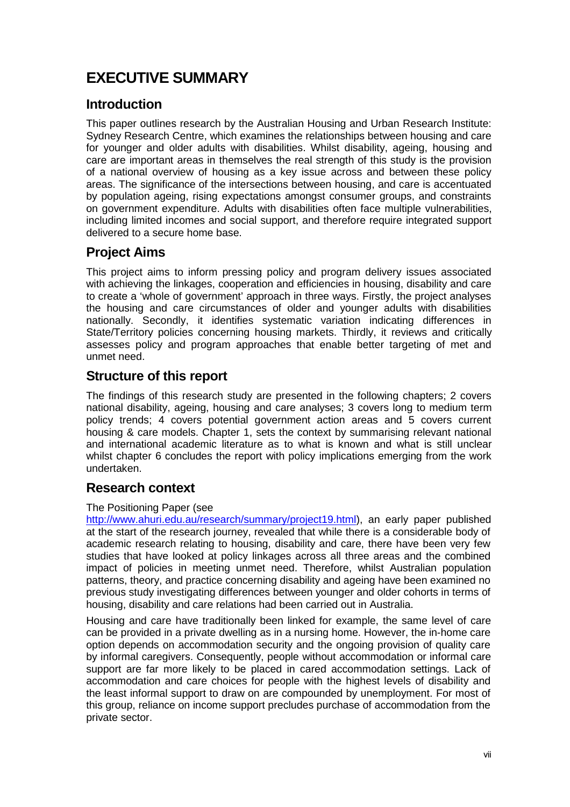# **EXECUTIVE SUMMARY**

### **Introduction**

This paper outlines research by the Australian Housing and Urban Research Institute: Sydney Research Centre, which examines the relationships between housing and care for younger and older adults with disabilities. Whilst disability, ageing, housing and care are important areas in themselves the real strength of this study is the provision of a national overview of housing as a key issue across and between these policy areas. The significance of the intersections between housing, and care is accentuated by population ageing, rising expectations amongst consumer groups, and constraints on government expenditure. Adults with disabilities often face multiple vulnerabilities, including limited incomes and social support, and therefore require integrated support delivered to a secure home base.

# **Project Aims**

This project aims to inform pressing policy and program delivery issues associated with achieving the linkages, cooperation and efficiencies in housing, disability and care to create a 'whole of government' approach in three ways. Firstly, the project analyses the housing and care circumstances of older and younger adults with disabilities nationally. Secondly, it identifies systematic variation indicating differences in State/Territory policies concerning housing markets. Thirdly, it reviews and critically assesses policy and program approaches that enable better targeting of met and unmet need.

### **Structure of this report**

The findings of this research study are presented in the following chapters; 2 covers national disability, ageing, housing and care analyses; 3 covers long to medium term policy trends; 4 covers potential government action areas and 5 covers current housing & care models. Chapter 1, sets the context by summarising relevant national and international academic literature as to what is known and what is still unclear whilst chapter 6 concludes the report with policy implications emerging from the work undertaken.

### **Research context**

### The Positioning Paper (see

http://www.ahuri.edu.au/research/summary/project19.html), an early paper published at the start of the research journey, revealed that while there is a considerable body of academic research relating to housing, disability and care, there have been very few studies that have looked at policy linkages across all three areas and the combined impact of policies in meeting unmet need. Therefore, whilst Australian population patterns, theory, and practice concerning disability and ageing have been examined no previous study investigating differences between younger and older cohorts in terms of housing, disability and care relations had been carried out in Australia.

Housing and care have traditionally been linked for example, the same level of care can be provided in a private dwelling as in a nursing home. However, the in-home care option depends on accommodation security and the ongoing provision of quality care by informal caregivers. Consequently, people without accommodation or informal care support are far more likely to be placed in cared accommodation settings. Lack of accommodation and care choices for people with the highest levels of disability and the least informal support to draw on are compounded by unemployment. For most of this group, reliance on income support precludes purchase of accommodation from the private sector.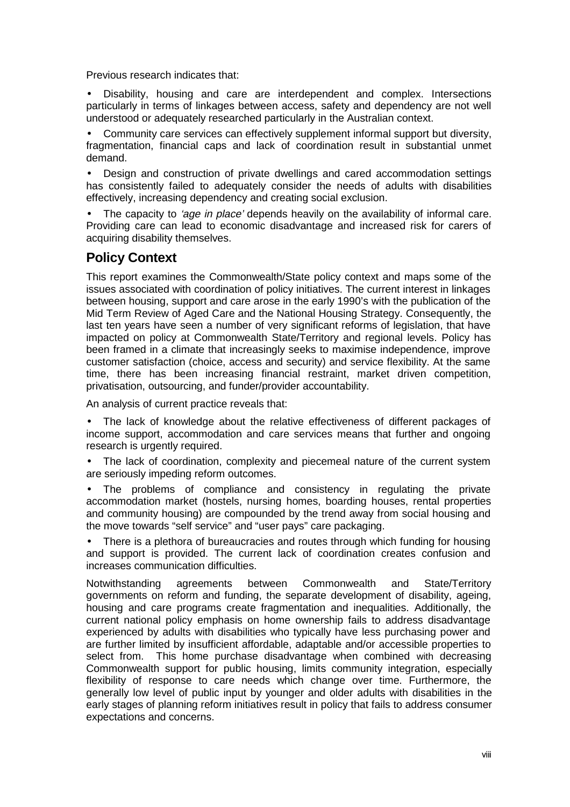Previous research indicates that:

• Disability, housing and care are interdependent and complex. Intersections particularly in terms of linkages between access, safety and dependency are not well understood or adequately researched particularly in the Australian context.

• Community care services can effectively supplement informal support but diversity, fragmentation, financial caps and lack of coordination result in substantial unmet demand.

• Design and construction of private dwellings and cared accommodation settings has consistently failed to adequately consider the needs of adults with disabilities effectively, increasing dependency and creating social exclusion.

The capacity to 'age in place' depends heavily on the availability of informal care. Providing care can lead to economic disadvantage and increased risk for carers of acquiring disability themselves.

### **Policy Context**

This report examines the Commonwealth/State policy context and maps some of the issues associated with coordination of policy initiatives. The current interest in linkages between housing, support and care arose in the early 1990's with the publication of the Mid Term Review of Aged Care and the National Housing Strategy. Consequently, the last ten years have seen a number of very significant reforms of legislation, that have impacted on policy at Commonwealth State/Territory and regional levels. Policy has been framed in a climate that increasingly seeks to maximise independence, improve customer satisfaction (choice, access and security) and service flexibility. At the same time, there has been increasing financial restraint, market driven competition, privatisation, outsourcing, and funder/provider accountability.

An analysis of current practice reveals that:

• The lack of knowledge about the relative effectiveness of different packages of income support, accommodation and care services means that further and ongoing research is urgently required.

• The lack of coordination, complexity and piecemeal nature of the current system are seriously impeding reform outcomes.

• The problems of compliance and consistency in regulating the private accommodation market (hostels, nursing homes, boarding houses, rental properties and community housing) are compounded by the trend away from social housing and the move towards "self service" and "user pays" care packaging.

• There is a plethora of bureaucracies and routes through which funding for housing and support is provided. The current lack of coordination creates confusion and increases communication difficulties.

Notwithstanding agreements between Commonwealth and State/Territory governments on reform and funding, the separate development of disability, ageing, housing and care programs create fragmentation and inequalities. Additionally, the current national policy emphasis on home ownership fails to address disadvantage experienced by adults with disabilities who typically have less purchasing power and are further limited by insufficient affordable, adaptable and/or accessible properties to select from. This home purchase disadvantage when combined with decreasing Commonwealth support for public housing, limits community integration, especially flexibility of response to care needs which change over time. Furthermore, the generally low level of public input by younger and older adults with disabilities in the early stages of planning reform initiatives result in policy that fails to address consumer expectations and concerns.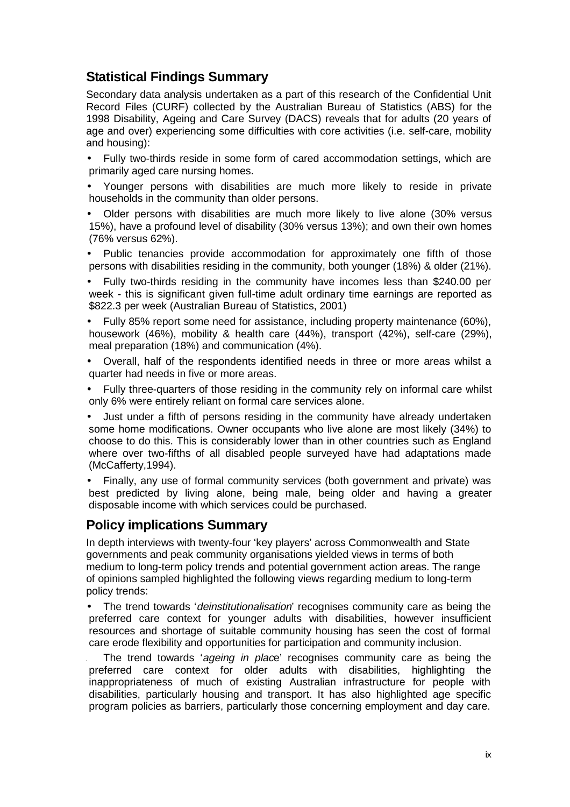# **Statistical Findings Summary**

Secondary data analysis undertaken as a part of this research of the Confidential Unit Record Files (CURF) collected by the Australian Bureau of Statistics (ABS) for the 1998 Disability, Ageing and Care Survey (DACS) reveals that for adults (20 years of age and over) experiencing some difficulties with core activities (i.e. self-care, mobility and housing):

- Fully two-thirds reside in some form of cared accommodation settings, which are primarily aged care nursing homes.
- Younger persons with disabilities are much more likely to reside in private households in the community than older persons.
- Older persons with disabilities are much more likely to live alone (30% versus 15%), have a profound level of disability (30% versus 13%); and own their own homes (76% versus 62%).
- Public tenancies provide accommodation for approximately one fifth of those persons with disabilities residing in the community, both younger (18%) & older (21%).
- Fully two-thirds residing in the community have incomes less than \$240.00 per week - this is significant given full-time adult ordinary time earnings are reported as \$822.3 per week (Australian Bureau of Statistics, 2001)
- Fully 85% report some need for assistance, including property maintenance (60%), housework (46%), mobility & health care (44%), transport (42%), self-care (29%), meal preparation (18%) and communication (4%).
- Overall, half of the respondents identified needs in three or more areas whilst a quarter had needs in five or more areas.
- Fully three-quarters of those residing in the community rely on informal care whilst only 6% were entirely reliant on formal care services alone.
- Just under a fifth of persons residing in the community have already undertaken some home modifications. Owner occupants who live alone are most likely (34%) to choose to do this. This is considerably lower than in other countries such as England where over two-fifths of all disabled people surveyed have had adaptations made (McCafferty,1994).
- Finally, any use of formal community services (both government and private) was best predicted by living alone, being male, being older and having a greater disposable income with which services could be purchased.

# **Policy implications Summary**

In depth interviews with twenty-four 'key players' across Commonwealth and State governments and peak community organisations yielded views in terms of both medium to long-term policy trends and potential government action areas. The range of opinions sampled highlighted the following views regarding medium to long-term policy trends:

• The trend towards '*deinstitutionalisation*' recognises community care as being the preferred care context for younger adults with disabilities, however insufficient resources and shortage of suitable community housing has seen the cost of formal care erode flexibility and opportunities for participation and community inclusion.

The trend towards 'ageing in place' recognises community care as being the preferred care context for older adults with disabilities, highlighting the inappropriateness of much of existing Australian infrastructure for people with disabilities, particularly housing and transport. It has also highlighted age specific program policies as barriers, particularly those concerning employment and day care.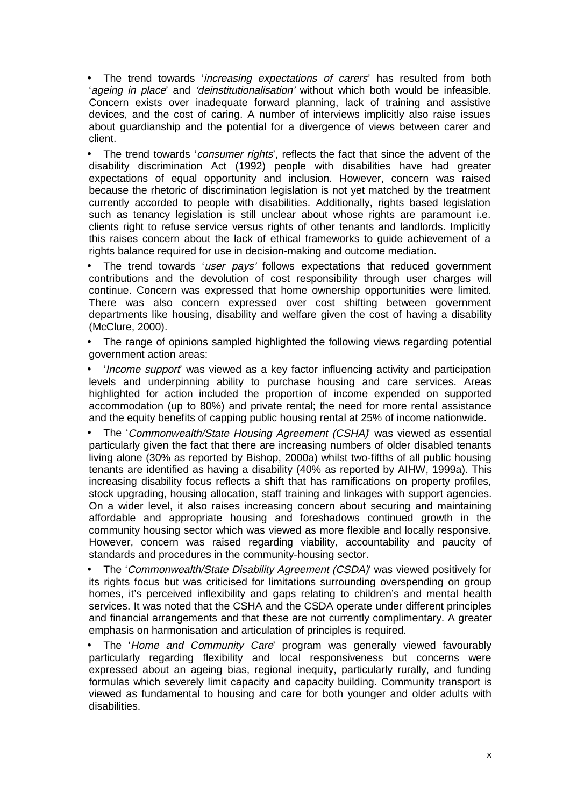• The trend towards 'increasing expectations of carers' has resulted from both 'ageing in place' and 'deinstitutionalisation' without which both would be infeasible. Concern exists over inadequate forward planning, lack of training and assistive devices, and the cost of caring. A number of interviews implicitly also raise issues about guardianship and the potential for a divergence of views between carer and client.

The trend towards 'consumer rights', reflects the fact that since the advent of the disability discrimination Act (1992) people with disabilities have had greater expectations of equal opportunity and inclusion. However, concern was raised because the rhetoric of discrimination legislation is not yet matched by the treatment currently accorded to people with disabilities. Additionally, rights based legislation such as tenancy legislation is still unclear about whose rights are paramount i.e. clients right to refuse service versus rights of other tenants and landlords. Implicitly this raises concern about the lack of ethical frameworks to guide achievement of a rights balance required for use in decision-making and outcome mediation.

• The trend towards 'user pays' follows expectations that reduced government contributions and the devolution of cost responsibility through user charges will continue. Concern was expressed that home ownership opportunities were limited. There was also concern expressed over cost shifting between government departments like housing, disability and welfare given the cost of having a disability (McClure, 2000).

• The range of opinions sampled highlighted the following views regarding potential government action areas:

• 'Income support' was viewed as a key factor influencing activity and participation levels and underpinning ability to purchase housing and care services. Areas highlighted for action included the proportion of income expended on supported accommodation (up to 80%) and private rental; the need for more rental assistance and the equity benefits of capping public housing rental at 25% of income nationwide.

• The 'Commonwealth/State Housing Agreement (CSHA)' was viewed as essential particularly given the fact that there are increasing numbers of older disabled tenants living alone (30% as reported by Bishop, 2000a) whilst two-fifths of all public housing tenants are identified as having a disability (40% as reported by AIHW, 1999a). This increasing disability focus reflects a shift that has ramifications on property profiles, stock upgrading, housing allocation, staff training and linkages with support agencies. On a wider level, it also raises increasing concern about securing and maintaining affordable and appropriate housing and foreshadows continued growth in the community housing sector which was viewed as more flexible and locally responsive. However, concern was raised regarding viability, accountability and paucity of standards and procedures in the community-housing sector.

• The 'Commonwealth/State Disability Agreement (CSDA)' was viewed positively for its rights focus but was criticised for limitations surrounding overspending on group homes, it's perceived inflexibility and gaps relating to children's and mental health services. It was noted that the CSHA and the CSDA operate under different principles and financial arrangements and that these are not currently complimentary. A greater emphasis on harmonisation and articulation of principles is required.

The 'Home and Community Care' program was generally viewed favourably particularly regarding flexibility and local responsiveness but concerns were expressed about an ageing bias, regional inequity, particularly rurally, and funding formulas which severely limit capacity and capacity building. Community transport is viewed as fundamental to housing and care for both younger and older adults with disabilities.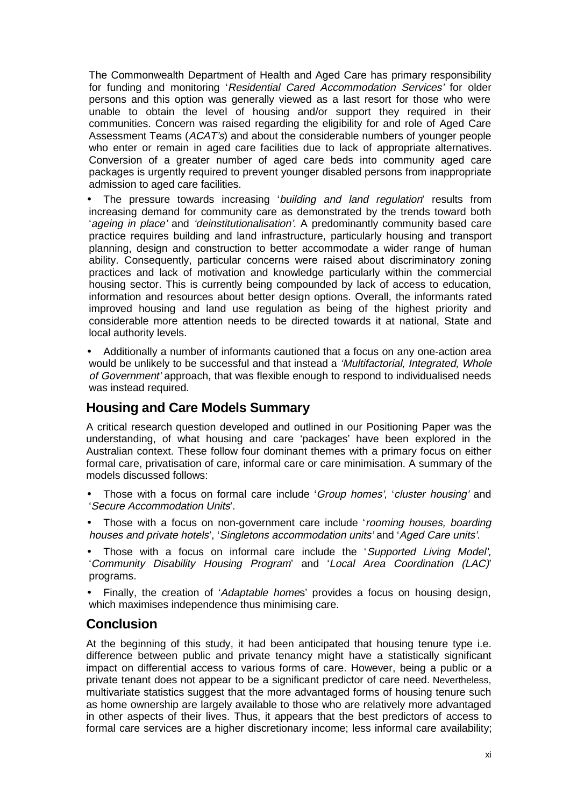The Commonwealth Department of Health and Aged Care has primary responsibility for funding and monitoring 'Residential Cared Accommodation Services' for older persons and this option was generally viewed as a last resort for those who were unable to obtain the level of housing and/or support they required in their communities. Concern was raised regarding the eligibility for and role of Aged Care Assessment Teams (ACAT's) and about the considerable numbers of younger people who enter or remain in aged care facilities due to lack of appropriate alternatives. Conversion of a greater number of aged care beds into community aged care packages is urgently required to prevent younger disabled persons from inappropriate admission to aged care facilities.

• The pressure towards increasing 'building and land regulation' results from increasing demand for community care as demonstrated by the trends toward both 'ageing in place' and 'deinstitutionalisation'. A predominantly community based care practice requires building and land infrastructure, particularly housing and transport planning, design and construction to better accommodate a wider range of human ability. Consequently, particular concerns were raised about discriminatory zoning practices and lack of motivation and knowledge particularly within the commercial housing sector. This is currently being compounded by lack of access to education, information and resources about better design options. Overall, the informants rated improved housing and land use regulation as being of the highest priority and considerable more attention needs to be directed towards it at national, State and local authority levels.

• Additionally a number of informants cautioned that a focus on any one-action area would be unlikely to be successful and that instead a 'Multifactorial, Integrated, Whole of Government' approach, that was flexible enough to respond to individualised needs was instead required.

### **Housing and Care Models Summary**

A critical research question developed and outlined in our Positioning Paper was the understanding, of what housing and care 'packages' have been explored in the Australian context. These follow four dominant themes with a primary focus on either formal care, privatisation of care, informal care or care minimisation. A summary of the models discussed follows:

- Those with a focus on formal care include 'Group homes', 'cluster housing' and 'Secure Accommodation Units'.
- Those with a focus on non-government care include 'rooming houses, boarding houses and private hotels', 'Singletons accommodation units' and 'Aged Care units'.
- Those with a focus on informal care include the 'Supported Living Model'. 'Community Disability Housing Program' and 'Local Area Coordination (LAC)' programs.

• Finally, the creation of 'Adaptable homes' provides a focus on housing design, which maximises independence thus minimising care.

### **Conclusion**

At the beginning of this study, it had been anticipated that housing tenure type i.e. difference between public and private tenancy might have a statistically significant impact on differential access to various forms of care. However, being a public or a private tenant does not appear to be a significant predictor of care need. Nevertheless, multivariate statistics suggest that the more advantaged forms of housing tenure such as home ownership are largely available to those who are relatively more advantaged in other aspects of their lives. Thus, it appears that the best predictors of access to formal care services are a higher discretionary income; less informal care availability;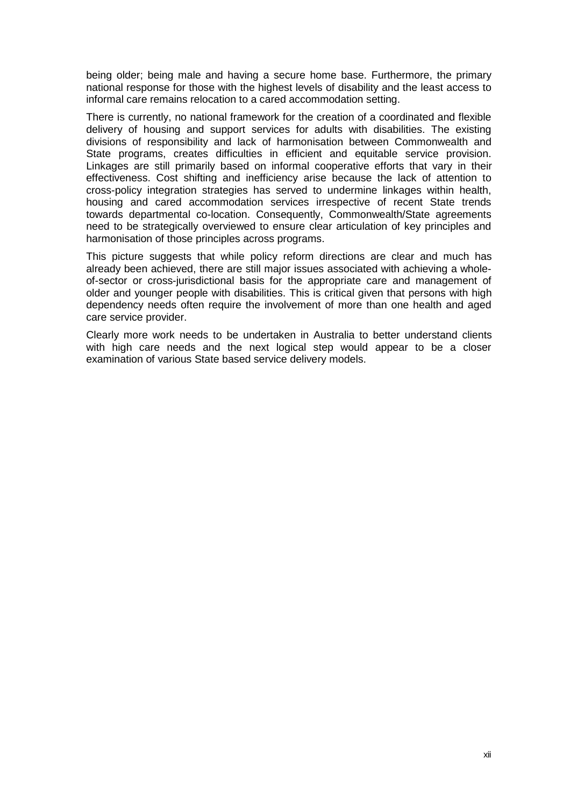being older; being male and having a secure home base. Furthermore, the primary national response for those with the highest levels of disability and the least access to informal care remains relocation to a cared accommodation setting.

There is currently, no national framework for the creation of a coordinated and flexible delivery of housing and support services for adults with disabilities. The existing divisions of responsibility and lack of harmonisation between Commonwealth and State programs, creates difficulties in efficient and equitable service provision. Linkages are still primarily based on informal cooperative efforts that vary in their effectiveness. Cost shifting and inefficiency arise because the lack of attention to cross-policy integration strategies has served to undermine linkages within health, housing and cared accommodation services irrespective of recent State trends towards departmental co-location. Consequently, Commonwealth/State agreements need to be strategically overviewed to ensure clear articulation of key principles and harmonisation of those principles across programs.

This picture suggests that while policy reform directions are clear and much has already been achieved, there are still major issues associated with achieving a wholeof-sector or cross-jurisdictional basis for the appropriate care and management of older and younger people with disabilities. This is critical given that persons with high dependency needs often require the involvement of more than one health and aged care service provider.

Clearly more work needs to be undertaken in Australia to better understand clients with high care needs and the next logical step would appear to be a closer examination of various State based service delivery models.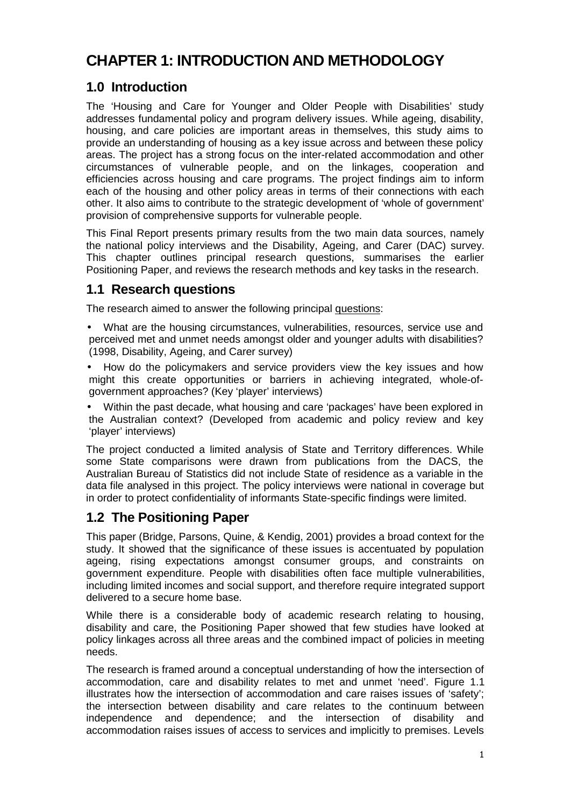# **CHAPTER 1: INTRODUCTION AND METHODOLOGY**

# **1.0 Introduction**

The 'Housing and Care for Younger and Older People with Disabilities' study addresses fundamental policy and program delivery issues. While ageing, disability, housing, and care policies are important areas in themselves, this study aims to provide an understanding of housing as a key issue across and between these policy areas. The project has a strong focus on the inter-related accommodation and other circumstances of vulnerable people, and on the linkages, cooperation and efficiencies across housing and care programs. The project findings aim to inform each of the housing and other policy areas in terms of their connections with each other. It also aims to contribute to the strategic development of 'whole of government' provision of comprehensive supports for vulnerable people.

This Final Report presents primary results from the two main data sources, namely the national policy interviews and the Disability, Ageing, and Carer (DAC) survey. This chapter outlines principal research questions, summarises the earlier Positioning Paper, and reviews the research methods and key tasks in the research.

# **1.1 Research questions**

The research aimed to answer the following principal questions:

- What are the housing circumstances, vulnerabilities, resources, service use and perceived met and unmet needs amongst older and younger adults with disabilities? (1998, Disability, Ageing, and Carer survey)
- How do the policymakers and service providers view the key issues and how might this create opportunities or barriers in achieving integrated, whole-ofgovernment approaches? (Key 'player' interviews)

• Within the past decade, what housing and care 'packages' have been explored in the Australian context? (Developed from academic and policy review and key 'player' interviews)

The project conducted a limited analysis of State and Territory differences. While some State comparisons were drawn from publications from the DACS, the Australian Bureau of Statistics did not include State of residence as a variable in the data file analysed in this project. The policy interviews were national in coverage but in order to protect confidentiality of informants State-specific findings were limited.

# **1.2 The Positioning Paper**

This paper (Bridge, Parsons, Quine, & Kendig, 2001) provides a broad context for the study. It showed that the significance of these issues is accentuated by population ageing, rising expectations amongst consumer groups, and constraints on government expenditure. People with disabilities often face multiple vulnerabilities, including limited incomes and social support, and therefore require integrated support delivered to a secure home base.

While there is a considerable body of academic research relating to housing, disability and care, the Positioning Paper showed that few studies have looked at policy linkages across all three areas and the combined impact of policies in meeting needs.

The research is framed around a conceptual understanding of how the intersection of accommodation, care and disability relates to met and unmet 'need'. Figure 1.1 illustrates how the intersection of accommodation and care raises issues of 'safety'; the intersection between disability and care relates to the continuum between independence and dependence; and the intersection of disability and accommodation raises issues of access to services and implicitly to premises. Levels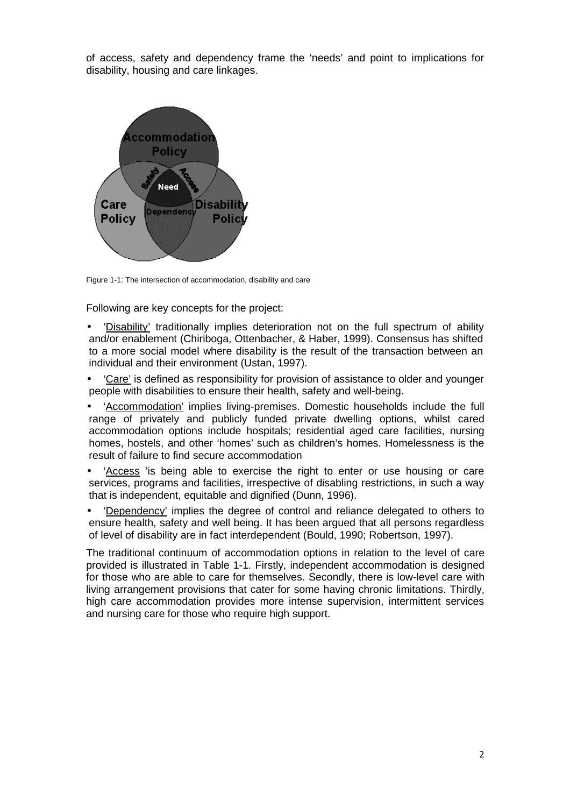of access, safety and dependency frame the 'needs' and point to implications for disability, housing and care linkages.



Figure 1-1: The intersection of accommodation, disability and care

Following are key concepts for the project:

- 'Disability' traditionally implies deterioration not on the full spectrum of ability and/or enablement (Chiriboga, Ottenbacher, & Haber, 1999). Consensus has shifted to a more social model where disability is the result of the transaction between an individual and their environment (Ustan, 1997).
- 'Care' is defined as responsibility for provision of assistance to older and younger people with disabilities to ensure their health, safety and well-being.
- 'Accommodation' implies living-premises. Domestic households include the full range of privately and publicly funded private dwelling options, whilst cared accommodation options include hospitals; residential aged care facilities, nursing homes, hostels, and other 'homes' such as children's homes. Homelessness is the result of failure to find secure accommodation
- 'Access 'is being able to exercise the right to enter or use housing or care services, programs and facilities, irrespective of disabling restrictions, in such a way that is independent, equitable and dignified (Dunn, 1996).
- 'Dependency' implies the degree of control and reliance delegated to others to ensure health, safety and well being. It has been argued that all persons regardless of level of disability are in fact interdependent (Bould, 1990; Robertson, 1997).

The traditional continuum of accommodation options in relation to the level of care provided is illustrated in Table 1-1. Firstly, independent accommodation is designed for those who are able to care for themselves. Secondly, there is low-level care with living arrangement provisions that cater for some having chronic limitations. Thirdly, high care accommodation provides more intense supervision, intermittent services and nursing care for those who require high support.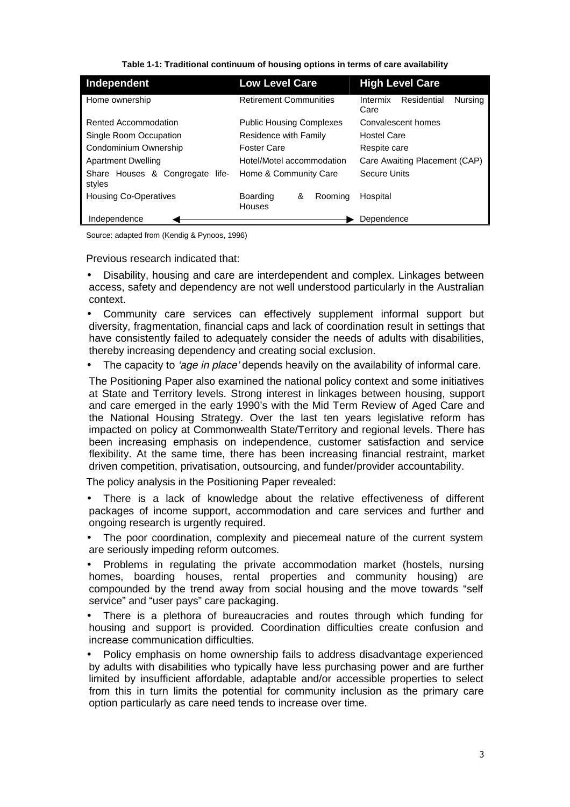**Table 1-1: Traditional continuum of housing options in terms of care availability** 

| Independent                                  | <b>Low Level Care</b>                 |         | <b>High Level Care</b>                     |  |  |  |
|----------------------------------------------|---------------------------------------|---------|--------------------------------------------|--|--|--|
| Home ownership                               | <b>Retirement Communities</b>         |         | Residential<br>Intermix<br>Nursing<br>Care |  |  |  |
| Rented Accommodation                         | <b>Public Housing Complexes</b>       |         | Convalescent homes                         |  |  |  |
| Single Room Occupation                       | Residence with Family                 |         | <b>Hostel Care</b>                         |  |  |  |
| Condominium Ownership                        | <b>Foster Care</b>                    |         | Respite care                               |  |  |  |
| <b>Apartment Dwelling</b>                    | Hotel/Motel accommodation             |         | Care Awaiting Placement (CAP)              |  |  |  |
| Share Houses & Congregate<br>life-<br>styles | Home & Community Care                 |         | <b>Secure Units</b>                        |  |  |  |
| <b>Housing Co-Operatives</b>                 | <b>Boarding</b><br>&<br><b>Houses</b> | Rooming | Hospital                                   |  |  |  |
| Independence                                 |                                       |         | Dependence                                 |  |  |  |

Source: adapted from (Kendig & Pynoos, 1996)

Previous research indicated that:

• Disability, housing and care are interdependent and complex. Linkages between access, safety and dependency are not well understood particularly in the Australian context.

• Community care services can effectively supplement informal support but diversity, fragmentation, financial caps and lack of coordination result in settings that have consistently failed to adequately consider the needs of adults with disabilities, thereby increasing dependency and creating social exclusion.

The capacity to *'age in place'* depends heavily on the availability of informal care.

The Positioning Paper also examined the national policy context and some initiatives at State and Territory levels. Strong interest in linkages between housing, support and care emerged in the early 1990's with the Mid Term Review of Aged Care and the National Housing Strategy. Over the last ten years legislative reform has impacted on policy at Commonwealth State/Territory and regional levels. There has been increasing emphasis on independence, customer satisfaction and service flexibility. At the same time, there has been increasing financial restraint, market driven competition, privatisation, outsourcing, and funder/provider accountability.

The policy analysis in the Positioning Paper revealed:

• There is a lack of knowledge about the relative effectiveness of different packages of income support, accommodation and care services and further and ongoing research is urgently required.

• The poor coordination, complexity and piecemeal nature of the current system are seriously impeding reform outcomes.

• Problems in regulating the private accommodation market (hostels, nursing homes, boarding houses, rental properties and community housing) are compounded by the trend away from social housing and the move towards "self service" and "user pays" care packaging.

• There is a plethora of bureaucracies and routes through which funding for housing and support is provided. Coordination difficulties create confusion and increase communication difficulties.

• Policy emphasis on home ownership fails to address disadvantage experienced by adults with disabilities who typically have less purchasing power and are further limited by insufficient affordable, adaptable and/or accessible properties to select from this in turn limits the potential for community inclusion as the primary care option particularly as care need tends to increase over time.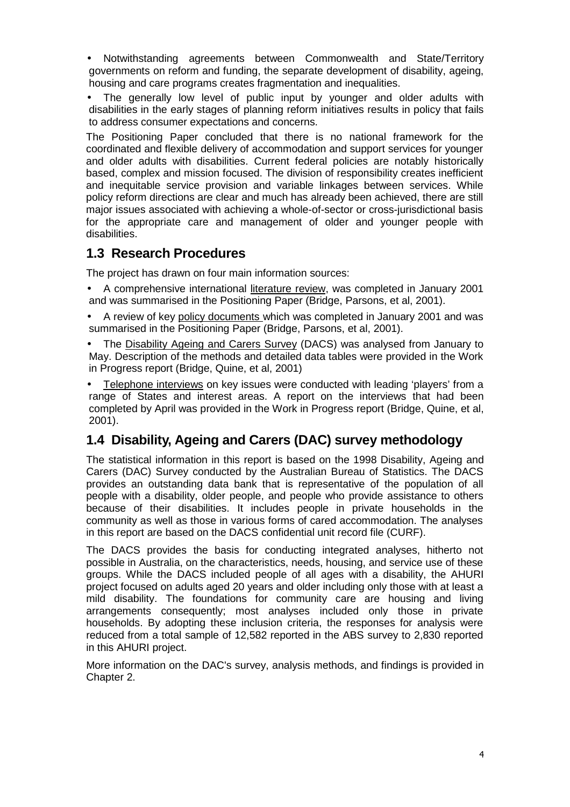• Notwithstanding agreements between Commonwealth and State/Territory governments on reform and funding, the separate development of disability, ageing, housing and care programs creates fragmentation and inequalities.

The generally low level of public input by younger and older adults with disabilities in the early stages of planning reform initiatives results in policy that fails to address consumer expectations and concerns.

The Positioning Paper concluded that there is no national framework for the coordinated and flexible delivery of accommodation and support services for younger and older adults with disabilities. Current federal policies are notably historically based, complex and mission focused. The division of responsibility creates inefficient and inequitable service provision and variable linkages between services. While policy reform directions are clear and much has already been achieved, there are still major issues associated with achieving a whole-of-sector or cross-jurisdictional basis for the appropriate care and management of older and younger people with disabilities.

### **1.3 Research Procedures**

The project has drawn on four main information sources:

- A comprehensive international literature review, was completed in January 2001 and was summarised in the Positioning Paper (Bridge, Parsons, et al, 2001).
- A review of key policy documents which was completed in January 2001 and was summarised in the Positioning Paper (Bridge, Parsons, et al, 2001).
- The Disability Ageing and Carers Survey (DACS) was analysed from January to May. Description of the methods and detailed data tables were provided in the Work in Progress report (Bridge, Quine, et al, 2001)
- Telephone interviews on key issues were conducted with leading 'players' from a range of States and interest areas. A report on the interviews that had been completed by April was provided in the Work in Progress report (Bridge, Quine, et al, 2001).

# **1.4 Disability, Ageing and Carers (DAC) survey methodology**

The statistical information in this report is based on the 1998 Disability, Ageing and Carers (DAC) Survey conducted by the Australian Bureau of Statistics. The DACS provides an outstanding data bank that is representative of the population of all people with a disability, older people, and people who provide assistance to others because of their disabilities. It includes people in private households in the community as well as those in various forms of cared accommodation. The analyses in this report are based on the DACS confidential unit record file (CURF).

The DACS provides the basis for conducting integrated analyses, hitherto not possible in Australia, on the characteristics, needs, housing, and service use of these groups. While the DACS included people of all ages with a disability, the AHURI project focused on adults aged 20 years and older including only those with at least a mild disability. The foundations for community care are housing and living arrangements consequently; most analyses included only those in private households. By adopting these inclusion criteria, the responses for analysis were reduced from a total sample of 12,582 reported in the ABS survey to 2,830 reported in this AHURI project.

More information on the DAC's survey, analysis methods, and findings is provided in Chapter 2.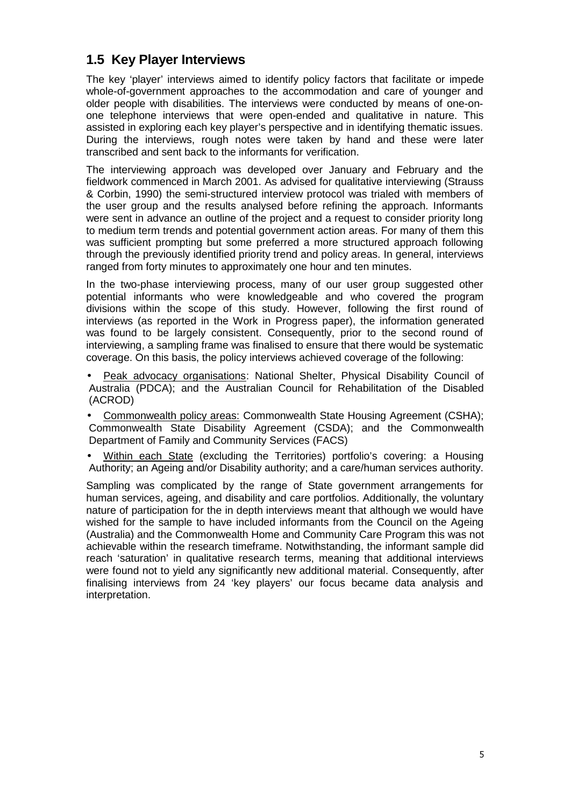# **1.5 Key Player Interviews**

The key 'player' interviews aimed to identify policy factors that facilitate or impede whole-of-government approaches to the accommodation and care of younger and older people with disabilities. The interviews were conducted by means of one-onone telephone interviews that were open-ended and qualitative in nature. This assisted in exploring each key player's perspective and in identifying thematic issues. During the interviews, rough notes were taken by hand and these were later transcribed and sent back to the informants for verification.

The interviewing approach was developed over January and February and the fieldwork commenced in March 2001. As advised for qualitative interviewing (Strauss & Corbin, 1990) the semi-structured interview protocol was trialed with members of the user group and the results analysed before refining the approach. Informants were sent in advance an outline of the project and a request to consider priority long to medium term trends and potential government action areas. For many of them this was sufficient prompting but some preferred a more structured approach following through the previously identified priority trend and policy areas. In general, interviews ranged from forty minutes to approximately one hour and ten minutes.

In the two-phase interviewing process, many of our user group suggested other potential informants who were knowledgeable and who covered the program divisions within the scope of this study. However, following the first round of interviews (as reported in the Work in Progress paper), the information generated was found to be largely consistent. Consequently, prior to the second round of interviewing, a sampling frame was finalised to ensure that there would be systematic coverage. On this basis, the policy interviews achieved coverage of the following:

- Peak advocacy organisations: National Shelter, Physical Disability Council of Australia (PDCA); and the Australian Council for Rehabilitation of the Disabled (ACROD)
- Commonwealth policy areas: Commonwealth State Housing Agreement (CSHA); Commonwealth State Disability Agreement (CSDA); and the Commonwealth Department of Family and Community Services (FACS)
- Within each State (excluding the Territories) portfolio's covering: a Housing Authority; an Ageing and/or Disability authority; and a care/human services authority.

Sampling was complicated by the range of State government arrangements for human services, ageing, and disability and care portfolios. Additionally, the voluntary nature of participation for the in depth interviews meant that although we would have wished for the sample to have included informants from the Council on the Ageing (Australia) and the Commonwealth Home and Community Care Program this was not achievable within the research timeframe. Notwithstanding, the informant sample did reach 'saturation' in qualitative research terms, meaning that additional interviews were found not to yield any significantly new additional material. Consequently, after finalising interviews from 24 'key players' our focus became data analysis and interpretation.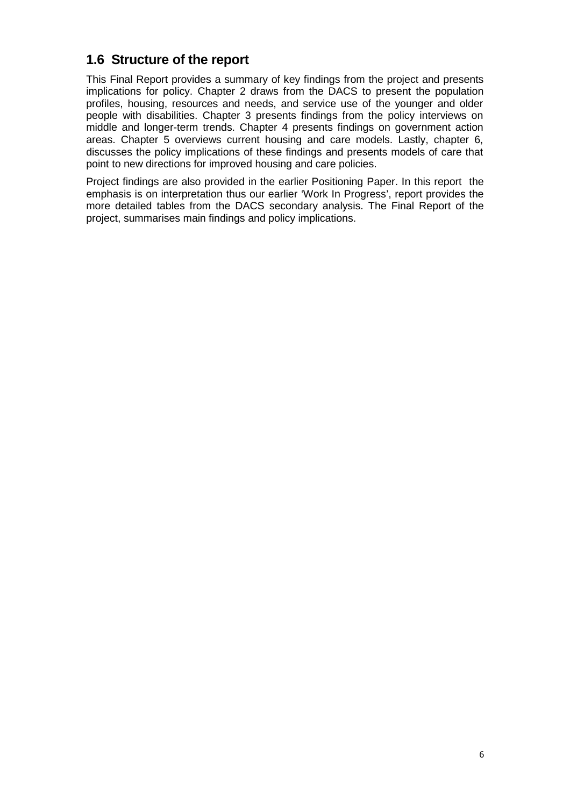# **1.6 Structure of the report**

This Final Report provides a summary of key findings from the project and presents implications for policy. Chapter 2 draws from the DACS to present the population profiles, housing, resources and needs, and service use of the younger and older people with disabilities. Chapter 3 presents findings from the policy interviews on middle and longer-term trends. Chapter 4 presents findings on government action areas. Chapter 5 overviews current housing and care models. Lastly, chapter 6, discusses the policy implications of these findings and presents models of care that point to new directions for improved housing and care policies.

Project findings are also provided in the earlier Positioning Paper. In this report the emphasis is on interpretation thus our earlier 'Work In Progress', report provides the more detailed tables from the DACS secondary analysis. The Final Report of the project, summarises main findings and policy implications.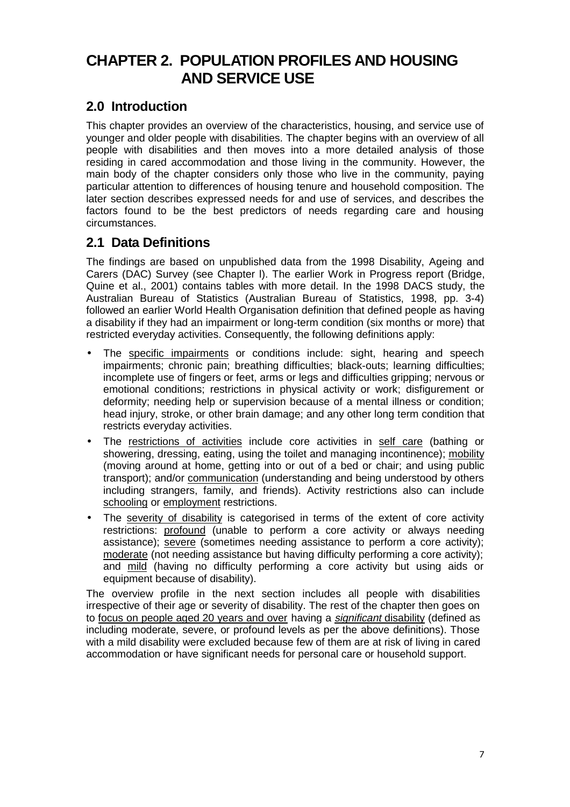# **CHAPTER 2. POPULATION PROFILES AND HOUSING AND SERVICE USE**

# **2.0 Introduction**

This chapter provides an overview of the characteristics, housing, and service use of younger and older people with disabilities. The chapter begins with an overview of all people with disabilities and then moves into a more detailed analysis of those residing in cared accommodation and those living in the community. However, the main body of the chapter considers only those who live in the community, paying particular attention to differences of housing tenure and household composition. The later section describes expressed needs for and use of services, and describes the factors found to be the best predictors of needs regarding care and housing circumstances.

# **2.1 Data Definitions**

The findings are based on unpublished data from the 1998 Disability, Ageing and Carers (DAC) Survey (see Chapter l). The earlier Work in Progress report (Bridge, Quine et al., 2001) contains tables with more detail. In the 1998 DACS study, the Australian Bureau of Statistics (Australian Bureau of Statistics, 1998, pp. 3-4) followed an earlier World Health Organisation definition that defined people as having a disability if they had an impairment or long-term condition (six months or more) that restricted everyday activities. Consequently, the following definitions apply:

- The specific impairments or conditions include: sight, hearing and speech impairments; chronic pain; breathing difficulties; black-outs; learning difficulties; incomplete use of fingers or feet, arms or legs and difficulties gripping; nervous or emotional conditions; restrictions in physical activity or work; disfigurement or deformity; needing help or supervision because of a mental illness or condition; head injury, stroke, or other brain damage; and any other long term condition that restricts everyday activities.
- The restrictions of activities include core activities in self care (bathing or showering, dressing, eating, using the toilet and managing incontinence); mobility (moving around at home, getting into or out of a bed or chair; and using public transport); and/or communication (understanding and being understood by others including strangers, family, and friends). Activity restrictions also can include schooling or employment restrictions.
- The severity of disability is categorised in terms of the extent of core activity restrictions: profound (unable to perform a core activity or always needing assistance); severe (sometimes needing assistance to perform a core activity); moderate (not needing assistance but having difficulty performing a core activity); and mild (having no difficulty performing a core activity but using aids or equipment because of disability).

The overview profile in the next section includes all people with disabilities irrespective of their age or severity of disability. The rest of the chapter then goes on to focus on people aged 20 years and over having a significant disability (defined as including moderate, severe, or profound levels as per the above definitions). Those with a mild disability were excluded because few of them are at risk of living in cared accommodation or have significant needs for personal care or household support.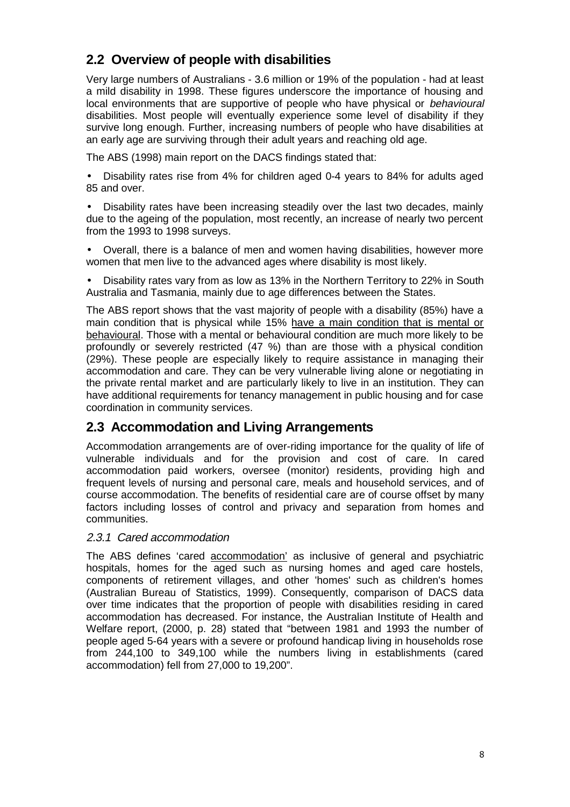# **2.2 Overview of people with disabilities**

Very large numbers of Australians - 3.6 million or 19% of the population - had at least a mild disability in 1998. These figures underscore the importance of housing and local environments that are supportive of people who have physical or *behavioural* disabilities. Most people will eventually experience some level of disability if they survive long enough. Further, increasing numbers of people who have disabilities at an early age are surviving through their adult years and reaching old age.

The ABS (1998) main report on the DACS findings stated that:

• Disability rates rise from 4% for children aged 0-4 years to 84% for adults aged 85 and over.

• Disability rates have been increasing steadily over the last two decades, mainly due to the ageing of the population, most recently, an increase of nearly two percent from the 1993 to 1998 surveys.

• Overall, there is a balance of men and women having disabilities, however more women that men live to the advanced ages where disability is most likely.

• Disability rates vary from as low as 13% in the Northern Territory to 22% in South Australia and Tasmania, mainly due to age differences between the States.

The ABS report shows that the vast majority of people with a disability (85%) have a main condition that is physical while 15% have a main condition that is mental or behavioural. Those with a mental or behavioural condition are much more likely to be profoundly or severely restricted (47 %) than are those with a physical condition (29%). These people are especially likely to require assistance in managing their accommodation and care. They can be very vulnerable living alone or negotiating in the private rental market and are particularly likely to live in an institution. They can have additional requirements for tenancy management in public housing and for case coordination in community services.

# **2.3 Accommodation and Living Arrangements**

Accommodation arrangements are of over-riding importance for the quality of life of vulnerable individuals and for the provision and cost of care. In cared accommodation paid workers, oversee (monitor) residents, providing high and frequent levels of nursing and personal care, meals and household services, and of course accommodation. The benefits of residential care are of course offset by many factors including losses of control and privacy and separation from homes and communities.

### 2.3.1 Cared accommodation

The ABS defines 'cared accommodation' as inclusive of general and psychiatric hospitals, homes for the aged such as nursing homes and aged care hostels, components of retirement villages, and other 'homes' such as children's homes (Australian Bureau of Statistics, 1999). Consequently, comparison of DACS data over time indicates that the proportion of people with disabilities residing in cared accommodation has decreased. For instance, the Australian Institute of Health and Welfare report, (2000, p. 28) stated that "between 1981 and 1993 the number of people aged 5-64 years with a severe or profound handicap living in households rose from 244,100 to 349,100 while the numbers living in establishments (cared accommodation) fell from 27,000 to 19,200".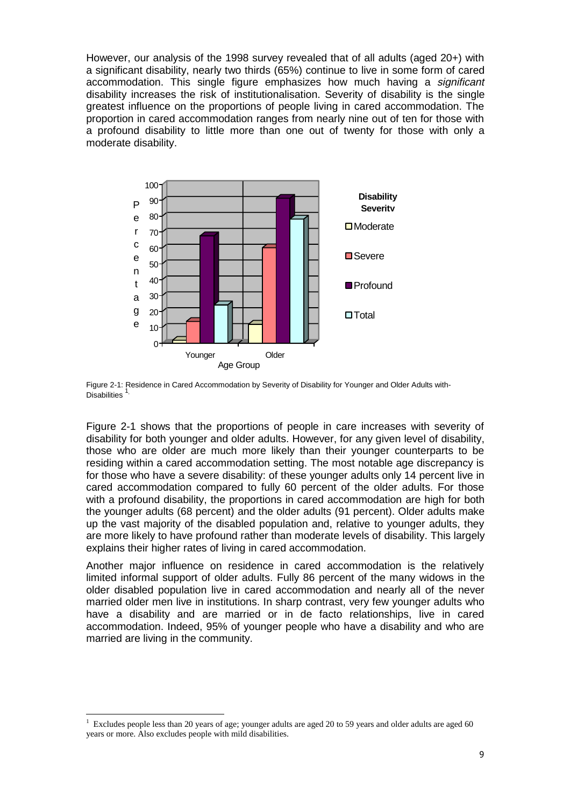However, our analysis of the 1998 survey revealed that of all adults (aged 20+) with a significant disability, nearly two thirds (65%) continue to live in some form of cared accommodation. This single figure emphasizes how much having a *significant* disability increases the risk of institutionalisation. Severity of disability is the single greatest influence on the proportions of people living in cared accommodation. The proportion in cared accommodation ranges from nearly nine out of ten for those with a profound disability to little more than one out of twenty for those with only a moderate disability.



Figure 2-1: Residence in Cared Accommodation by Severity of Disability for Younger and Older Adults with-Disabilities<sup>1</sup>

Figure 2-1 shows that the proportions of people in care increases with severity of disability for both younger and older adults. However, for any given level of disability, those who are older are much more likely than their younger counterparts to be residing within a cared accommodation setting. The most notable age discrepancy is for those who have a severe disability: of these younger adults only 14 percent live in cared accommodation compared to fully 60 percent of the older adults. For those with a profound disability, the proportions in cared accommodation are high for both the younger adults (68 percent) and the older adults (91 percent). Older adults make up the vast majority of the disabled population and, relative to younger adults, they are more likely to have profound rather than moderate levels of disability. This largely explains their higher rates of living in cared accommodation.

Another major influence on residence in cared accommodation is the relatively limited informal support of older adults. Fully 86 percent of the many widows in the older disabled population live in cared accommodation and nearly all of the never married older men live in institutions. In sharp contrast, very few younger adults who have a disability and are married or in de facto relationships, live in cared accommodation. Indeed, 95% of younger people who have a disability and who are married are living in the community.

<sup>&</sup>lt;sup>1</sup> Excludes people less than 20 years of age; younger adults are aged 20 to 59 years and older adults are aged 60 years or more. Also excludes people with mild disabilities.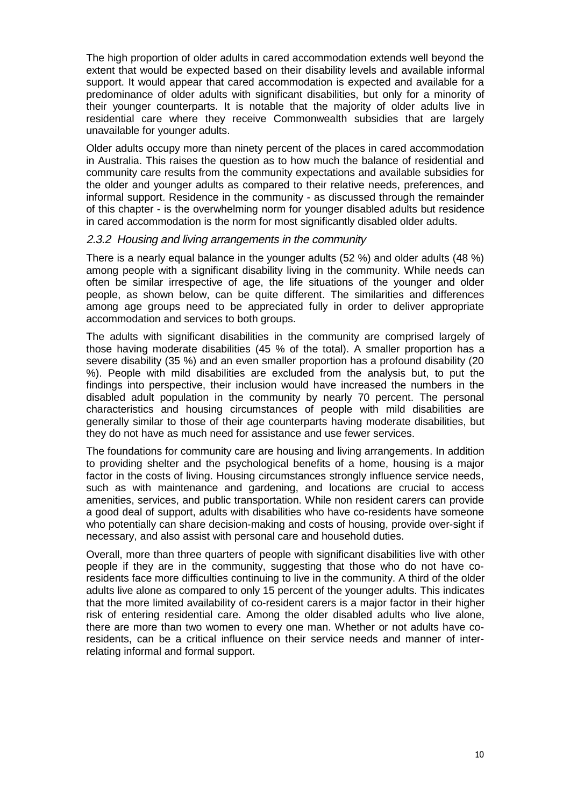The high proportion of older adults in cared accommodation extends well beyond the extent that would be expected based on their disability levels and available informal support. It would appear that cared accommodation is expected and available for a predominance of older adults with significant disabilities, but only for a minority of their younger counterparts. It is notable that the majority of older adults live in residential care where they receive Commonwealth subsidies that are largely unavailable for younger adults.

Older adults occupy more than ninety percent of the places in cared accommodation in Australia. This raises the question as to how much the balance of residential and community care results from the community expectations and available subsidies for the older and younger adults as compared to their relative needs, preferences, and informal support. Residence in the community - as discussed through the remainder of this chapter - is the overwhelming norm for younger disabled adults but residence in cared accommodation is the norm for most significantly disabled older adults.

### 2.3.2 Housing and living arrangements in the community

There is a nearly equal balance in the younger adults (52 %) and older adults (48 %) among people with a significant disability living in the community. While needs can often be similar irrespective of age, the life situations of the younger and older people, as shown below, can be quite different. The similarities and differences among age groups need to be appreciated fully in order to deliver appropriate accommodation and services to both groups.

The adults with significant disabilities in the community are comprised largely of those having moderate disabilities (45 % of the total). A smaller proportion has a severe disability (35 %) and an even smaller proportion has a profound disability (20 %). People with mild disabilities are excluded from the analysis but, to put the findings into perspective, their inclusion would have increased the numbers in the disabled adult population in the community by nearly 70 percent. The personal characteristics and housing circumstances of people with mild disabilities are generally similar to those of their age counterparts having moderate disabilities, but they do not have as much need for assistance and use fewer services.

The foundations for community care are housing and living arrangements. In addition to providing shelter and the psychological benefits of a home, housing is a major factor in the costs of living. Housing circumstances strongly influence service needs, such as with maintenance and gardening, and locations are crucial to access amenities, services, and public transportation. While non resident carers can provide a good deal of support, adults with disabilities who have co-residents have someone who potentially can share decision-making and costs of housing, provide over-sight if necessary, and also assist with personal care and household duties.

Overall, more than three quarters of people with significant disabilities live with other people if they are in the community, suggesting that those who do not have coresidents face more difficulties continuing to live in the community. A third of the older adults live alone as compared to only 15 percent of the younger adults. This indicates that the more limited availability of co-resident carers is a major factor in their higher risk of entering residential care. Among the older disabled adults who live alone, there are more than two women to every one man. Whether or not adults have coresidents, can be a critical influence on their service needs and manner of interrelating informal and formal support.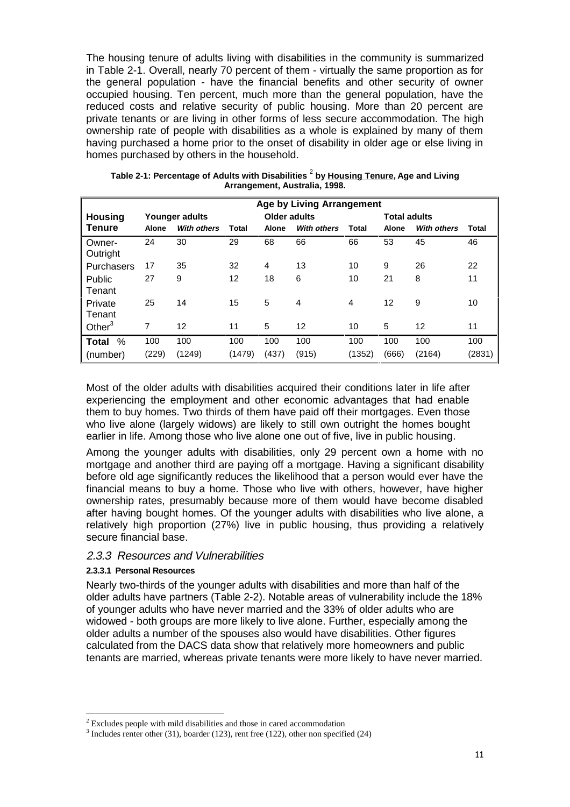The housing tenure of adults living with disabilities in the community is summarized in Table 2-1. Overall, nearly 70 percent of them - virtually the same proportion as for the general population - have the financial benefits and other security of owner occupied housing. Ten percent, much more than the general population, have the reduced costs and relative security of public housing. More than 20 percent are private tenants or are living in other forms of less secure accommodation. The high ownership rate of people with disabilities as a whole is explained by many of them having purchased a home prior to the onset of disability in older age or else living in homes purchased by others in the household.

| <b>Age by Living Arrangement</b> |              |                    |        |                |                    |        |                     |                    |        |
|----------------------------------|--------------|--------------------|--------|----------------|--------------------|--------|---------------------|--------------------|--------|
| <b>Housing</b>                   |              | Younger adults     |        | Older adults   |                    |        | <b>Total adults</b> |                    |        |
| Tenure                           | <b>Alone</b> | <b>With others</b> | Total  | <b>Alone</b>   | <b>With others</b> | Total  | <b>Alone</b>        | <b>With others</b> | Total  |
| Owner-<br>Outright               | 24           | 30                 | 29     | 68             | 66                 | 66     | 53                  | 45                 | 46     |
| Purchasers                       | 17           | 35                 | 32     | $\overline{4}$ | 13                 | 10     | 9                   | 26                 | 22     |
| <b>Public</b><br>Tenant          | 27           | 9                  | 12     | 18             | 6                  | 10     | 21                  | 8                  | 11     |
| Private<br>Tenant                | 25           | 14                 | 15     | 5              | 4                  | 4      | 12                  | 9                  | 10     |
| Other $3$                        | 7            | 12                 | 11     | 5              | 12                 | 10     | 5                   | 12                 | 11     |
| %<br>Total                       | 100          | 100                | 100    | 100            | 100                | 100    | 100                 | 100                | 100    |
| (number)                         | (229)        | (1249)             | (1479) | (437)          | (915)              | (1352) | (666)               | (2164)             | (2831) |

**Table 2-1: Percentage of Adults with Disabilities** <sup>2</sup>  **by Housing Tenure, Age and Living Arrangement, Australia, 1998.**

Most of the older adults with disabilities acquired their conditions later in life after experiencing the employment and other economic advantages that had enable them to buy homes. Two thirds of them have paid off their mortgages. Even those who live alone (largely widows) are likely to still own outright the homes bought earlier in life. Among those who live alone one out of five, live in public housing.

Among the younger adults with disabilities, only 29 percent own a home with no mortgage and another third are paying off a mortgage. Having a significant disability before old age significantly reduces the likelihood that a person would ever have the financial means to buy a home. Those who live with others, however, have higher ownership rates, presumably because more of them would have become disabled after having bought homes. Of the younger adults with disabilities who live alone, a relatively high proportion (27%) live in public housing, thus providing a relatively secure financial base.

### 2.3.3 Resources and Vulnerabilities

### **2.3.3.1 Personal Resources**

-

Nearly two-thirds of the younger adults with disabilities and more than half of the older adults have partners (Table 2-2). Notable areas of vulnerability include the 18% of younger adults who have never married and the 33% of older adults who are widowed - both groups are more likely to live alone. Further, especially among the older adults a number of the spouses also would have disabilities. Other figures calculated from the DACS data show that relatively more homeowners and public tenants are married, whereas private tenants were more likely to have never married.

 $2^{2}$  Excludes people with mild disabilities and those in cared accommodation

 $3$  Includes renter other (31), boarder (123), rent free (122), other non specified (24)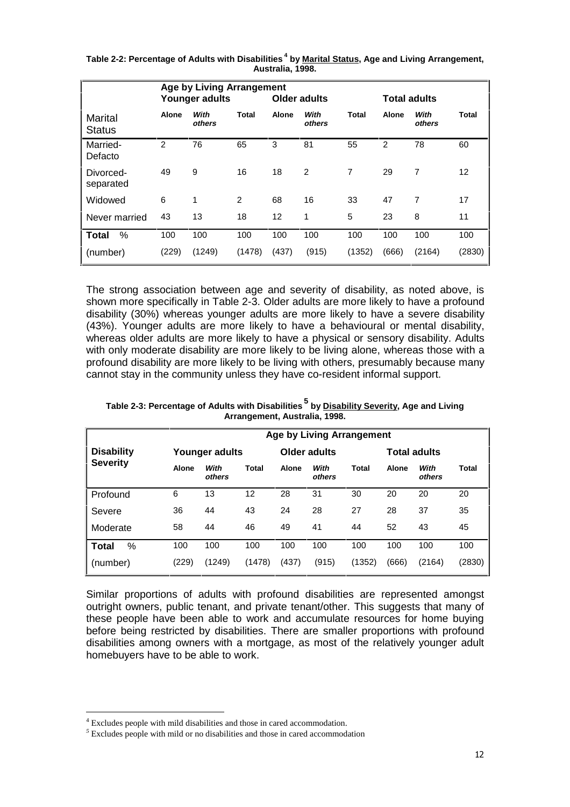|                          | <b>Age by Living Arrangement</b><br><b>Older adults</b><br><b>Total adults</b><br>Younger adults |                |        |              |                |              |              |                |        |
|--------------------------|--------------------------------------------------------------------------------------------------|----------------|--------|--------------|----------------|--------------|--------------|----------------|--------|
| Marital<br><b>Status</b> | Alone                                                                                            | With<br>others | Total  | <b>Alone</b> | With<br>others | <b>Total</b> | <b>Alone</b> | With<br>others | Total  |
| Married-<br>Defacto      | 2                                                                                                | 76             | 65     | 3            | 81             | 55           | 2            | 78             | 60     |
| Divorced-<br>separated   | 49                                                                                               | 9              | 16     | 18           | 2              | 7            | 29           | 7              | 12     |
| Widowed                  | 6                                                                                                | $\mathbf{1}$   | 2      | 68           | 16             | 33           | 47           | 7              | 17     |
| Never married            | 43                                                                                               | 13             | 18     | 12           | 1              | 5            | 23           | 8              | 11     |
| %<br><b>Total</b>        | 100                                                                                              | 100            | 100    | 100          | 100            | 100          | 100          | 100            | 100    |
| (number)                 | (229)                                                                                            | (1249)         | (1478) | (437)        | (915)          | (1352)       | (666)        | (2164)         | (2830) |

**Table 2-2: Percentage of Adults with Disabilities 4 by Marital Status, Age and Living Arrangement, Australia, 1998.**

The strong association between age and severity of disability, as noted above, is shown more specifically in Table 2-3. Older adults are more likely to have a profound disability (30%) whereas younger adults are more likely to have a severe disability (43%). Younger adults are more likely to have a behavioural or mental disability, whereas older adults are more likely to have a physical or sensory disability. Adults with only moderate disability are more likely to be living alone, whereas those with a profound disability are more likely to be living with others, presumably because many cannot stay in the community unless they have co-resident informal support.

| Table 2-3: Percentage of Adults with Disabilities <sup>5</sup> by Disability Severity, Age and Living |
|-------------------------------------------------------------------------------------------------------|
| Arrangement, Australia, 1998.                                                                         |

|                   | <b>Age by Living Arrangement</b> |                |              |              |                |              |                     |                |              |
|-------------------|----------------------------------|----------------|--------------|--------------|----------------|--------------|---------------------|----------------|--------------|
| <b>Disability</b> | Younger adults                   |                |              | Older adults |                |              | <b>Total adults</b> |                |              |
| <b>Severity</b>   | Alone                            | With<br>others | <b>Total</b> | <b>Alone</b> | With<br>others | <b>Total</b> | <b>Alone</b>        | With<br>others | <b>Total</b> |
| Profound          | 6                                | 13             | 12           | 28           | 31             | 30           | 20                  | 20             | 20           |
| Severe            | 36                               | 44             | 43           | 24           | 28             | 27           | 28                  | 37             | 35           |
| Moderate          | 58                               | 44             | 46           | 49           | 41             | 44           | 52                  | 43             | 45           |
| %<br>Total        | 100                              | 100            | 100          | 100          | 100            | 100          | 100                 | 100            | 100          |
| (number)          | (229)                            | (1249)         | (1478)       | (437)        | (915)          | (1352)       | (666)               | (2164)         | (2830)       |

Similar proportions of adults with profound disabilities are represented amongst outright owners, public tenant, and private tenant/other. This suggests that many of these people have been able to work and accumulate resources for home buying before being restricted by disabilities. There are smaller proportions with profound disabilities among owners with a mortgage, as most of the relatively younger adult homebuyers have to be able to work.

<sup>&</sup>lt;sup>4</sup> Excludes people with mild disabilities and those in cared accommodation.

 $<sup>5</sup>$  Excludes people with mild or no disabilities and those in cared accommodation</sup>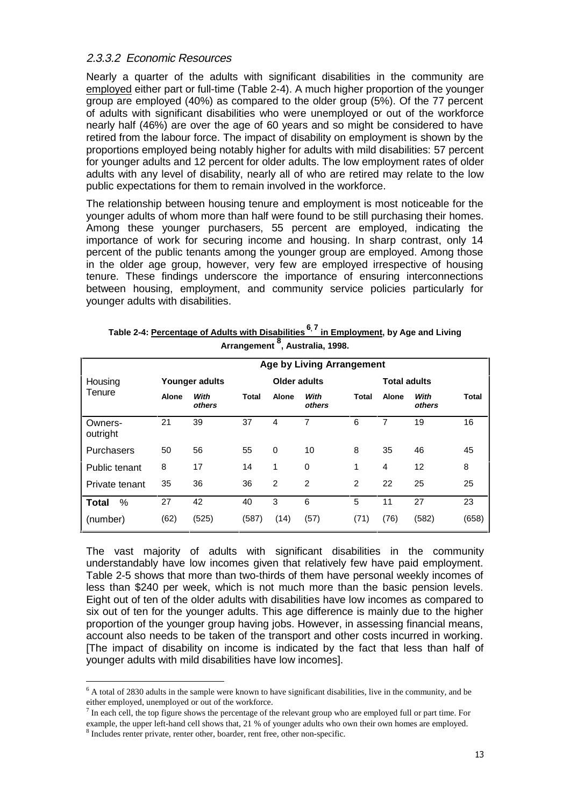### 2.3.3.2 Economic Resources

Nearly a quarter of the adults with significant disabilities in the community are employed either part or full-time (Table 2-4). A much higher proportion of the younger group are employed (40%) as compared to the older group (5%). Of the 77 percent of adults with significant disabilities who were unemployed or out of the workforce nearly half (46%) are over the age of 60 years and so might be considered to have retired from the labour force. The impact of disability on employment is shown by the proportions employed being notably higher for adults with mild disabilities: 57 percent for younger adults and 12 percent for older adults. The low employment rates of older adults with any level of disability, nearly all of who are retired may relate to the low public expectations for them to remain involved in the workforce.

The relationship between housing tenure and employment is most noticeable for the younger adults of whom more than half were found to be still purchasing their homes. Among these younger purchasers, 55 percent are employed, indicating the importance of work for securing income and housing. In sharp contrast, only 14 percent of the public tenants among the younger group are employed. Among those in the older age group, however, very few are employed irrespective of housing tenure. These findings underscore the importance of ensuring interconnections between housing, employment, and community service policies particularly for younger adults with disabilities.

|                     |       |                |       |                     | <b>Age by Living Arrangement</b> |                |                     |                |              |
|---------------------|-------|----------------|-------|---------------------|----------------------------------|----------------|---------------------|----------------|--------------|
| Housing             |       | Younger adults |       | <b>Older adults</b> |                                  |                | <b>Total adults</b> |                |              |
| Tenure              | Alone | With<br>others | Total | Alone               | With<br>others                   | <b>Total</b>   | Alone               | With<br>others | <b>Total</b> |
| Owners-<br>outright | 21    | 39             | 37    | 4                   | 7                                | 6              | 7                   | 19             | 16           |
| Purchasers          | 50    | 56             | 55    | 0                   | 10                               | 8              | 35                  | 46             | 45           |
| Public tenant       | 8     | 17             | 14    | 1                   | $\Omega$                         | 1              | 4                   | 12             | 8            |
| Private tenant      | 35    | 36             | 36    | 2                   | $\overline{2}$                   | $\overline{2}$ | 22                  | 25             | 25           |
| %<br><b>Total</b>   | 27    | 42             | 40    | 3                   | 6                                | 5              | 11                  | 27             | 23           |
| (number)            | (62)  | (525)          | (587) | (14)                | (57)                             | (71)           | (76)                | (582)          | (658)        |

| Table 2-4: Percentage of Adults with Disabilities <sup>6, 7</sup> in Employment, by Age and Living |
|----------------------------------------------------------------------------------------------------|
| Arrangement <sup>8</sup> , Australia, 1998.                                                        |

The vast majority of adults with significant disabilities in the community understandably have low incomes given that relatively few have paid employment. Table 2-5 shows that more than two-thirds of them have personal weekly incomes of less than \$240 per week, which is not much more than the basic pension levels. Eight out of ten of the older adults with disabilities have low incomes as compared to six out of ten for the younger adults. This age difference is mainly due to the higher proportion of the younger group having jobs. However, in assessing financial means, account also needs to be taken of the transport and other costs incurred in working. [The impact of disability on income is indicated by the fact that less than half of younger adults with mild disabilities have low incomes].

 $6$  A total of 2830 adults in the sample were known to have significant disabilities, live in the community, and be either employed, unemployed or out of the workforce.

 $<sup>7</sup>$  In each cell, the top figure shows the percentage of the relevant group who are employed full or part time. For</sup> example, the upper left-hand cell shows that, 21 % of younger adults who own their own homes are employed. <sup>8</sup> Includes renter private, renter other, boarder, rent free, other non-specific.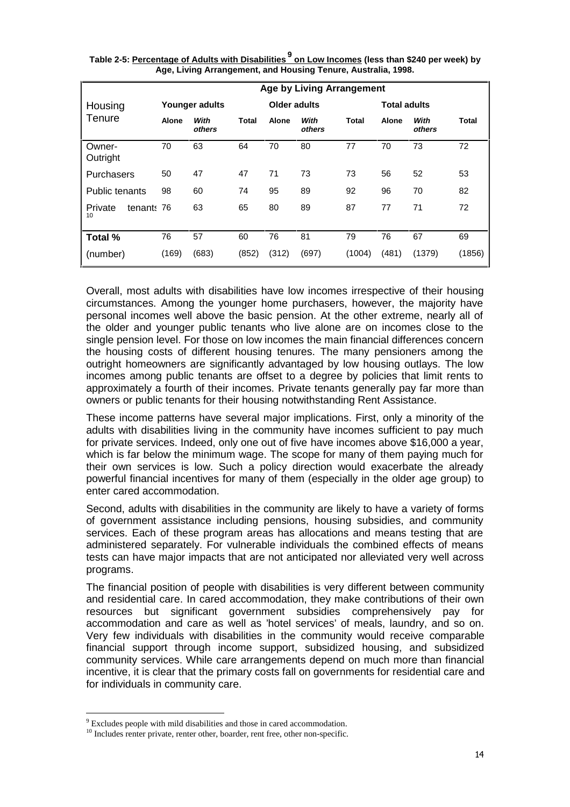|                             |              |                |              |                     | <b>Age by Living Arrangement</b> |              |                     |                |        |
|-----------------------------|--------------|----------------|--------------|---------------------|----------------------------------|--------------|---------------------|----------------|--------|
| Housing                     |              | Younger adults |              | <b>Older adults</b> |                                  |              | <b>Total adults</b> |                |        |
| Tenure                      | <b>Alone</b> | With<br>others | <b>Total</b> | <b>Alone</b>        | With<br>others                   | <b>Total</b> | <b>Alone</b>        | With<br>others | Total  |
| Owner-<br>Outright          | 70           | 63             | 64           | 70                  | 80                               | 77           | 70                  | 73             | 72     |
| Purchasers                  | 50           | 47             | 47           | 71                  | 73                               | 73           | 56                  | 52             | 53     |
| <b>Public tenants</b>       | 98           | 60             | 74           | 95                  | 89                               | 92           | 96                  | 70             | 82     |
| tenant: 76<br>Private<br>10 |              | 63             | 65           | 80                  | 89                               | 87           | 77                  | 71             | 72     |
| Total %                     | 76           | 57             | 60           | 76                  | 81                               | 79           | 76                  | 67             | 69     |
| (number)                    | (169)        | (683)          | (852)        | (312)               | (697)                            | (1004)       | (481)               | (1379)         | (1856) |

**Table 2-5: Percentage of Adults with Disabilities <sup>9</sup> on Low Incomes (less than \$240 per week) by Age, Living Arrangement, and Housing Tenure, Australia, 1998.** 

Overall, most adults with disabilities have low incomes irrespective of their housing circumstances. Among the younger home purchasers, however, the majority have personal incomes well above the basic pension. At the other extreme, nearly all of the older and younger public tenants who live alone are on incomes close to the single pension level. For those on low incomes the main financial differences concern the housing costs of different housing tenures. The many pensioners among the outright homeowners are significantly advantaged by low housing outlays. The low incomes among public tenants are offset to a degree by policies that limit rents to approximately a fourth of their incomes. Private tenants generally pay far more than owners or public tenants for their housing notwithstanding Rent Assistance.

These income patterns have several major implications. First, only a minority of the adults with disabilities living in the community have incomes sufficient to pay much for private services. Indeed, only one out of five have incomes above \$16,000 a year, which is far below the minimum wage. The scope for many of them paying much for their own services is low. Such a policy direction would exacerbate the already powerful financial incentives for many of them (especially in the older age group) to enter cared accommodation.

Second, adults with disabilities in the community are likely to have a variety of forms of government assistance including pensions, housing subsidies, and community services. Each of these program areas has allocations and means testing that are administered separately. For vulnerable individuals the combined effects of means tests can have major impacts that are not anticipated nor alleviated very well across programs.

The financial position of people with disabilities is very different between community and residential care. In cared accommodation, they make contributions of their own resources but significant government subsidies comprehensively pay for accommodation and care as well as 'hotel services' of meals, laundry, and so on. Very few individuals with disabilities in the community would receive comparable financial support through income support, subsidized housing, and subsidized community services. While care arrangements depend on much more than financial incentive, it is clear that the primary costs fall on governments for residential care and for individuals in community care.

<sup>&</sup>lt;sup>9</sup> Excludes people with mild disabilities and those in cared accommodation.

<sup>&</sup>lt;sup>10</sup> Includes renter private, renter other, boarder, rent free, other non-specific.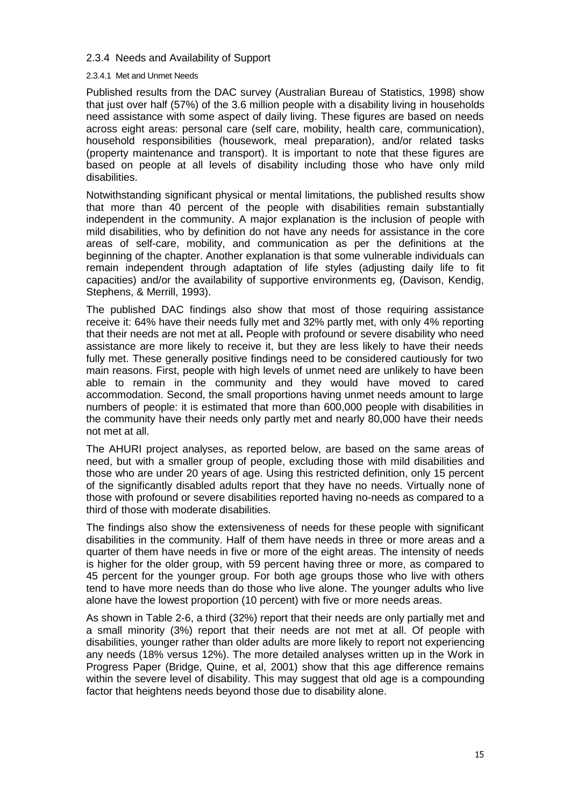#### 2.3.4 Needs and Availability of Support

#### 2.3.4.1 Met and Unmet Needs

Published results from the DAC survey (Australian Bureau of Statistics, 1998) show that just over half (57%) of the 3.6 million people with a disability living in households need assistance with some aspect of daily living. These figures are based on needs across eight areas: personal care (self care, mobility, health care, communication), household responsibilities (housework, meal preparation), and/or related tasks (property maintenance and transport). It is important to note that these figures are based on people at all levels of disability including those who have only mild disabilities.

Notwithstanding significant physical or mental limitations, the published results show that more than 40 percent of the people with disabilities remain substantially independent in the community. A major explanation is the inclusion of people with mild disabilities, who by definition do not have any needs for assistance in the core areas of self-care, mobility, and communication as per the definitions at the beginning of the chapter. Another explanation is that some vulnerable individuals can remain independent through adaptation of life styles (adjusting daily life to fit capacities) and/or the availability of supportive environments eg, (Davison, Kendig, Stephens, & Merrill, 1993).

The published DAC findings also show that most of those requiring assistance receive it: 64% have their needs fully met and 32% partly met, with only 4% reporting that their needs are not met at all**.** People with profound or severe disability who need assistance are more likely to receive it, but they are less likely to have their needs fully met. These generally positive findings need to be considered cautiously for two main reasons. First, people with high levels of unmet need are unlikely to have been able to remain in the community and they would have moved to cared accommodation. Second, the small proportions having unmet needs amount to large numbers of people: it is estimated that more than 600,000 people with disabilities in the community have their needs only partly met and nearly 80,000 have their needs not met at all.

The AHURI project analyses, as reported below, are based on the same areas of need, but with a smaller group of people, excluding those with mild disabilities and those who are under 20 years of age. Using this restricted definition, only 15 percent of the significantly disabled adults report that they have no needs. Virtually none of those with profound or severe disabilities reported having no-needs as compared to a third of those with moderate disabilities.

The findings also show the extensiveness of needs for these people with significant disabilities in the community. Half of them have needs in three or more areas and a quarter of them have needs in five or more of the eight areas. The intensity of needs is higher for the older group, with 59 percent having three or more, as compared to 45 percent for the younger group. For both age groups those who live with others tend to have more needs than do those who live alone. The younger adults who live alone have the lowest proportion (10 percent) with five or more needs areas.

As shown in Table 2-6, a third (32%) report that their needs are only partially met and a small minority (3%) report that their needs are not met at all. Of people with disabilities, younger rather than older adults are more likely to report not experiencing any needs (18% versus 12%). The more detailed analyses written up in the Work in Progress Paper (Bridge, Quine, et al, 2001) show that this age difference remains within the severe level of disability. This may suggest that old age is a compounding factor that heightens needs beyond those due to disability alone.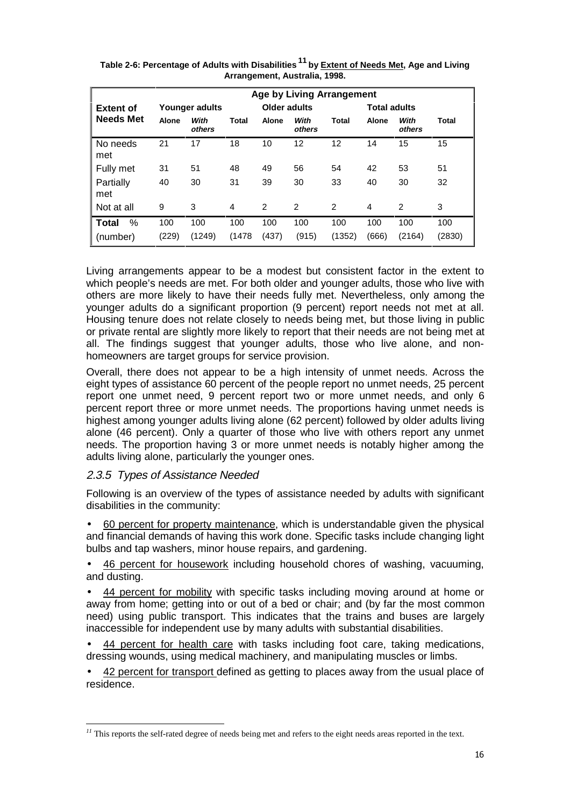|                  |              |                |       |              |                | <b>Age by Living Arrangement</b> |              |                     |        |  |
|------------------|--------------|----------------|-------|--------------|----------------|----------------------------------|--------------|---------------------|--------|--|
| <b>Extent of</b> |              | Younger adults |       | Older adults |                |                                  |              | <b>Total adults</b> |        |  |
| <b>Needs Met</b> | <b>Alone</b> | With<br>others | Total | Alone        | With<br>others | Total                            | <b>Alone</b> | With<br>others      | Total  |  |
| No needs<br>met  | 21           | 17             | 18    | 10           | 12             | 12                               | 14           | 15                  | 15     |  |
| Fully met        | 31           | 51             | 48    | 49           | 56             | 54                               | 42           | 53                  | 51     |  |
| Partially<br>met | 40           | 30             | 31    | 39           | 30             | 33                               | 40           | 30                  | 32     |  |
| Not at all       | 9            | 3              | 4     | 2            | 2              | $\overline{2}$                   | 4            | $\overline{2}$      | 3      |  |
| %<br>Total       | 100          | 100            | 100   | 100          | 100            | 100                              | 100          | 100                 | 100    |  |
| (number)         | (229)        | (1249)         | (1478 | (437)        | (915)          | (1352)                           | (666)        | (2164)              | (2830) |  |

**Table 2-6: Percentage of Adults with Disabilities <sup>11</sup> by Extent of Needs Met, Age and Living Arrangement, Australia, 1998.**

Living arrangements appear to be a modest but consistent factor in the extent to which people's needs are met. For both older and younger adults, those who live with others are more likely to have their needs fully met. Nevertheless, only among the younger adults do a significant proportion (9 percent) report needs not met at all. Housing tenure does not relate closely to needs being met, but those living in public or private rental are slightly more likely to report that their needs are not being met at all. The findings suggest that younger adults, those who live alone, and nonhomeowners are target groups for service provision.

Overall, there does not appear to be a high intensity of unmet needs. Across the eight types of assistance 60 percent of the people report no unmet needs, 25 percent report one unmet need, 9 percent report two or more unmet needs, and only 6 percent report three or more unmet needs. The proportions having unmet needs is highest among younger adults living alone (62 percent) followed by older adults living alone (46 percent). Only a quarter of those who live with others report any unmet needs. The proportion having 3 or more unmet needs is notably higher among the adults living alone, particularly the younger ones.

### 2.3.5 Types of Assistance Needed

-

Following is an overview of the types of assistance needed by adults with significant disabilities in the community:

• 60 percent for property maintenance, which is understandable given the physical and financial demands of having this work done. Specific tasks include changing light bulbs and tap washers, minor house repairs, and gardening.

• 46 percent for housework including household chores of washing, vacuuming, and dusting.

44 percent for mobility with specific tasks including moving around at home or away from home; getting into or out of a bed or chair; and (by far the most common need) using public transport. This indicates that the trains and buses are largely inaccessible for independent use by many adults with substantial disabilities.

• 44 percent for health care with tasks including foot care, taking medications, dressing wounds, using medical machinery, and manipulating muscles or limbs.

• 42 percent for transport defined as getting to places away from the usual place of residence.

<sup>&</sup>lt;sup>11</sup> This reports the self-rated degree of needs being met and refers to the eight needs areas reported in the text.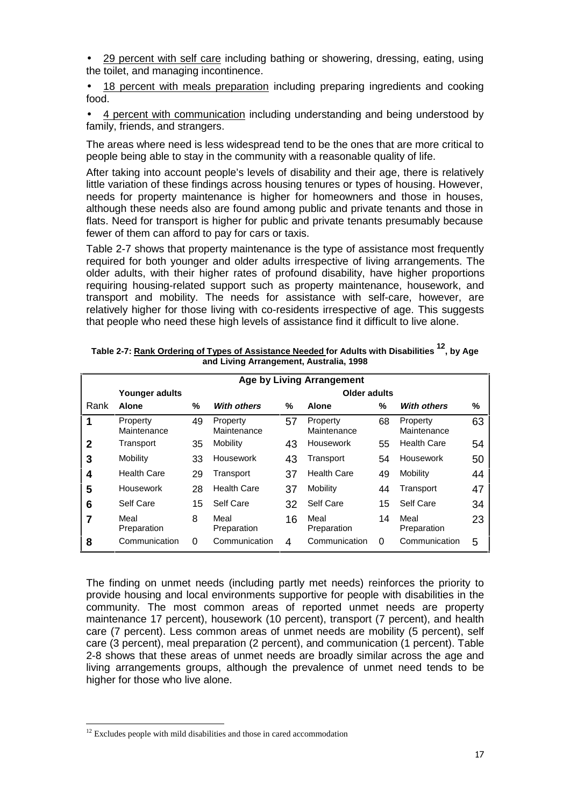• 29 percent with self care including bathing or showering, dressing, eating, using the toilet, and managing incontinence.

• 18 percent with meals preparation including preparing ingredients and cooking food.

• 4 percent with communication including understanding and being understood by family, friends, and strangers.

The areas where need is less widespread tend to be the ones that are more critical to people being able to stay in the community with a reasonable quality of life.

After taking into account people's levels of disability and their age, there is relatively little variation of these findings across housing tenures or types of housing. However, needs for property maintenance is higher for homeowners and those in houses, although these needs also are found among public and private tenants and those in flats. Need for transport is higher for public and private tenants presumably because fewer of them can afford to pay for cars or taxis.

Table 2-7 shows that property maintenance is the type of assistance most frequently required for both younger and older adults irrespective of living arrangements. The older adults, with their higher rates of profound disability, have higher proportions requiring housing-related support such as property maintenance, housework, and transport and mobility. The needs for assistance with self-care, however, are relatively higher for those living with co-residents irrespective of age. This suggests that people who need these high levels of assistance find it difficult to live alone.

|              |                         |    |                         |    | <b>Age by Living Arrangement</b> |    |                         |    |  |  |
|--------------|-------------------------|----|-------------------------|----|----------------------------------|----|-------------------------|----|--|--|
|              | Younger adults          |    | Older adults            |    |                                  |    |                         |    |  |  |
| Rank         | <b>Alone</b>            | %  | <b>With others</b>      | %  | <b>Alone</b>                     | ℅  | <b>With others</b>      | %  |  |  |
|              | Property<br>Maintenance | 49 | Property<br>Maintenance | 57 | Property<br>Maintenance          | 68 | Property<br>Maintenance | 63 |  |  |
| $\mathbf{2}$ | Transport               | 35 | Mobility                | 43 | Housework                        | 55 | <b>Health Care</b>      | 54 |  |  |
| 3            | Mobility                | 33 | Housework               | 43 | Transport                        | 54 | Housework               | 50 |  |  |
| 4            | <b>Health Care</b>      | 29 | Transport               | 37 | <b>Health Care</b>               | 49 | Mobility                | 44 |  |  |
| 5            | <b>Housework</b>        | 28 | <b>Health Care</b>      | 37 | Mobility                         | 44 | Transport               | 47 |  |  |
| 6            | Self Care               | 15 | Self Care               | 32 | Self Care                        | 15 | Self Care               | 34 |  |  |
| 7            | Meal<br>Preparation     | 8  | Meal<br>Preparation     | 16 | Meal<br>Preparation              | 14 | Meal<br>Preparation     | 23 |  |  |
| 8            | Communication           | 0  | Communication           | 4  | Communication                    | 0  | Communication           | 5  |  |  |

**Table 2-7: Rank Ordering of Types of Assistance Needed for Adults with Disabilities 12, by Age and Living Arrangement, Australia, 1998** 

The finding on unmet needs (including partly met needs) reinforces the priority to provide housing and local environments supportive for people with disabilities in the community. The most common areas of reported unmet needs are property maintenance 17 percent), housework (10 percent), transport (7 percent), and health care (7 percent). Less common areas of unmet needs are mobility (5 percent), self care (3 percent), meal preparation (2 percent), and communication (1 percent). Table 2-8 shows that these areas of unmet needs are broadly similar across the age and living arrangements groups, although the prevalence of unmet need tends to be higher for those who live alone.

 $12$  Excludes people with mild disabilities and those in cared accommodation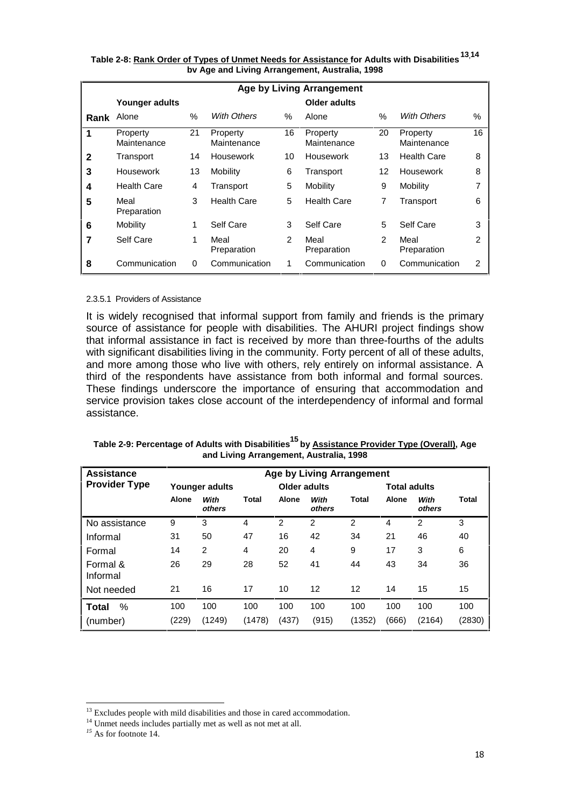|      |                         |      |                         |                | <b>Age by Living Arrangement</b> |          |                         |                |
|------|-------------------------|------|-------------------------|----------------|----------------------------------|----------|-------------------------|----------------|
|      | Younger adults          |      |                         |                | Older adults                     |          |                         |                |
| Rank | Alone                   | $\%$ | <b>With Others</b>      | %              | Alone                            | $\%$     | With Others             | $\%$           |
| 1    | Property<br>Maintenance | 21   | Property<br>Maintenance | 16             | Property<br>Maintenance          | 20       | Property<br>Maintenance | 16             |
| 2    | Transport               | 14   | Housework               | 10             | Housework                        | 13       | <b>Health Care</b>      | 8              |
| 3    | Housework               | 13   | Mobility                | 6              | Transport                        | 12       | Housework               | 8              |
| 4    | <b>Health Care</b>      | 4    | Transport               | 5              | Mobility                         | 9        | Mobility                | 7              |
| 5    | Meal<br>Preparation     | 3    | <b>Health Care</b>      | 5              | <b>Health Care</b>               | 7        | Transport               | 6              |
| 6    | Mobility                | 1    | Self Care               | 3              | Self Care                        | 5        | Self Care               | 3              |
| 7    | Self Care               | 1    | Meal<br>Preparation     | $\mathfrak{p}$ | Meal<br>Preparation              | 2        | Meal<br>Preparation     | 2              |
| 8    | Communication           | 0    | Communication           | 1              | Communication                    | $\Omega$ | Communication           | $\overline{2}$ |

**Table 2-8: Rank Order of Types of Unmet Needs for Assistance for Adults with Disabilities 13,14 bv Age and Living Arrangement, Australia, 1998** 

#### 2.3.5.1 Providers of Assistance

It is widely recognised that informal support from family and friends is the primary source of assistance for people with disabilities. The AHURI project findings show that informal assistance in fact is received by more than three-fourths of the adults with significant disabilities living in the community. Forty percent of all of these adults, and more among those who live with others, rely entirely on informal assistance. A third of the respondents have assistance from both informal and formal sources. These findings underscore the importance of ensuring that accommodation and service provision takes close account of the interdependency of informal and formal assistance.

| <b>Assistance</b>    | <b>Age by Living Arrangement</b> |                |        |                |                |        |              |                     |        |  |
|----------------------|----------------------------------|----------------|--------|----------------|----------------|--------|--------------|---------------------|--------|--|
| <b>Provider Type</b> | Younger adults                   |                |        | Older adults   |                |        |              | <b>Total adults</b> |        |  |
|                      | Alone                            | With<br>others | Total  | Alone          | With<br>others | Total  | <b>Alone</b> | With<br>others      | Total  |  |
| No assistance        | 9                                | 3              | 4      | $\overline{2}$ | $\overline{2}$ | 2      | 4            | 2                   | 3      |  |
| Informal             | 31                               | 50             | 47     | 16             | 42             | 34     | 21           | 46                  | 40     |  |
| Formal               | 14                               | $\overline{2}$ | 4      | 20             | 4              | 9      | 17           | 3                   | 6      |  |
| Formal &<br>Informal | 26                               | 29             | 28     | 52             | 41             | 44     | 43           | 34                  | 36     |  |
| Not needed           | 21                               | 16             | 17     | 10             | 12             | 12     | 14           | 15                  | 15     |  |
| %<br>Total           | 100                              | 100            | 100    | 100            | 100            | 100    | 100          | 100                 | 100    |  |
| (number)             | (229)                            | (1249)         | (1478) | (437)          | (915)          | (1352) | (666)        | (2164)              | (2830) |  |

**Table 2-9: Percentage of Adults with Disabilities15 by Assistance Provider Type (Overall), Age and Living Arrangement, Australia, 1998** 

<sup>&</sup>lt;sup>13</sup> Excludes people with mild disabilities and those in cared accommodation.

<sup>&</sup>lt;sup>14</sup> Unmet needs includes partially met as well as not met at all.

*<sup>15</sup>* As for footnote 14.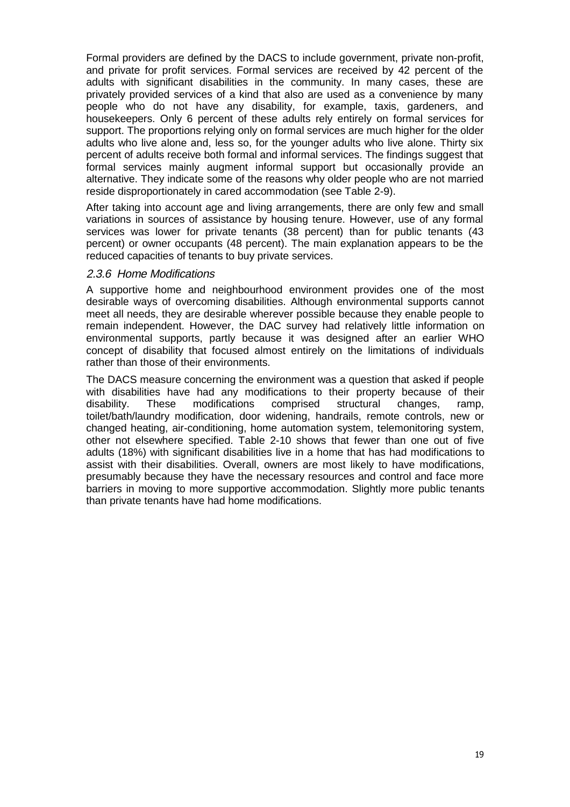Formal providers are defined by the DACS to include government, private non-profit, and private for profit services. Formal services are received by 42 percent of the adults with significant disabilities in the community. In many cases, these are privately provided services of a kind that also are used as a convenience by many people who do not have any disability, for example, taxis, gardeners, and housekeepers. Only 6 percent of these adults rely entirely on formal services for support. The proportions relying only on formal services are much higher for the older adults who live alone and, less so, for the younger adults who live alone. Thirty six percent of adults receive both formal and informal services. The findings suggest that formal services mainly augment informal support but occasionally provide an alternative. They indicate some of the reasons why older people who are not married reside disproportionately in cared accommodation (see Table 2-9).

After taking into account age and living arrangements, there are only few and small variations in sources of assistance by housing tenure. However, use of any formal services was lower for private tenants (38 percent) than for public tenants (43 percent) or owner occupants (48 percent). The main explanation appears to be the reduced capacities of tenants to buy private services.

#### 2.3.6 Home Modifications

A supportive home and neighbourhood environment provides one of the most desirable ways of overcoming disabilities. Although environmental supports cannot meet all needs, they are desirable wherever possible because they enable people to remain independent. However, the DAC survey had relatively little information on environmental supports, partly because it was designed after an earlier WHO concept of disability that focused almost entirely on the limitations of individuals rather than those of their environments.

The DACS measure concerning the environment was a question that asked if people with disabilities have had any modifications to their property because of their disability. These modifications comprised structural changes, ramp, toilet/bath/laundry modification, door widening, handrails, remote controls, new or changed heating, air-conditioning, home automation system, telemonitoring system, other not elsewhere specified. Table 2-10 shows that fewer than one out of five adults (18%) with significant disabilities live in a home that has had modifications to assist with their disabilities. Overall, owners are most likely to have modifications, presumably because they have the necessary resources and control and face more barriers in moving to more supportive accommodation. Slightly more public tenants than private tenants have had home modifications.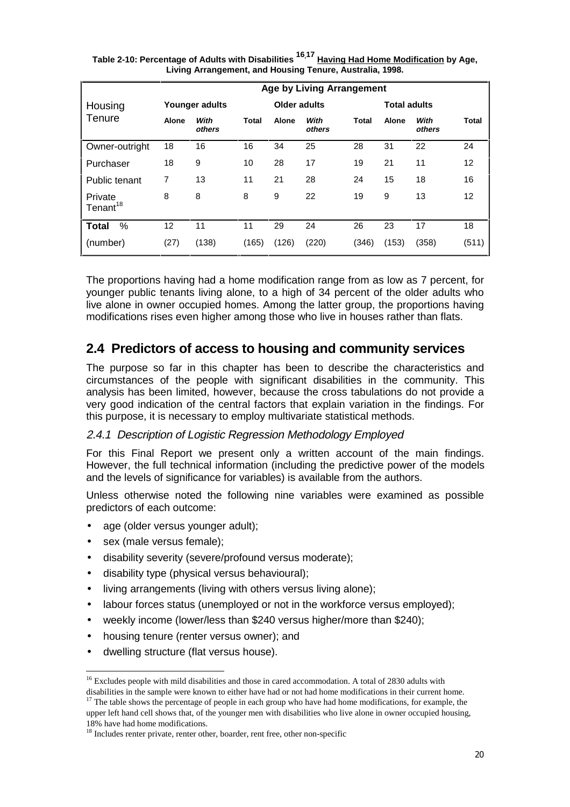|                                 |              |                |              |              | <b>Age by Living Arrangement</b> |              |                     |                |                   |
|---------------------------------|--------------|----------------|--------------|--------------|----------------------------------|--------------|---------------------|----------------|-------------------|
| Housing                         |              | Younger adults |              | Older adults |                                  |              | <b>Total adults</b> |                |                   |
| Tenure                          | <b>Alone</b> | With<br>others | <b>Total</b> | Alone        | With<br>others                   | <b>Total</b> | Alone               | With<br>others | Total             |
| Owner-outright                  | 18           | 16             | 16           | 34           | 25                               | 28           | 31                  | 22             | 24                |
| Purchaser                       | 18           | 9              | 10           | 28           | 17                               | 19           | 21                  | 11             | 12                |
| Public tenant                   | 7            | 13             | 11           | 21           | 28                               | 24           | 15                  | 18             | 16                |
| Private<br>Tenant <sup>18</sup> | 8            | 8              | 8            | 9            | 22                               | 19           | 9                   | 13             | $12 \overline{ }$ |
| %<br><b>Total</b>               | 12           | 11             | 11           | 29           | 24                               | 26           | 23                  | 17             | 18                |
| (number)                        | (27)         | (138)          | (165)        | (126)        | (220)                            | (346)        | (153)               | (358)          | (511)             |

| Table 2-10: Percentage of Adults with Disabilities <sup>16,17</sup> <u>Having Had Home Modification</u> by Age, |
|-----------------------------------------------------------------------------------------------------------------|
| Living Arrangement, and Housing Tenure, Australia, 1998.                                                        |

The proportions having had a home modification range from as low as 7 percent, for younger public tenants living alone, to a high of 34 percent of the older adults who live alone in owner occupied homes. Among the latter group, the proportions having modifications rises even higher among those who live in houses rather than flats.

### **2.4 Predictors of access to housing and community services**

The purpose so far in this chapter has been to describe the characteristics and circumstances of the people with significant disabilities in the community. This analysis has been limited, however, because the cross tabulations do not provide a very good indication of the central factors that explain variation in the findings. For this purpose, it is necessary to employ multivariate statistical methods.

### 2.4.1 Description of Logistic Regression Methodology Employed

For this Final Report we present only a written account of the main findings. However, the full technical information (including the predictive power of the models and the levels of significance for variables) is available from the authors.

Unless otherwise noted the following nine variables were examined as possible predictors of each outcome:

- age (older versus younger adult);
- sex (male versus female);

-

- disability severity (severe/profound versus moderate);
- disability type (physical versus behavioural);
- living arrangements (living with others versus living alone);
- labour forces status (unemployed or not in the workforce versus employed);
- weekly income (lower/less than \$240 versus higher/more than \$240);
- housing tenure (renter versus owner); and
- dwelling structure (flat versus house).

disabilities in the sample were known to either have had or not had home modifications in their current home.  $17$  The table shows the percentage of people in each group who have had home modifications, for example, the

upper left hand cell shows that, of the younger men with disabilities who live alone in owner occupied housing, 18% have had home modifications.

<sup>&</sup>lt;sup>16</sup> Excludes people with mild disabilities and those in cared accommodation. A total of 2830 adults with

<sup>&</sup>lt;sup>18</sup> Includes renter private, renter other, boarder, rent free, other non-specific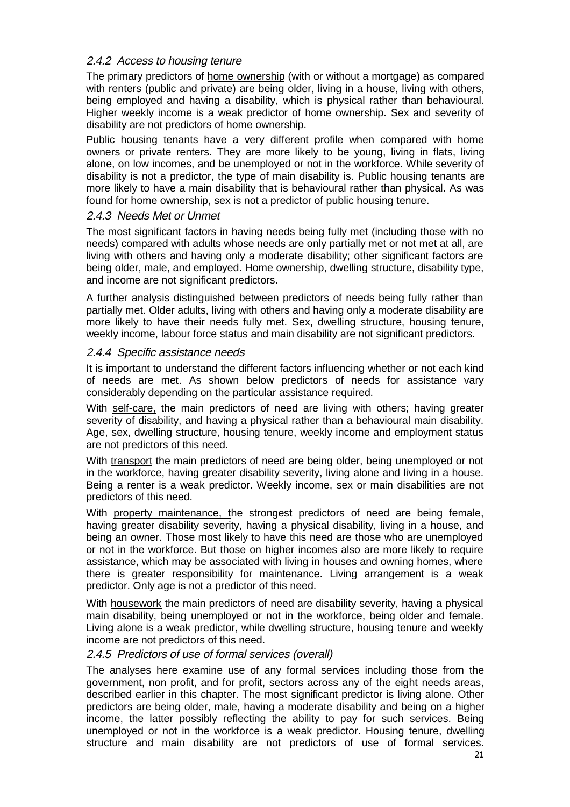### 2.4.2 Access to housing tenure

The primary predictors of home ownership (with or without a mortgage) as compared with renters (public and private) are being older, living in a house, living with others, being employed and having a disability, which is physical rather than behavioural. Higher weekly income is a weak predictor of home ownership. Sex and severity of disability are not predictors of home ownership.

Public housing tenants have a very different profile when compared with home owners or private renters. They are more likely to be young, living in flats, living alone, on low incomes, and be unemployed or not in the workforce. While severity of disability is not a predictor, the type of main disability is. Public housing tenants are more likely to have a main disability that is behavioural rather than physical. As was found for home ownership, sex is not a predictor of public housing tenure.

### 2.4.3 Needs Met or Unmet

The most significant factors in having needs being fully met (including those with no needs) compared with adults whose needs are only partially met or not met at all, are living with others and having only a moderate disability; other significant factors are being older, male, and employed. Home ownership, dwelling structure, disability type, and income are not significant predictors.

A further analysis distinguished between predictors of needs being fully rather than partially met. Older adults, living with others and having only a moderate disability are more likely to have their needs fully met. Sex, dwelling structure, housing tenure, weekly income, labour force status and main disability are not significant predictors.

#### 2.4.4 Specific assistance needs

It is important to understand the different factors influencing whether or not each kind of needs are met. As shown below predictors of needs for assistance vary considerably depending on the particular assistance required.

With self-care, the main predictors of need are living with others; having greater severity of disability, and having a physical rather than a behavioural main disability. Age, sex, dwelling structure, housing tenure, weekly income and employment status are not predictors of this need.

With transport the main predictors of need are being older, being unemployed or not in the workforce, having greater disability severity, living alone and living in a house. Being a renter is a weak predictor. Weekly income, sex or main disabilities are not predictors of this need.

With property maintenance, the strongest predictors of need are being female, having greater disability severity, having a physical disability, living in a house, and being an owner. Those most likely to have this need are those who are unemployed or not in the workforce. But those on higher incomes also are more likely to require assistance, which may be associated with living in houses and owning homes, where there is greater responsibility for maintenance. Living arrangement is a weak predictor. Only age is not a predictor of this need.

With housework the main predictors of need are disability severity, having a physical main disability, being unemployed or not in the workforce, being older and female. Living alone is a weak predictor, while dwelling structure, housing tenure and weekly income are not predictors of this need.

### 2.4.5 Predictors of use of formal services (overall)

The analyses here examine use of any formal services including those from the government, non profit, and for profit, sectors across any of the eight needs areas, described earlier in this chapter. The most significant predictor is living alone. Other predictors are being older, male, having a moderate disability and being on a higher income, the latter possibly reflecting the ability to pay for such services. Being unemployed or not in the workforce is a weak predictor. Housing tenure, dwelling structure and main disability are not predictors of use of formal services.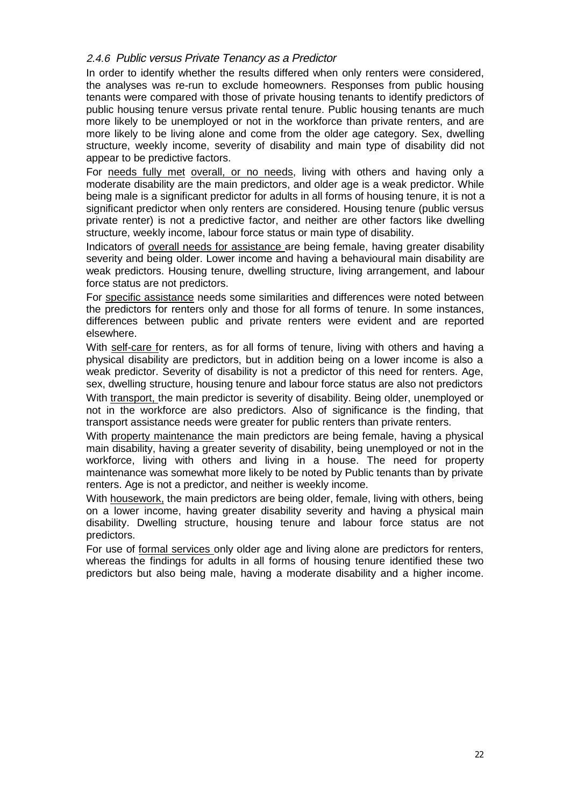### 2.4.6 Public versus Private Tenancy as a Predictor

In order to identify whether the results differed when only renters were considered, the analyses was re-run to exclude homeowners. Responses from public housing tenants were compared with those of private housing tenants to identify predictors of public housing tenure versus private rental tenure. Public housing tenants are much more likely to be unemployed or not in the workforce than private renters, and are more likely to be living alone and come from the older age category. Sex, dwelling structure, weekly income, severity of disability and main type of disability did not appear to be predictive factors.

For needs fully met overall, or no needs, living with others and having only a moderate disability are the main predictors, and older age is a weak predictor. While being male is a significant predictor for adults in all forms of housing tenure, it is not a significant predictor when only renters are considered. Housing tenure (public versus private renter) is not a predictive factor, and neither are other factors like dwelling structure, weekly income, labour force status or main type of disability.

Indicators of overall needs for assistance are being female, having greater disability severity and being older. Lower income and having a behavioural main disability are weak predictors. Housing tenure, dwelling structure, living arrangement, and labour force status are not predictors.

For specific assistance needs some similarities and differences were noted between the predictors for renters only and those for all forms of tenure. In some instances, differences between public and private renters were evident and are reported elsewhere.

With self-care for renters, as for all forms of tenure, living with others and having a physical disability are predictors, but in addition being on a lower income is also a weak predictor. Severity of disability is not a predictor of this need for renters. Age, sex, dwelling structure, housing tenure and labour force status are also not predictors With transport, the main predictor is severity of disability. Being older, unemployed or not in the workforce are also predictors. Also of significance is the finding, that transport assistance needs were greater for public renters than private renters.

With property maintenance the main predictors are being female, having a physical main disability, having a greater severity of disability, being unemployed or not in the workforce, living with others and living in a house. The need for property maintenance was somewhat more likely to be noted by Public tenants than by private renters. Age is not a predictor, and neither is weekly income.

With housework, the main predictors are being older, female, living with others, being on a lower income, having greater disability severity and having a physical main disability. Dwelling structure, housing tenure and labour force status are not predictors.

For use of formal services only older age and living alone are predictors for renters, whereas the findings for adults in all forms of housing tenure identified these two predictors but also being male, having a moderate disability and a higher income.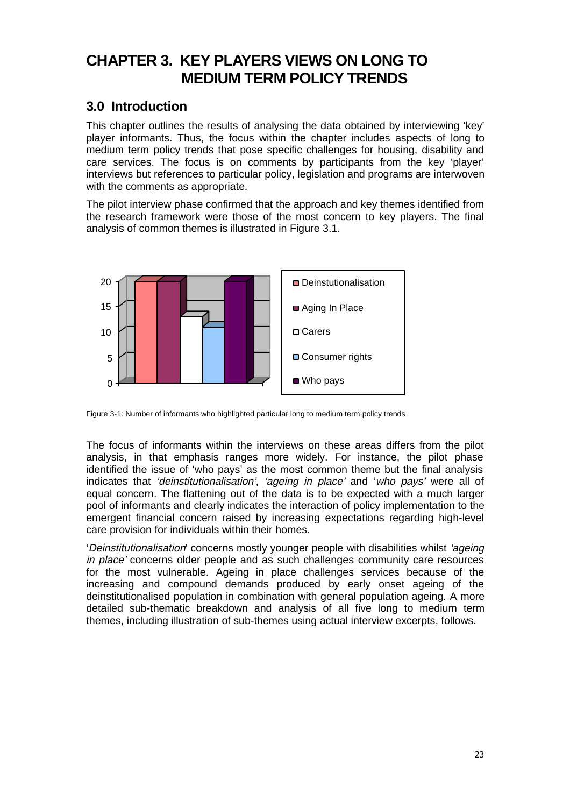# **CHAPTER 3. KEY PLAYERS VIEWS ON LONG TO MEDIUM TERM POLICY TRENDS**

# **3.0 Introduction**

This chapter outlines the results of analysing the data obtained by interviewing 'key' player informants. Thus, the focus within the chapter includes aspects of long to medium term policy trends that pose specific challenges for housing, disability and care services. The focus is on comments by participants from the key 'player' interviews but references to particular policy, legislation and programs are interwoven with the comments as appropriate.

The pilot interview phase confirmed that the approach and key themes identified from the research framework were those of the most concern to key players. The final analysis of common themes is illustrated in Figure 3.1.



Figure 3-1: Number of informants who highlighted particular long to medium term policy trends

The focus of informants within the interviews on these areas differs from the pilot analysis, in that emphasis ranges more widely. For instance, the pilot phase identified the issue of 'who pays' as the most common theme but the final analysis indicates that 'deinstitutionalisation', 'ageing in place' and 'who pays' were all of equal concern. The flattening out of the data is to be expected with a much larger pool of informants and clearly indicates the interaction of policy implementation to the emergent financial concern raised by increasing expectations regarding high-level care provision for individuals within their homes.

'Deinstitutionalisation' concerns mostly younger people with disabilities whilst 'ageing in place' concerns older people and as such challenges community care resources for the most vulnerable. Ageing in place challenges services because of the increasing and compound demands produced by early onset ageing of the deinstitutionalised population in combination with general population ageing. A more detailed sub-thematic breakdown and analysis of all five long to medium term themes, including illustration of sub-themes using actual interview excerpts, follows.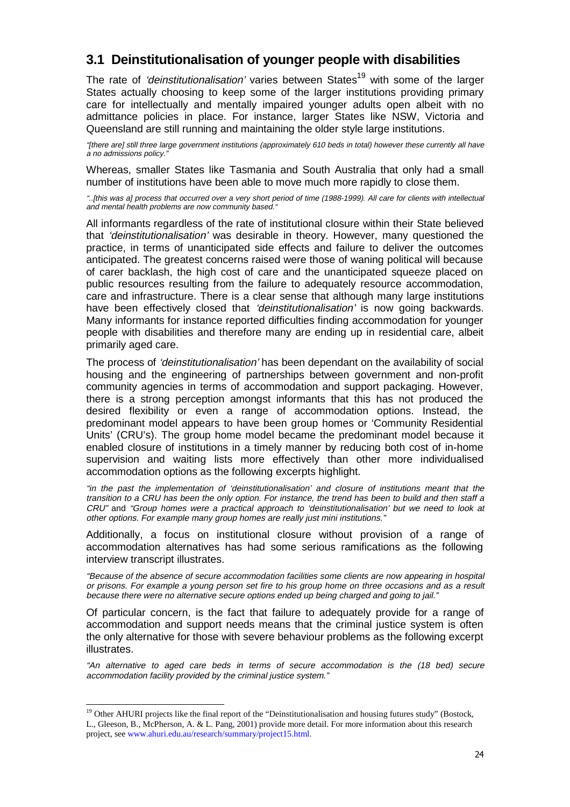# **3.1 Deinstitutionalisation of younger people with disabilities**

The rate of *'deinstitutionalisation'* varies between States<sup>19</sup> with some of the larger States actually choosing to keep some of the larger institutions providing primary care for intellectually and mentally impaired younger adults open albeit with no admittance policies in place. For instance, larger States like NSW, Victoria and Queensland are still running and maintaining the older style large institutions.

"[there are] still three large government institutions (approximately 610 beds in total) however these currently all have a no admissions policy."

Whereas, smaller States like Tasmania and South Australia that only had a small number of institutions have been able to move much more rapidly to close them.

"..[this was a] process that occurred over a very short period of time (1988-1999). All care for clients with intellectual and mental health problems are now community based."

All informants regardless of the rate of institutional closure within their State believed that 'deinstitutionalisation' was desirable in theory. However, many questioned the practice, in terms of unanticipated side effects and failure to deliver the outcomes anticipated. The greatest concerns raised were those of waning political will because of carer backlash, the high cost of care and the unanticipated squeeze placed on public resources resulting from the failure to adequately resource accommodation, care and infrastructure. There is a clear sense that although many large institutions have been effectively closed that 'deinstitutionalisation' is now going backwards. Many informants for instance reported difficulties finding accommodation for younger people with disabilities and therefore many are ending up in residential care, albeit primarily aged care.

The process of 'deinstitutionalisation' has been dependant on the availability of social housing and the engineering of partnerships between government and non-profit community agencies in terms of accommodation and support packaging. However, there is a strong perception amongst informants that this has not produced the desired flexibility or even a range of accommodation options. Instead, the predominant model appears to have been group homes or 'Community Residential Units' (CRU's). The group home model became the predominant model because it enabled closure of institutions in a timely manner by reducing both cost of in-home supervision and waiting lists more effectively than other more individualised accommodation options as the following excerpts highlight.

"in the past the implementation of 'deinstitutionalisation' and closure of institutions meant that the transition to a CRU has been the only option. For instance, the trend has been to build and then staff a CRU" and "Group homes were a practical approach to 'deinstitutionalisation' but we need to look at other options. For example many group homes are really just mini institutions."

Additionally, a focus on institutional closure without provision of a range of accommodation alternatives has had some serious ramifications as the following interview transcript illustrates.

"Because of the absence of secure accommodation facilities some clients are now appearing in hospital or prisons. For example a young person set fire to his group home on three occasions and as a result because there were no alternative secure options ended up being charged and going to jail."

Of particular concern, is the fact that failure to adequately provide for a range of accommodation and support needs means that the criminal justice system is often the only alternative for those with severe behaviour problems as the following excerpt illustrates.

"An alternative to aged care beds in terms of secure accommodation is the (18 bed) secure accommodation facility provided by the criminal justice system."

-

 $19$  Other AHURI projects like the final report of the "Deinstitutionalisation and housing futures study" (Bostock, L., Gleeson, B., McPherson, A. & L. Pang, 2001) provide more detail. For more information about this research project, see www.ahuri.edu.au/research/summary/project15.html.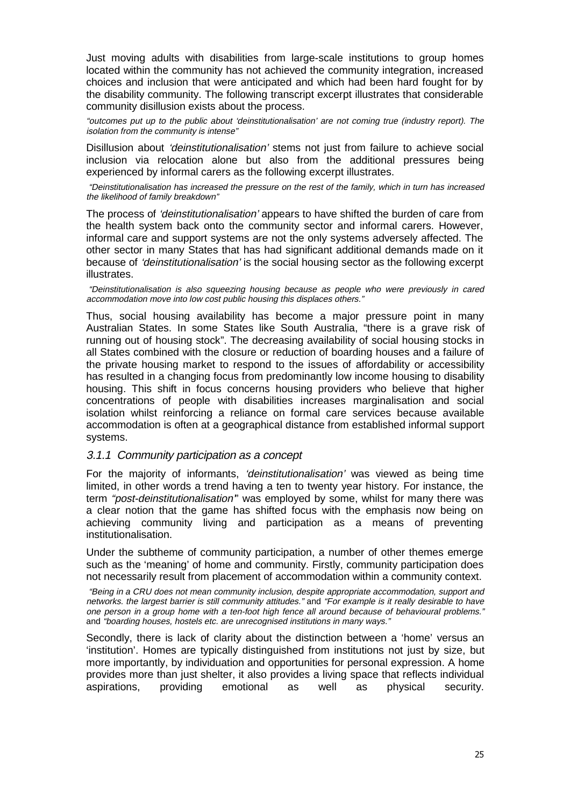Just moving adults with disabilities from large-scale institutions to group homes located within the community has not achieved the community integration, increased choices and inclusion that were anticipated and which had been hard fought for by the disability community. The following transcript excerpt illustrates that considerable community disillusion exists about the process.

"outcomes put up to the public about 'deinstitutionalisation' are not coming true (industry report). The isolation from the community is intense"

Disillusion about 'deinstitutionalisation' stems not just from failure to achieve social inclusion via relocation alone but also from the additional pressures being experienced by informal carers as the following excerpt illustrates.

 "Deinstitutionalisation has increased the pressure on the rest of the family, which in turn has increased the likelihood of family breakdown"

The process of 'deinstitutionalisation' appears to have shifted the burden of care from the health system back onto the community sector and informal carers. However, informal care and support systems are not the only systems adversely affected. The other sector in many States that has had significant additional demands made on it because of 'deinstitutionalisation' is the social housing sector as the following excerpt illustrates.

 "Deinstitutionalisation is also squeezing housing because as people who were previously in cared accommodation move into low cost public housing this displaces others."

Thus, social housing availability has become a major pressure point in many Australian States. In some States like South Australia, "there is a grave risk of running out of housing stock". The decreasing availability of social housing stocks in all States combined with the closure or reduction of boarding houses and a failure of the private housing market to respond to the issues of affordability or accessibility has resulted in a changing focus from predominantly low income housing to disability housing. This shift in focus concerns housing providers who believe that higher concentrations of people with disabilities increases marginalisation and social isolation whilst reinforcing a reliance on formal care services because available accommodation is often at a geographical distance from established informal support systems.

#### 3.1.1 Community participation as a concept

For the majority of informants, 'deinstitutionalisation' was viewed as being time limited, in other words a trend having a ten to twenty year history. For instance, the term "post-deinstitutionalisation'" was employed by some, whilst for many there was a clear notion that the game has shifted focus with the emphasis now being on achieving community living and participation as a means of preventing institutionalisation.

Under the subtheme of community participation, a number of other themes emerge such as the 'meaning' of home and community. Firstly, community participation does not necessarily result from placement of accommodation within a community context.

 "Being in a CRU does not mean community inclusion, despite appropriate accommodation, support and networks. the largest barrier is still community attitudes." and "For example is it really desirable to have one person in a group home with a ten-foot high fence all around because of behavioural problems." and "boarding houses, hostels etc. are unrecognised institutions in many ways."

Secondly, there is lack of clarity about the distinction between a 'home' versus an 'institution'. Homes are typically distinguished from institutions not just by size, but more importantly, by individuation and opportunities for personal expression. A home provides more than just shelter, it also provides a living space that reflects individual aspirations, providing emotional as well as physical security.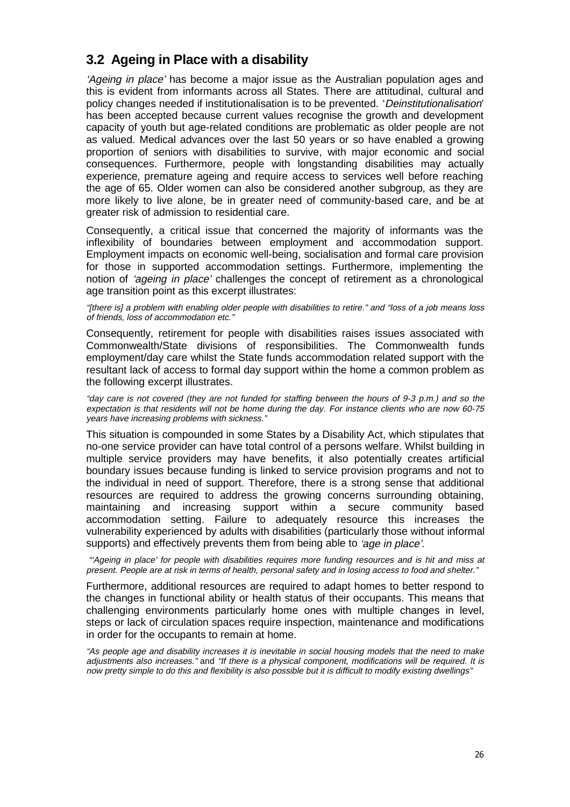# **3.2 Ageing in Place with a disability**

'Ageing in place' has become a major issue as the Australian population ages and this is evident from informants across all States. There are attitudinal, cultural and policy changes needed if institutionalisation is to be prevented. 'Deinstitutionalisation' has been accepted because current values recognise the growth and development capacity of youth but age-related conditions are problematic as older people are not as valued. Medical advances over the last 50 years or so have enabled a growing proportion of seniors with disabilities to survive, with major economic and social consequences. Furthermore, people with longstanding disabilities may actually experience, premature ageing and require access to services well before reaching the age of 65. Older women can also be considered another subgroup, as they are more likely to live alone, be in greater need of community-based care, and be at greater risk of admission to residential care.

Consequently, a critical issue that concerned the majority of informants was the inflexibility of boundaries between employment and accommodation support. Employment impacts on economic well-being, socialisation and formal care provision for those in supported accommodation settings. Furthermore, implementing the notion of 'ageing in place' challenges the concept of retirement as a chronological age transition point as this excerpt illustrates:

"[there is] a problem with enabling older people with disabilities to retire." and "loss of a job means loss of friends, loss of accommodation etc."

Consequently, retirement for people with disabilities raises issues associated with Commonwealth/State divisions of responsibilities. The Commonwealth funds employment/day care whilst the State funds accommodation related support with the resultant lack of access to formal day support within the home a common problem as the following excerpt illustrates.

"day care is not covered (they are not funded for staffing between the hours of 9-3 p.m.) and so the expectation is that residents will not be home during the day. For instance clients who are now 60-75 years have increasing problems with sickness."

This situation is compounded in some States by a Disability Act, which stipulates that no-one service provider can have total control of a persons welfare. Whilst building in multiple service providers may have benefits, it also potentially creates artificial boundary issues because funding is linked to service provision programs and not to the individual in need of support. Therefore, there is a strong sense that additional resources are required to address the growing concerns surrounding obtaining, maintaining and increasing support within a secure community based accommodation setting. Failure to adequately resource this increases the vulnerability experienced by adults with disabilities (particularly those without informal supports) and effectively prevents them from being able to 'age in place'.

 "'Ageing in place' for people with disabilities requires more funding resources and is hit and miss at present. People are at risk in terms of health, personal safety and in losing access to food and shelter."

Furthermore, additional resources are required to adapt homes to better respond to the changes in functional ability or health status of their occupants. This means that challenging environments particularly home ones with multiple changes in level, steps or lack of circulation spaces require inspection, maintenance and modifications in order for the occupants to remain at home.

"As people age and disability increases it is inevitable in social housing models that the need to make adjustments also increases." and "If there is a physical component, modifications will be required. It is now pretty simple to do this and flexibility is also possible but it is difficult to modify existing dwellings"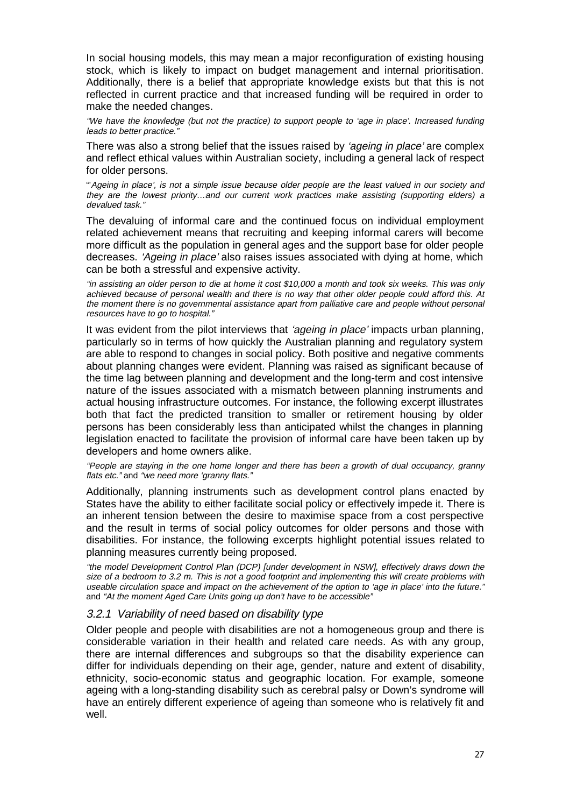In social housing models, this may mean a major reconfiguration of existing housing stock, which is likely to impact on budget management and internal prioritisation. Additionally, there is a belief that appropriate knowledge exists but that this is not reflected in current practice and that increased funding will be required in order to make the needed changes.

"We have the knowledge (but not the practice) to support people to 'age in place'. Increased funding leads to better practice."

There was also a strong belief that the issues raised by 'ageing in place' are complex and reflect ethical values within Australian society, including a general lack of respect for older persons.

"'Ageing in place', is not a simple issue because older people are the least valued in our society and they are the lowest priority…and our current work practices make assisting (supporting elders) a devalued task."

The devaluing of informal care and the continued focus on individual employment related achievement means that recruiting and keeping informal carers will become more difficult as the population in general ages and the support base for older people decreases. 'Ageing in place' also raises issues associated with dying at home, which can be both a stressful and expensive activity.

"in assisting an older person to die at home it cost \$10,000 a month and took six weeks. This was only achieved because of personal wealth and there is no way that other older people could afford this. At the moment there is no governmental assistance apart from palliative care and people without personal resources have to go to hospital."

It was evident from the pilot interviews that 'ageing in place' impacts urban planning, particularly so in terms of how quickly the Australian planning and regulatory system are able to respond to changes in social policy. Both positive and negative comments about planning changes were evident. Planning was raised as significant because of the time lag between planning and development and the long-term and cost intensive nature of the issues associated with a mismatch between planning instruments and actual housing infrastructure outcomes. For instance, the following excerpt illustrates both that fact the predicted transition to smaller or retirement housing by older persons has been considerably less than anticipated whilst the changes in planning legislation enacted to facilitate the provision of informal care have been taken up by developers and home owners alike.

"People are staying in the one home longer and there has been a growth of dual occupancy, granny flats etc." and "we need more 'granny flats."

Additionally, planning instruments such as development control plans enacted by States have the ability to either facilitate social policy or effectively impede it. There is an inherent tension between the desire to maximise space from a cost perspective and the result in terms of social policy outcomes for older persons and those with disabilities. For instance, the following excerpts highlight potential issues related to planning measures currently being proposed.

"the model Development Control Plan (DCP) [under development in NSW], effectively draws down the size of a bedroom to 3.2 m. This is not a good footprint and implementing this will create problems with useable circulation space and impact on the achievement of the option to 'age in place' into the future." and "At the moment Aged Care Units going up don't have to be accessible"

#### 3.2.1 Variability of need based on disability type

Older people and people with disabilities are not a homogeneous group and there is considerable variation in their health and related care needs. As with any group, there are internal differences and subgroups so that the disability experience can differ for individuals depending on their age, gender, nature and extent of disability, ethnicity, socio-economic status and geographic location. For example, someone ageing with a long-standing disability such as cerebral palsy or Down's syndrome will have an entirely different experience of ageing than someone who is relatively fit and well.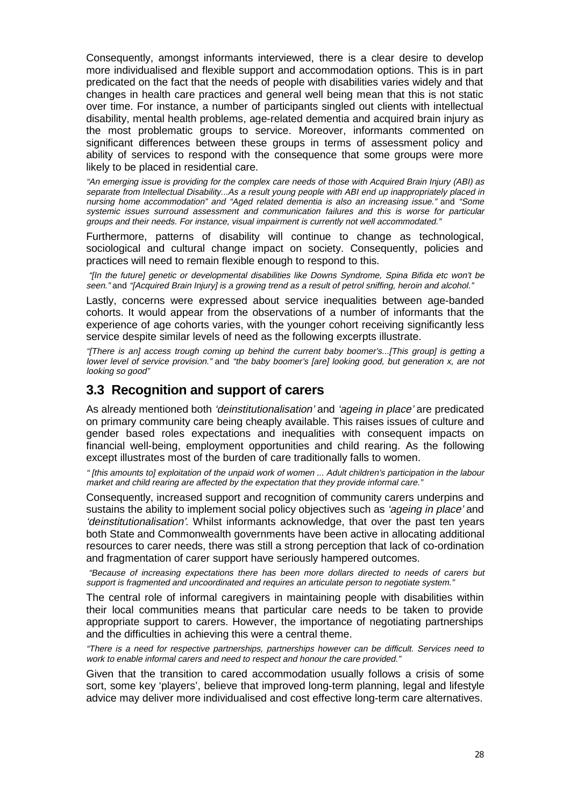Consequently, amongst informants interviewed, there is a clear desire to develop more individualised and flexible support and accommodation options. This is in part predicated on the fact that the needs of people with disabilities varies widely and that changes in health care practices and general well being mean that this is not static over time. For instance, a number of participants singled out clients with intellectual disability, mental health problems, age-related dementia and acquired brain injury as the most problematic groups to service. Moreover, informants commented on significant differences between these groups in terms of assessment policy and ability of services to respond with the consequence that some groups were more likely to be placed in residential care.

"An emerging issue is providing for the complex care needs of those with Acquired Brain Injury (ABI) as separate from Intellectual Disability...As a result young people with ABI end up inappropriately placed in nursing home accommodation" and "Aged related dementia is also an increasing issue." and "Some systemic issues surround assessment and communication failures and this is worse for particular groups and their needs. For instance, visual impairment is currently not well accommodated."

Furthermore, patterns of disability will continue to change as technological, sociological and cultural change impact on society. Consequently, policies and practices will need to remain flexible enough to respond to this.

 "[In the future] genetic or developmental disabilities like Downs Syndrome, Spina Bifida etc won't be seen." and "[Acquired Brain Injury] is a growing trend as a result of petrol sniffing, heroin and alcohol."

Lastly, concerns were expressed about service inequalities between age-banded cohorts. It would appear from the observations of a number of informants that the experience of age cohorts varies, with the younger cohort receiving significantly less service despite similar levels of need as the following excerpts illustrate.

"[There is an] access trough coming up behind the current baby boomer's...[This group] is getting a lower level of service provision." and "the baby boomer's [are] looking good, but generation x, are not looking so good"

## **3.3 Recognition and support of carers**

As already mentioned both 'deinstitutionalisation' and 'ageing in place' are predicated on primary community care being cheaply available. This raises issues of culture and gender based roles expectations and inequalities with consequent impacts on financial well-being, employment opportunities and child rearing. As the following except illustrates most of the burden of care traditionally falls to women.

" [this amounts to] exploitation of the unpaid work of women ... Adult children's participation in the labour market and child rearing are affected by the expectation that they provide informal care."

Consequently, increased support and recognition of community carers underpins and sustains the ability to implement social policy objectives such as 'ageing in place' and 'deinstitutionalisation'. Whilst informants acknowledge, that over the past ten years both State and Commonwealth governments have been active in allocating additional resources to carer needs, there was still a strong perception that lack of co-ordination and fragmentation of carer support have seriously hampered outcomes.

 "Because of increasing expectations there has been more dollars directed to needs of carers but support is fragmented and uncoordinated and requires an articulate person to negotiate system."

The central role of informal caregivers in maintaining people with disabilities within their local communities means that particular care needs to be taken to provide appropriate support to carers. However, the importance of negotiating partnerships and the difficulties in achieving this were a central theme.

"There is a need for respective partnerships, partnerships however can be difficult. Services need to work to enable informal carers and need to respect and honour the care provided."

Given that the transition to cared accommodation usually follows a crisis of some sort, some key 'players', believe that improved long-term planning, legal and lifestyle advice may deliver more individualised and cost effective long-term care alternatives.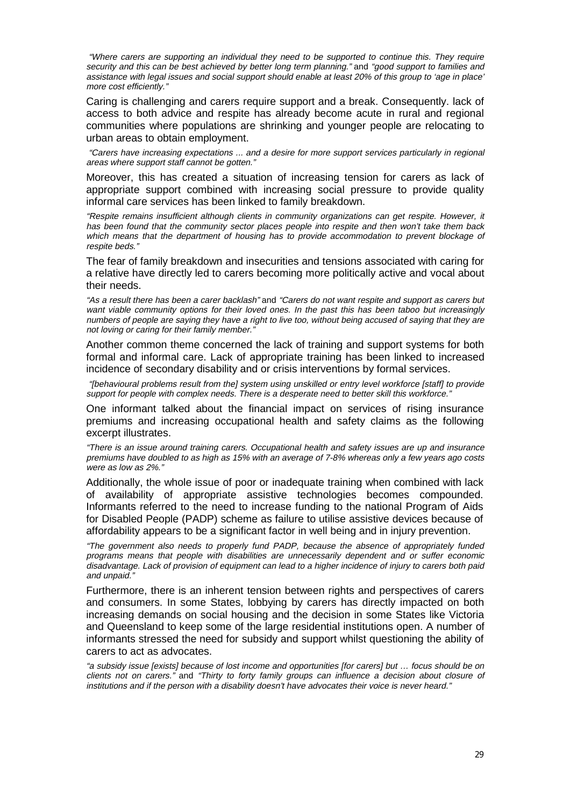"Where carers are supporting an individual they need to be supported to continue this. They require security and this can be best achieved by better long term planning." and "good support to families and assistance with legal issues and social support should enable at least 20% of this group to 'age in place' more cost efficiently."

Caring is challenging and carers require support and a break. Consequently. lack of access to both advice and respite has already become acute in rural and regional communities where populations are shrinking and younger people are relocating to urban areas to obtain employment.

 "Carers have increasing expectations ... and a desire for more support services particularly in regional areas where support staff cannot be gotten."

Moreover, this has created a situation of increasing tension for carers as lack of appropriate support combined with increasing social pressure to provide quality informal care services has been linked to family breakdown.

"Respite remains insufficient although clients in community organizations can get respite. However, it has been found that the community sector places people into respite and then won't take them back which means that the department of housing has to provide accommodation to prevent blockage of respite beds."

The fear of family breakdown and insecurities and tensions associated with caring for a relative have directly led to carers becoming more politically active and vocal about their needs.

"As a result there has been a carer backlash" and "Carers do not want respite and support as carers but want viable community options for their loved ones. In the past this has been taboo but increasingly numbers of people are saying they have a right to live too, without being accused of saying that they are not loving or caring for their family member."

Another common theme concerned the lack of training and support systems for both formal and informal care. Lack of appropriate training has been linked to increased incidence of secondary disability and or crisis interventions by formal services.

 "[behavioural problems result from the] system using unskilled or entry level workforce [staff] to provide support for people with complex needs. There is a desperate need to better skill this workforce."

One informant talked about the financial impact on services of rising insurance premiums and increasing occupational health and safety claims as the following excerpt illustrates.

"There is an issue around training carers. Occupational health and safety issues are up and insurance premiums have doubled to as high as 15% with an average of 7-8% whereas only a few years ago costs were as low as 2%."

Additionally, the whole issue of poor or inadequate training when combined with lack of availability of appropriate assistive technologies becomes compounded. Informants referred to the need to increase funding to the national Program of Aids for Disabled People (PADP) scheme as failure to utilise assistive devices because of affordability appears to be a significant factor in well being and in injury prevention.

"The government also needs to properly fund PADP, because the absence of appropriately funded programs means that people with disabilities are unnecessarily dependent and or suffer economic disadvantage. Lack of provision of equipment can lead to a higher incidence of injury to carers both paid and unpaid."

Furthermore, there is an inherent tension between rights and perspectives of carers and consumers. In some States, lobbying by carers has directly impacted on both increasing demands on social housing and the decision in some States like Victoria and Queensland to keep some of the large residential institutions open. A number of informants stressed the need for subsidy and support whilst questioning the ability of carers to act as advocates.

"a subsidy issue [exists] because of lost income and opportunities [for carers] but … focus should be on clients not on carers." and "Thirty to forty family groups can influence a decision about closure of institutions and if the person with a disability doesn't have advocates their voice is never heard."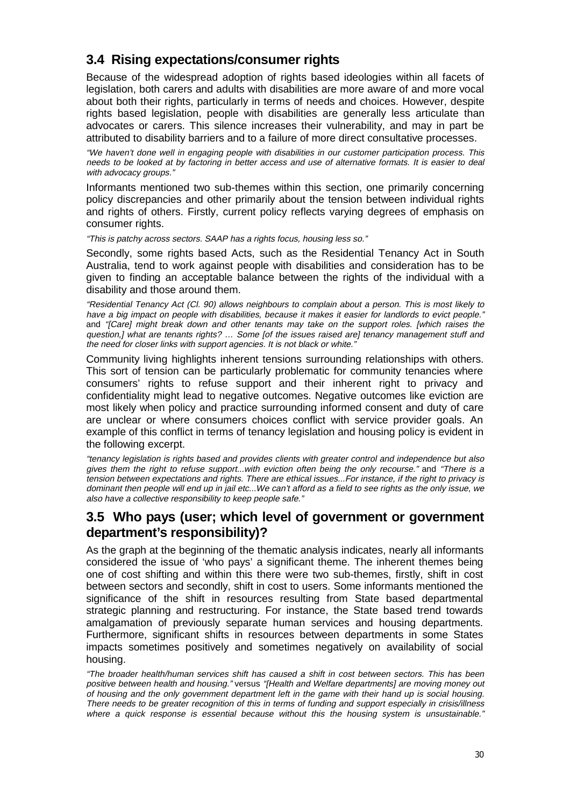# **3.4 Rising expectations/consumer rights**

Because of the widespread adoption of rights based ideologies within all facets of legislation, both carers and adults with disabilities are more aware of and more vocal about both their rights, particularly in terms of needs and choices. However, despite rights based legislation, people with disabilities are generally less articulate than advocates or carers. This silence increases their vulnerability, and may in part be attributed to disability barriers and to a failure of more direct consultative processes.

"We haven't done well in engaging people with disabilities in our customer participation process. This needs to be looked at by factoring in better access and use of alternative formats. It is easier to deal with advocacy groups."

Informants mentioned two sub-themes within this section, one primarily concerning policy discrepancies and other primarily about the tension between individual rights and rights of others. Firstly, current policy reflects varying degrees of emphasis on consumer rights.

"This is patchy across sectors. SAAP has a rights focus, housing less so."

Secondly, some rights based Acts, such as the Residential Tenancy Act in South Australia, tend to work against people with disabilities and consideration has to be given to finding an acceptable balance between the rights of the individual with a disability and those around them.

"Residential Tenancy Act (Cl. 90) allows neighbours to complain about a person. This is most likely to have a big impact on people with disabilities, because it makes it easier for landlords to evict people." and "[Care] might break down and other tenants may take on the support roles. [which raises the question,] what are tenants rights? ... Some [of the issues raised are] tenancy management stuff and the need for closer links with support agencies. It is not black or white."

Community living highlights inherent tensions surrounding relationships with others. This sort of tension can be particularly problematic for community tenancies where consumers' rights to refuse support and their inherent right to privacy and confidentiality might lead to negative outcomes. Negative outcomes like eviction are most likely when policy and practice surrounding informed consent and duty of care are unclear or where consumers choices conflict with service provider goals. An example of this conflict in terms of tenancy legislation and housing policy is evident in the following excerpt.

"tenancy legislation is rights based and provides clients with greater control and independence but also gives them the right to refuse support...with eviction often being the only recourse." and "There is a tension between expectations and rights. There are ethical issues...For instance, if the right to privacy is dominant then people will end up in jail etc...We can't afford as a field to see rights as the only issue, we also have a collective responsibility to keep people safe."

## **3.5 Who pays (user; which level of government or government department's responsibility)?**

As the graph at the beginning of the thematic analysis indicates, nearly all informants considered the issue of 'who pays' a significant theme. The inherent themes being one of cost shifting and within this there were two sub-themes, firstly, shift in cost between sectors and secondly, shift in cost to users. Some informants mentioned the significance of the shift in resources resulting from State based departmental strategic planning and restructuring. For instance, the State based trend towards amalgamation of previously separate human services and housing departments. Furthermore, significant shifts in resources between departments in some States impacts sometimes positively and sometimes negatively on availability of social housing.

"The broader health/human services shift has caused a shift in cost between sectors. This has been positive between health and housing." versus "[Health and Welfare departments] are moving money out of housing and the only government department left in the game with their hand up is social housing. There needs to be greater recognition of this in terms of funding and support especially in crisis/illness where a quick response is essential because without this the housing system is unsustainable."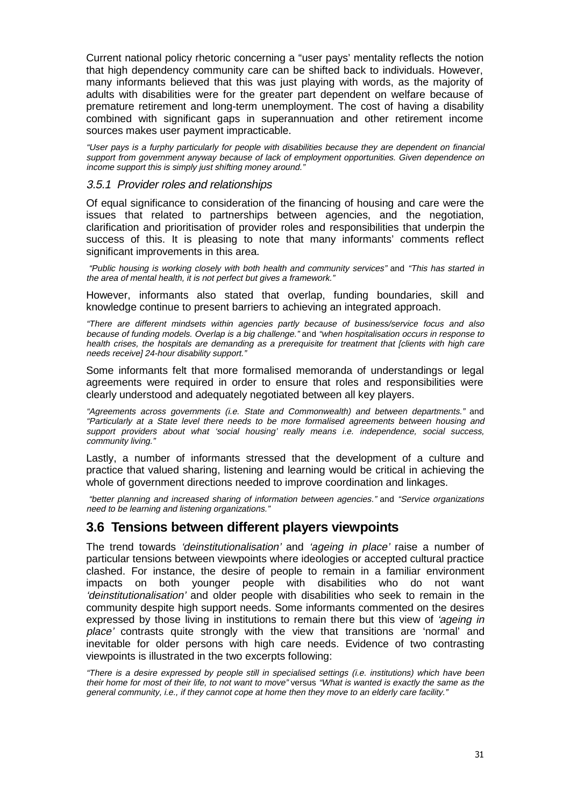Current national policy rhetoric concerning a "user pays' mentality reflects the notion that high dependency community care can be shifted back to individuals. However, many informants believed that this was just playing with words, as the majority of adults with disabilities were for the greater part dependent on welfare because of premature retirement and long-term unemployment. The cost of having a disability combined with significant gaps in superannuation and other retirement income sources makes user payment impracticable.

"User pays is a furphy particularly for people with disabilities because they are dependent on financial support from government anyway because of lack of employment opportunities. Given dependence on income support this is simply just shifting money around."

#### 3.5.1 Provider roles and relationships

Of equal significance to consideration of the financing of housing and care were the issues that related to partnerships between agencies, and the negotiation, clarification and prioritisation of provider roles and responsibilities that underpin the success of this. It is pleasing to note that many informants' comments reflect significant improvements in this area.

 "Public housing is working closely with both health and community services" and "This has started in the area of mental health, it is not perfect but gives a framework."

However, informants also stated that overlap, funding boundaries, skill and knowledge continue to present barriers to achieving an integrated approach.

"There are different mindsets within agencies partly because of business/service focus and also because of funding models. Overlap is a big challenge." and "when hospitalisation occurs in response to health crises, the hospitals are demanding as a prerequisite for treatment that [clients with high care needs receive] 24-hour disability support."

Some informants felt that more formalised memoranda of understandings or legal agreements were required in order to ensure that roles and responsibilities were clearly understood and adequately negotiated between all key players.

"Agreements across governments (i.e. State and Commonwealth) and between departments." and "Particularly at a State level there needs to be more formalised agreements between housing and support providers about what 'social housing' really means i.e. independence, social success, community living.'

Lastly, a number of informants stressed that the development of a culture and practice that valued sharing, listening and learning would be critical in achieving the whole of government directions needed to improve coordination and linkages.

 "better planning and increased sharing of information between agencies." and "Service organizations need to be learning and listening organizations."

## **3.6 Tensions between different players viewpoints**

The trend towards 'deinstitutionalisation' and 'ageing in place' raise a number of particular tensions between viewpoints where ideologies or accepted cultural practice clashed. For instance, the desire of people to remain in a familiar environment impacts on both younger people with disabilities who do not want 'deinstitutionalisation' and older people with disabilities who seek to remain in the community despite high support needs. Some informants commented on the desires expressed by those living in institutions to remain there but this view of 'ageing in place' contrasts quite strongly with the view that transitions are 'normal' and inevitable for older persons with high care needs. Evidence of two contrasting viewpoints is illustrated in the two excerpts following:

"There is a desire expressed by people still in specialised settings (i.e. institutions) which have been their home for most of their life, to not want to move" versus "What is wanted is exactly the same as the general community, i.e., if they cannot cope at home then they move to an elderly care facility."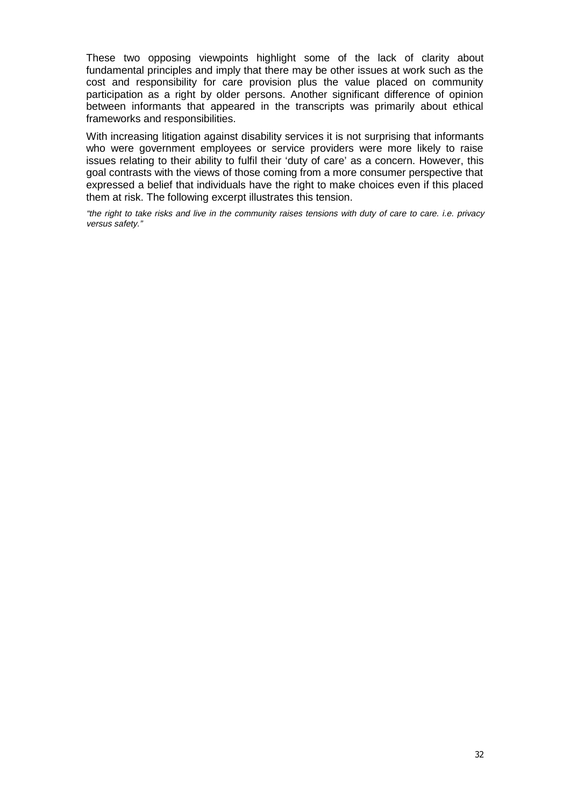These two opposing viewpoints highlight some of the lack of clarity about fundamental principles and imply that there may be other issues at work such as the cost and responsibility for care provision plus the value placed on community participation as a right by older persons. Another significant difference of opinion between informants that appeared in the transcripts was primarily about ethical frameworks and responsibilities.

With increasing litigation against disability services it is not surprising that informants who were government employees or service providers were more likely to raise issues relating to their ability to fulfil their 'duty of care' as a concern. However, this goal contrasts with the views of those coming from a more consumer perspective that expressed a belief that individuals have the right to make choices even if this placed them at risk. The following excerpt illustrates this tension.

"the right to take risks and live in the community raises tensions with duty of care to care. i.e. privacy versus safety."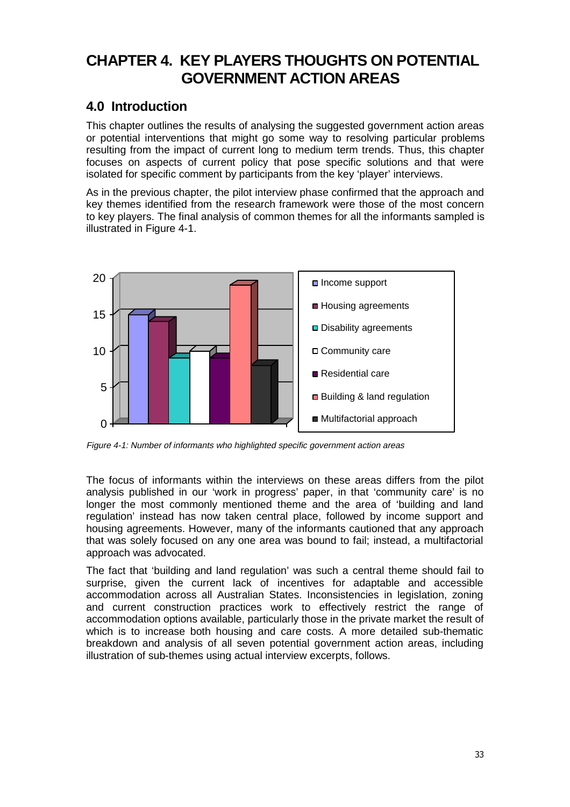# **CHAPTER 4. KEY PLAYERS THOUGHTS ON POTENTIAL GOVERNMENT ACTION AREAS**

# **4.0 Introduction**

This chapter outlines the results of analysing the suggested government action areas or potential interventions that might go some way to resolving particular problems resulting from the impact of current long to medium term trends. Thus, this chapter focuses on aspects of current policy that pose specific solutions and that were isolated for specific comment by participants from the key 'player' interviews.

As in the previous chapter, the pilot interview phase confirmed that the approach and key themes identified from the research framework were those of the most concern to key players. The final analysis of common themes for all the informants sampled is illustrated in Figure 4-1.



Figure 4-1: Number of informants who highlighted specific government action areas

The focus of informants within the interviews on these areas differs from the pilot analysis published in our 'work in progress' paper, in that 'community care' is no longer the most commonly mentioned theme and the area of 'building and land regulation' instead has now taken central place, followed by income support and housing agreements. However, many of the informants cautioned that any approach that was solely focused on any one area was bound to fail; instead, a multifactorial approach was advocated.

The fact that 'building and land regulation' was such a central theme should fail to surprise, given the current lack of incentives for adaptable and accessible accommodation across all Australian States. Inconsistencies in legislation, zoning and current construction practices work to effectively restrict the range of accommodation options available, particularly those in the private market the result of which is to increase both housing and care costs. A more detailed sub-thematic breakdown and analysis of all seven potential government action areas, including illustration of sub-themes using actual interview excerpts, follows.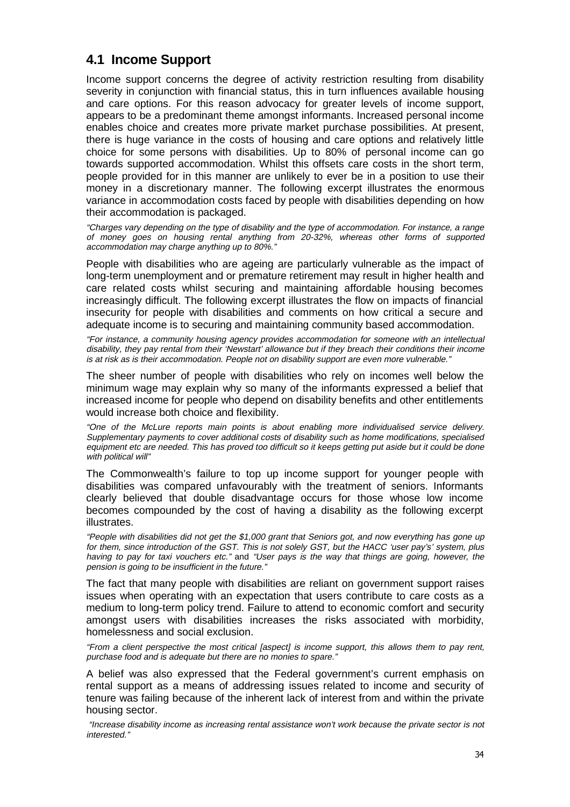# **4.1 Income Support**

Income support concerns the degree of activity restriction resulting from disability severity in conjunction with financial status, this in turn influences available housing and care options. For this reason advocacy for greater levels of income support, appears to be a predominant theme amongst informants. Increased personal income enables choice and creates more private market purchase possibilities. At present, there is huge variance in the costs of housing and care options and relatively little choice for some persons with disabilities. Up to 80% of personal income can go towards supported accommodation. Whilst this offsets care costs in the short term, people provided for in this manner are unlikely to ever be in a position to use their money in a discretionary manner. The following excerpt illustrates the enormous variance in accommodation costs faced by people with disabilities depending on how their accommodation is packaged.

"Charges vary depending on the type of disability and the type of accommodation. For instance, a range of money goes on housing rental anything from 20-32%, whereas other forms of supported accommodation may charge anything up to 80%."

People with disabilities who are ageing are particularly vulnerable as the impact of long-term unemployment and or premature retirement may result in higher health and care related costs whilst securing and maintaining affordable housing becomes increasingly difficult. The following excerpt illustrates the flow on impacts of financial insecurity for people with disabilities and comments on how critical a secure and adequate income is to securing and maintaining community based accommodation.

"For instance, a community housing agency provides accommodation for someone with an intellectual disability, they pay rental from their 'Newstart' allowance but if they breach their conditions their income is at risk as is their accommodation. People not on disability support are even more vulnerable."

The sheer number of people with disabilities who rely on incomes well below the minimum wage may explain why so many of the informants expressed a belief that increased income for people who depend on disability benefits and other entitlements would increase both choice and flexibility.

"One of the McLure reports main points is about enabling more individualised service delivery. Supplementary payments to cover additional costs of disability such as home modifications, specialised equipment etc are needed. This has proved too difficult so it keeps getting put aside but it could be done with political will"

The Commonwealth's failure to top up income support for younger people with disabilities was compared unfavourably with the treatment of seniors. Informants clearly believed that double disadvantage occurs for those whose low income becomes compounded by the cost of having a disability as the following excerpt illustrates.

"People with disabilities did not get the \$1,000 grant that Seniors got, and now everything has gone up for them, since introduction of the GST. This is not solely GST, but the HACC 'user pay's' system, plus having to pay for taxi vouchers etc." and "User pays is the way that things are going, however, the pension is going to be insufficient in the future."

The fact that many people with disabilities are reliant on government support raises issues when operating with an expectation that users contribute to care costs as a medium to long-term policy trend. Failure to attend to economic comfort and security amongst users with disabilities increases the risks associated with morbidity, homelessness and social exclusion.

"From a client perspective the most critical [aspect] is income support, this allows them to pay rent, purchase food and is adequate but there are no monies to spare."

A belief was also expressed that the Federal government's current emphasis on rental support as a means of addressing issues related to income and security of tenure was failing because of the inherent lack of interest from and within the private housing sector.

 "Increase disability income as increasing rental assistance won't work because the private sector is not interested."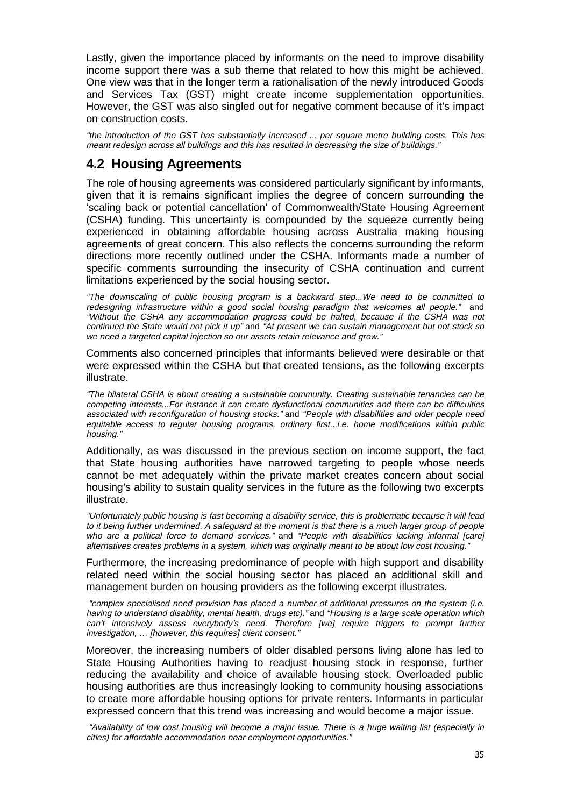Lastly, given the importance placed by informants on the need to improve disability income support there was a sub theme that related to how this might be achieved. One view was that in the longer term a rationalisation of the newly introduced Goods and Services Tax (GST) might create income supplementation opportunities. However, the GST was also singled out for negative comment because of it's impact on construction costs.

"the introduction of the GST has substantially increased ... per square metre building costs. This has meant redesign across all buildings and this has resulted in decreasing the size of buildings."

## **4.2 Housing Agreements**

The role of housing agreements was considered particularly significant by informants, given that it is remains significant implies the degree of concern surrounding the 'scaling back or potential cancellation' of Commonwealth/State Housing Agreement (CSHA) funding. This uncertainty is compounded by the squeeze currently being experienced in obtaining affordable housing across Australia making housing agreements of great concern. This also reflects the concerns surrounding the reform directions more recently outlined under the CSHA. Informants made a number of specific comments surrounding the insecurity of CSHA continuation and current limitations experienced by the social housing sector.

"The downscaling of public housing program is a backward step...We need to be committed to redesigning infrastructure within a good social housing paradigm that welcomes all people." and "Without the CSHA any accommodation progress could be halted, because if the CSHA was not continued the State would not pick it up" and "At present we can sustain management but not stock so we need a targeted capital injection so our assets retain relevance and grow."

Comments also concerned principles that informants believed were desirable or that were expressed within the CSHA but that created tensions, as the following excerpts illustrate.

"The bilateral CSHA is about creating a sustainable community. Creating sustainable tenancies can be competing interests...For instance it can create dysfunctional communities and there can be difficulties associated with reconfiguration of housing stocks." and "People with disabilities and older people need equitable access to regular housing programs, ordinary first...i.e. home modifications within public housing."

Additionally, as was discussed in the previous section on income support, the fact that State housing authorities have narrowed targeting to people whose needs cannot be met adequately within the private market creates concern about social housing's ability to sustain quality services in the future as the following two excerpts illustrate.

"Unfortunately public housing is fast becoming a disability service, this is problematic because it will lead to it being further undermined. A safeguard at the moment is that there is a much larger group of people who are a political force to demand services." and "People with disabilities lacking informal [care] alternatives creates problems in a system, which was originally meant to be about low cost housing."

Furthermore, the increasing predominance of people with high support and disability related need within the social housing sector has placed an additional skill and management burden on housing providers as the following excerpt illustrates.

 "complex specialised need provision has placed a number of additional pressures on the system (i.e. having to understand disability, mental health, drugs etc)." and "Housing is a large scale operation which can't intensively assess everybody's need. Therefore [we] require triggers to prompt further investigation, … [however, this requires] client consent."

Moreover, the increasing numbers of older disabled persons living alone has led to State Housing Authorities having to readjust housing stock in response, further reducing the availability and choice of available housing stock. Overloaded public housing authorities are thus increasingly looking to community housing associations to create more affordable housing options for private renters. Informants in particular expressed concern that this trend was increasing and would become a major issue.

 "Availability of low cost housing will become a major issue. There is a huge waiting list (especially in cities) for affordable accommodation near employment opportunities."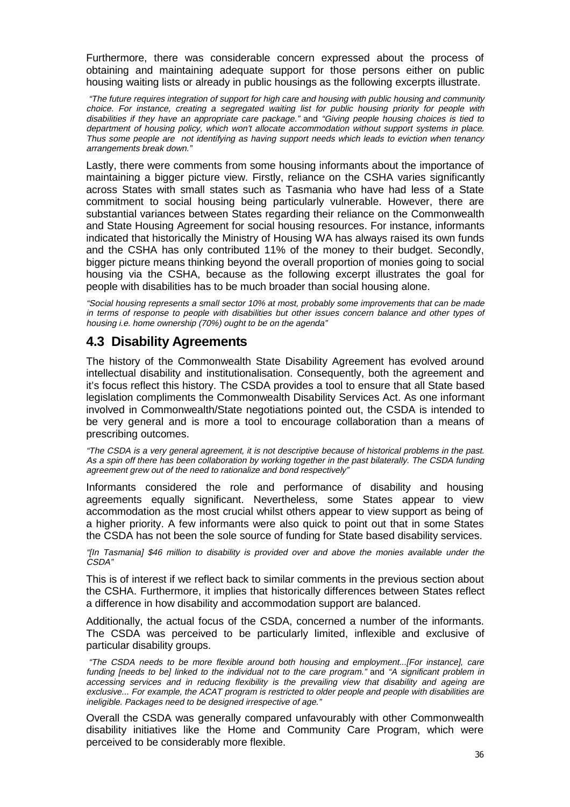Furthermore, there was considerable concern expressed about the process of obtaining and maintaining adequate support for those persons either on public housing waiting lists or already in public housings as the following excerpts illustrate.

 "The future requires integration of support for high care and housing with public housing and community choice. For instance, creating a segregated waiting list for public housing priority for people with disabilities if they have an appropriate care package." and "Giving people housing choices is tied to department of housing policy, which won't allocate accommodation without support systems in place. Thus some people are not identifying as having support needs which leads to eviction when tenancy arrangements break down."

Lastly, there were comments from some housing informants about the importance of maintaining a bigger picture view. Firstly, reliance on the CSHA varies significantly across States with small states such as Tasmania who have had less of a State commitment to social housing being particularly vulnerable. However, there are substantial variances between States regarding their reliance on the Commonwealth and State Housing Agreement for social housing resources. For instance, informants indicated that historically the Ministry of Housing WA has always raised its own funds and the CSHA has only contributed 11% of the money to their budget. Secondly, bigger picture means thinking beyond the overall proportion of monies going to social housing via the CSHA, because as the following excerpt illustrates the goal for people with disabilities has to be much broader than social housing alone.

"Social housing represents a small sector 10% at most, probably some improvements that can be made in terms of response to people with disabilities but other issues concern balance and other types of housing i.e. home ownership (70%) ought to be on the agenda"

## **4.3 Disability Agreements**

The history of the Commonwealth State Disability Agreement has evolved around intellectual disability and institutionalisation. Consequently, both the agreement and it's focus reflect this history. The CSDA provides a tool to ensure that all State based legislation compliments the Commonwealth Disability Services Act. As one informant involved in Commonwealth/State negotiations pointed out, the CSDA is intended to be very general and is more a tool to encourage collaboration than a means of prescribing outcomes.

"The CSDA is a very general agreement, it is not descriptive because of historical problems in the past. As a spin off there has been collaboration by working together in the past bilaterally. The CSDA funding agreement grew out of the need to rationalize and bond respectively"

Informants considered the role and performance of disability and housing agreements equally significant. Nevertheless, some States appear to view accommodation as the most crucial whilst others appear to view support as being of a higher priority. A few informants were also quick to point out that in some States the CSDA has not been the sole source of funding for State based disability services.

"[In Tasmania] \$46 million to disability is provided over and above the monies available under the CSDA"

This is of interest if we reflect back to similar comments in the previous section about the CSHA. Furthermore, it implies that historically differences between States reflect a difference in how disability and accommodation support are balanced.

Additionally, the actual focus of the CSDA, concerned a number of the informants. The CSDA was perceived to be particularly limited, inflexible and exclusive of particular disability groups.

 "The CSDA needs to be more flexible around both housing and employment...[For instance], care funding [needs to be] linked to the individual not to the care program." and "A significant problem in accessing services and in reducing flexibility is the prevailing view that disability and ageing are exclusive... For example, the ACAT program is restricted to older people and people with disabilities are ineligible. Packages need to be designed irrespective of age."

Overall the CSDA was generally compared unfavourably with other Commonwealth disability initiatives like the Home and Community Care Program, which were perceived to be considerably more flexible.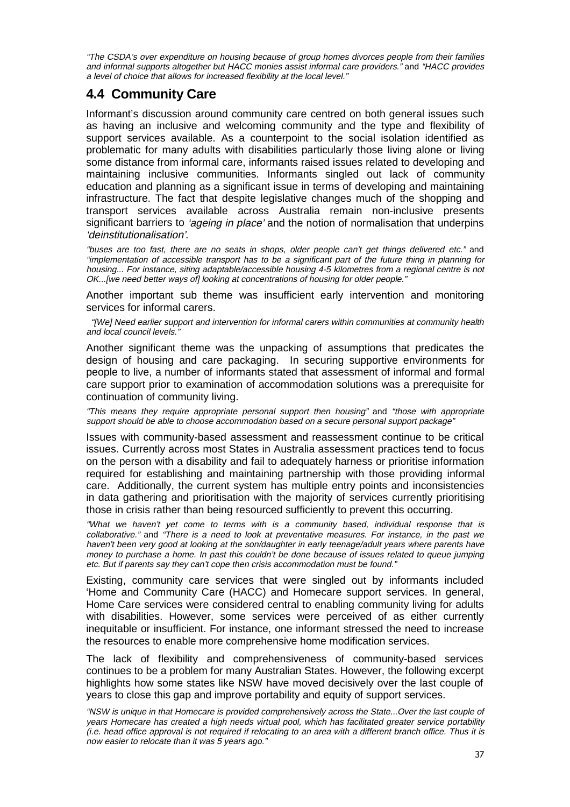"The CSDA's over expenditure on housing because of group homes divorces people from their families and informal supports altogether but HACC monies assist informal care providers." and "HACC provides a level of choice that allows for increased flexibility at the local level."

# **4.4 Community Care**

Informant's discussion around community care centred on both general issues such as having an inclusive and welcoming community and the type and flexibility of support services available. As a counterpoint to the social isolation identified as problematic for many adults with disabilities particularly those living alone or living some distance from informal care, informants raised issues related to developing and maintaining inclusive communities. Informants singled out lack of community education and planning as a significant issue in terms of developing and maintaining infrastructure. The fact that despite legislative changes much of the shopping and transport services available across Australia remain non-inclusive presents significant barriers to *'ageing in place'* and the notion of normalisation that underpins 'deinstitutionalisation'.

"buses are too fast, there are no seats in shops, older people can't get things delivered etc." and "implementation of accessible transport has to be a significant part of the future thing in planning for housing... For instance, siting adaptable/accessible housing 4-5 kilometres from a regional centre is not OK...[we need better ways of] looking at concentrations of housing for older people."

Another important sub theme was insufficient early intervention and monitoring services for informal carers.

 "[We] Need earlier support and intervention for informal carers within communities at community health and local council levels."

Another significant theme was the unpacking of assumptions that predicates the design of housing and care packaging. In securing supportive environments for people to live, a number of informants stated that assessment of informal and formal care support prior to examination of accommodation solutions was a prerequisite for continuation of community living.

"This means they require appropriate personal support then housing" and "those with appropriate support should be able to choose accommodation based on a secure personal support package"

Issues with community-based assessment and reassessment continue to be critical issues. Currently across most States in Australia assessment practices tend to focus on the person with a disability and fail to adequately harness or prioritise information required for establishing and maintaining partnership with those providing informal care. Additionally, the current system has multiple entry points and inconsistencies in data gathering and prioritisation with the majority of services currently prioritising those in crisis rather than being resourced sufficiently to prevent this occurring.

"What we haven't yet come to terms with is a community based, individual response that is collaborative." and "There is a need to look at preventative measures. For instance, in the past we haven't been very good at looking at the son/daughter in early teenage/adult years where parents have money to purchase a home. In past this couldn't be done because of issues related to queue jumping etc. But if parents say they can't cope then crisis accommodation must be found."

Existing, community care services that were singled out by informants included 'Home and Community Care (HACC) and Homecare support services. In general, Home Care services were considered central to enabling community living for adults with disabilities. However, some services were perceived of as either currently inequitable or insufficient. For instance, one informant stressed the need to increase the resources to enable more comprehensive home modification services.

The lack of flexibility and comprehensiveness of community-based services continues to be a problem for many Australian States. However, the following excerpt highlights how some states like NSW have moved decisively over the last couple of years to close this gap and improve portability and equity of support services.

<sup>&</sup>quot;NSW is unique in that Homecare is provided comprehensively across the State...Over the last couple of years Homecare has created a high needs virtual pool, which has facilitated greater service portability (i.e. head office approval is not required if relocating to an area with a different branch office. Thus it is now easier to relocate than it was 5 years ago."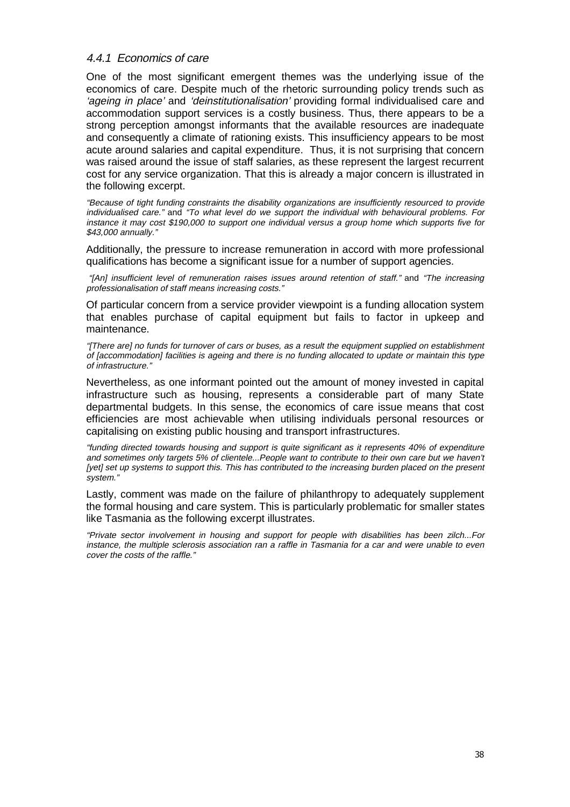#### 4.4.1 Economics of care

One of the most significant emergent themes was the underlying issue of the economics of care. Despite much of the rhetoric surrounding policy trends such as 'ageing in place' and 'deinstitutionalisation' providing formal individualised care and accommodation support services is a costly business. Thus, there appears to be a strong perception amongst informants that the available resources are inadequate and consequently a climate of rationing exists. This insufficiency appears to be most acute around salaries and capital expenditure. Thus, it is not surprising that concern was raised around the issue of staff salaries, as these represent the largest recurrent cost for any service organization. That this is already a major concern is illustrated in the following excerpt.

"Because of tight funding constraints the disability organizations are insufficiently resourced to provide individualised care." and "To what level do we support the individual with behavioural problems. For instance it may cost \$190,000 to support one individual versus a group home which supports five for \$43,000 annually."

Additionally, the pressure to increase remuneration in accord with more professional qualifications has become a significant issue for a number of support agencies.

 "[An] insufficient level of remuneration raises issues around retention of staff." and "The increasing professionalisation of staff means increasing costs."

Of particular concern from a service provider viewpoint is a funding allocation system that enables purchase of capital equipment but fails to factor in upkeep and maintenance.

"[There are] no funds for turnover of cars or buses, as a result the equipment supplied on establishment of [accommodation] facilities is ageing and there is no funding allocated to update or maintain this type of infrastructure."

Nevertheless, as one informant pointed out the amount of money invested in capital infrastructure such as housing, represents a considerable part of many State departmental budgets. In this sense, the economics of care issue means that cost efficiencies are most achievable when utilising individuals personal resources or capitalising on existing public housing and transport infrastructures.

"funding directed towards housing and support is quite significant as it represents 40% of expenditure and sometimes only targets 5% of clientele...People want to contribute to their own care but we haven't [yet] set up systems to support this. This has contributed to the increasing burden placed on the present system."

Lastly, comment was made on the failure of philanthropy to adequately supplement the formal housing and care system. This is particularly problematic for smaller states like Tasmania as the following excerpt illustrates.

"Private sector involvement in housing and support for people with disabilities has been zilch...For instance, the multiple sclerosis association ran a raffle in Tasmania for a car and were unable to even cover the costs of the raffle."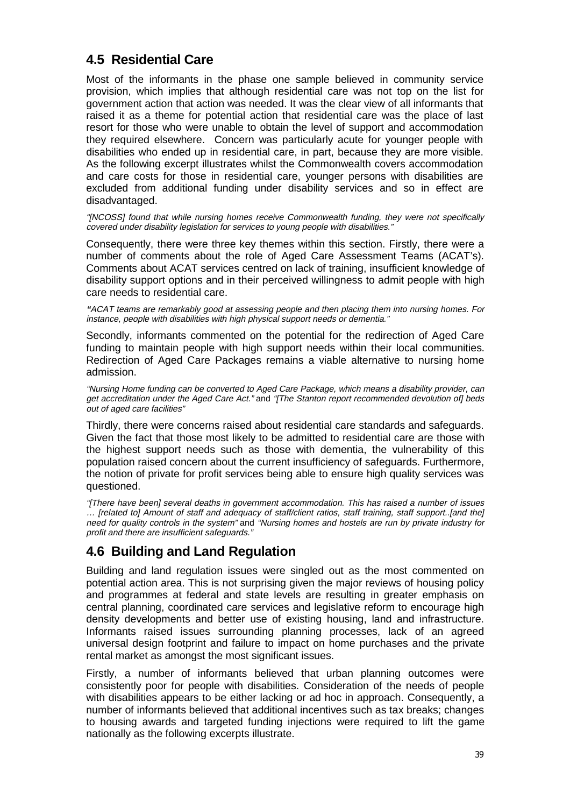# **4.5 Residential Care**

Most of the informants in the phase one sample believed in community service provision, which implies that although residential care was not top on the list for government action that action was needed. It was the clear view of all informants that raised it as a theme for potential action that residential care was the place of last resort for those who were unable to obtain the level of support and accommodation they required elsewhere. Concern was particularly acute for younger people with disabilities who ended up in residential care, in part, because they are more visible. As the following excerpt illustrates whilst the Commonwealth covers accommodation and care costs for those in residential care, younger persons with disabilities are excluded from additional funding under disability services and so in effect are disadvantaged.

"[NCOSS] found that while nursing homes receive Commonwealth funding, they were not specifically covered under disability legislation for services to young people with disabilities."

Consequently, there were three key themes within this section. Firstly, there were a number of comments about the role of Aged Care Assessment Teams (ACAT's). Comments about ACAT services centred on lack of training, insufficient knowledge of disability support options and in their perceived willingness to admit people with high care needs to residential care.

**"**ACAT teams are remarkably good at assessing people and then placing them into nursing homes. For instance, people with disabilities with high physical support needs or dementia."

Secondly, informants commented on the potential for the redirection of Aged Care funding to maintain people with high support needs within their local communities. Redirection of Aged Care Packages remains a viable alternative to nursing home admission.

"Nursing Home funding can be converted to Aged Care Package, which means a disability provider, can get accreditation under the Aged Care Act." and "[The Stanton report recommended devolution of] beds out of aged care facilities"

Thirdly, there were concerns raised about residential care standards and safeguards. Given the fact that those most likely to be admitted to residential care are those with the highest support needs such as those with dementia, the vulnerability of this population raised concern about the current insufficiency of safeguards. Furthermore, the notion of private for profit services being able to ensure high quality services was questioned.

"[There have been] several deaths in government accommodation. This has raised a number of issues … [related to] Amount of staff and adequacy of staff/client ratios, staff training, staff support..[and the] need for quality controls in the system" and "Nursing homes and hostels are run by private industry for profit and there are insufficient safeguards."

## **4.6 Building and Land Regulation**

Building and land regulation issues were singled out as the most commented on potential action area. This is not surprising given the major reviews of housing policy and programmes at federal and state levels are resulting in greater emphasis on central planning, coordinated care services and legislative reform to encourage high density developments and better use of existing housing, land and infrastructure. Informants raised issues surrounding planning processes, lack of an agreed universal design footprint and failure to impact on home purchases and the private rental market as amongst the most significant issues.

Firstly, a number of informants believed that urban planning outcomes were consistently poor for people with disabilities. Consideration of the needs of people with disabilities appears to be either lacking or ad hoc in approach. Consequently, a number of informants believed that additional incentives such as tax breaks; changes to housing awards and targeted funding injections were required to lift the game nationally as the following excerpts illustrate.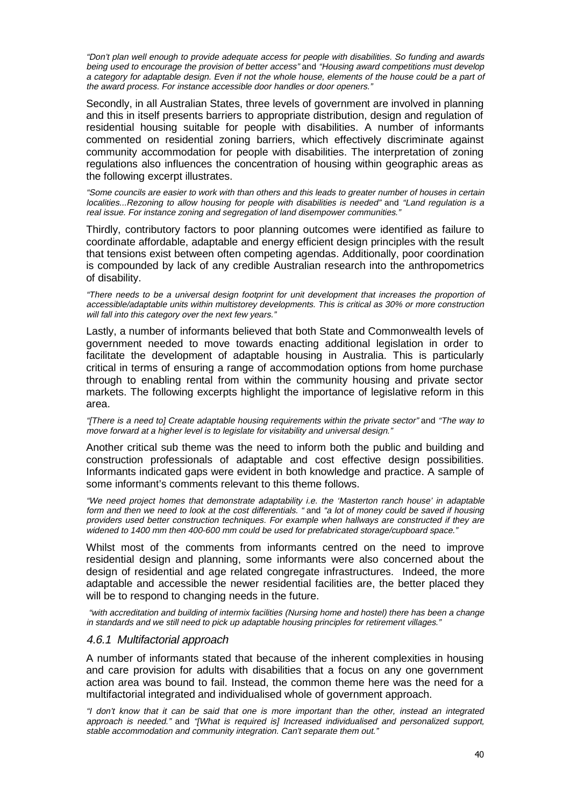"Don't plan well enough to provide adequate access for people with disabilities. So funding and awards being used to encourage the provision of better access" and "Housing award competitions must develop a category for adaptable design. Even if not the whole house, elements of the house could be a part of the award process. For instance accessible door handles or door openers."

Secondly, in all Australian States, three levels of government are involved in planning and this in itself presents barriers to appropriate distribution, design and regulation of residential housing suitable for people with disabilities. A number of informants commented on residential zoning barriers, which effectively discriminate against community accommodation for people with disabilities. The interpretation of zoning regulations also influences the concentration of housing within geographic areas as the following excerpt illustrates.

"Some councils are easier to work with than others and this leads to greater number of houses in certain localities...Rezoning to allow housing for people with disabilities is needed" and "Land regulation is a real issue. For instance zoning and segregation of land disempower communities."

Thirdly, contributory factors to poor planning outcomes were identified as failure to coordinate affordable, adaptable and energy efficient design principles with the result that tensions exist between often competing agendas. Additionally, poor coordination is compounded by lack of any credible Australian research into the anthropometrics of disability.

"There needs to be a universal design footprint for unit development that increases the proportion of accessible/adaptable units within multistorey developments. This is critical as 30% or more construction will fall into this category over the next few years."

Lastly, a number of informants believed that both State and Commonwealth levels of government needed to move towards enacting additional legislation in order to facilitate the development of adaptable housing in Australia. This is particularly critical in terms of ensuring a range of accommodation options from home purchase through to enabling rental from within the community housing and private sector markets. The following excerpts highlight the importance of legislative reform in this area.

"[There is a need to] Create adaptable housing requirements within the private sector" and "The way to move forward at a higher level is to legislate for visitability and universal design."

Another critical sub theme was the need to inform both the public and building and construction professionals of adaptable and cost effective design possibilities. Informants indicated gaps were evident in both knowledge and practice. A sample of some informant's comments relevant to this theme follows.

"We need project homes that demonstrate adaptability i.e. the 'Masterton ranch house' in adaptable form and then we need to look at the cost differentials. " and "a lot of money could be saved if housing providers used better construction techniques. For example when hallways are constructed if they are widened to 1400 mm then 400-600 mm could be used for prefabricated storage/cupboard space."

Whilst most of the comments from informants centred on the need to improve residential design and planning, some informants were also concerned about the design of residential and age related congregate infrastructures. Indeed, the more adaptable and accessible the newer residential facilities are, the better placed they will be to respond to changing needs in the future.

 "with accreditation and building of intermix facilities (Nursing home and hostel) there has been a change in standards and we still need to pick up adaptable housing principles for retirement villages."

#### 4.6.1 Multifactorial approach

A number of informants stated that because of the inherent complexities in housing and care provision for adults with disabilities that a focus on any one government action area was bound to fail. Instead, the common theme here was the need for a multifactorial integrated and individualised whole of government approach.

"I don't know that it can be said that one is more important than the other, instead an integrated approach is needed." and "[What is required is] Increased individualised and personalized support, stable accommodation and community integration. Can't separate them out."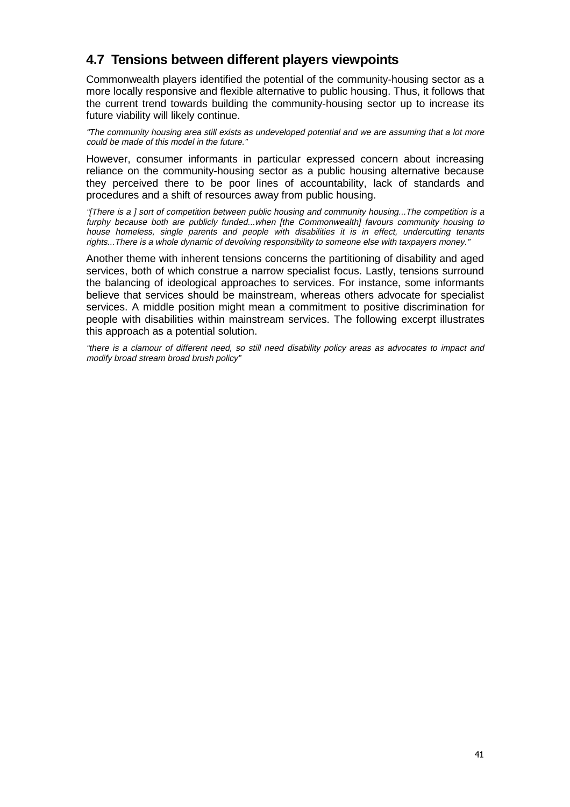# **4.7 Tensions between different players viewpoints**

Commonwealth players identified the potential of the community-housing sector as a more locally responsive and flexible alternative to public housing. Thus, it follows that the current trend towards building the community-housing sector up to increase its future viability will likely continue.

"The community housing area still exists as undeveloped potential and we are assuming that a lot more could be made of this model in the future."

However, consumer informants in particular expressed concern about increasing reliance on the community-housing sector as a public housing alternative because they perceived there to be poor lines of accountability, lack of standards and procedures and a shift of resources away from public housing.

"[There is a ] sort of competition between public housing and community housing...The competition is a furphy because both are publicly funded...when [the Commonwealth] favours community housing to house homeless, single parents and people with disabilities it is in effect, undercutting tenants rights...There is a whole dynamic of devolving responsibility to someone else with taxpayers money."

Another theme with inherent tensions concerns the partitioning of disability and aged services, both of which construe a narrow specialist focus. Lastly, tensions surround the balancing of ideological approaches to services. For instance, some informants believe that services should be mainstream, whereas others advocate for specialist services. A middle position might mean a commitment to positive discrimination for people with disabilities within mainstream services. The following excerpt illustrates this approach as a potential solution.

"there is a clamour of different need, so still need disability policy areas as advocates to impact and modify broad stream broad brush policy"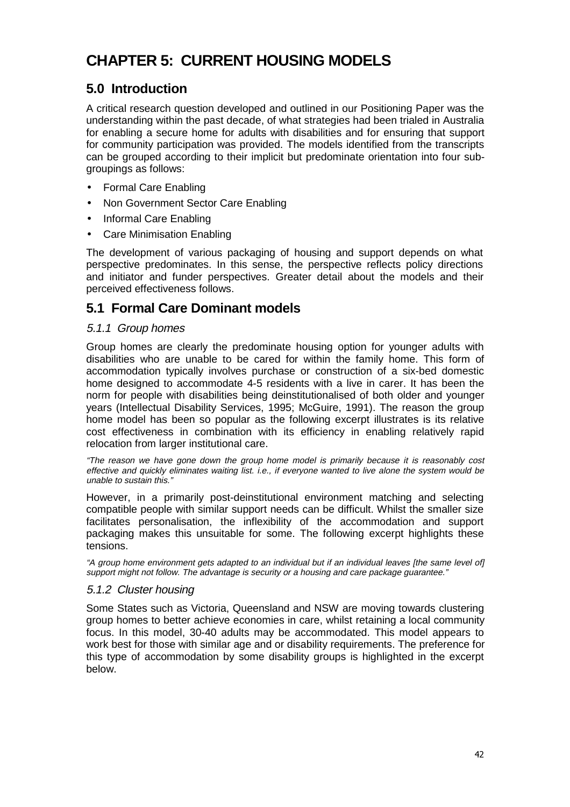# **CHAPTER 5: CURRENT HOUSING MODELS**

# **5.0 Introduction**

A critical research question developed and outlined in our Positioning Paper was the understanding within the past decade, of what strategies had been trialed in Australia for enabling a secure home for adults with disabilities and for ensuring that support for community participation was provided. The models identified from the transcripts can be grouped according to their implicit but predominate orientation into four subgroupings as follows:

- Formal Care Enabling
- Non Government Sector Care Enabling
- Informal Care Enabling
- Care Minimisation Enabling

The development of various packaging of housing and support depends on what perspective predominates. In this sense, the perspective reflects policy directions and initiator and funder perspectives. Greater detail about the models and their perceived effectiveness follows.

## **5.1 Formal Care Dominant models**

## 5.1.1 Group homes

Group homes are clearly the predominate housing option for younger adults with disabilities who are unable to be cared for within the family home. This form of accommodation typically involves purchase or construction of a six-bed domestic home designed to accommodate 4-5 residents with a live in carer. It has been the norm for people with disabilities being deinstitutionalised of both older and younger years (Intellectual Disability Services, 1995; McGuire, 1991). The reason the group home model has been so popular as the following excerpt illustrates is its relative cost effectiveness in combination with its efficiency in enabling relatively rapid relocation from larger institutional care.

"The reason we have gone down the group home model is primarily because it is reasonably cost effective and quickly eliminates waiting list. i.e., if everyone wanted to live alone the system would be unable to sustain this."

However, in a primarily post-deinstitutional environment matching and selecting compatible people with similar support needs can be difficult. Whilst the smaller size facilitates personalisation, the inflexibility of the accommodation and support packaging makes this unsuitable for some. The following excerpt highlights these tensions.

"A group home environment gets adapted to an individual but if an individual leaves [the same level of] support might not follow. The advantage is security or a housing and care package guarantee."

## 5.1.2 Cluster housing

Some States such as Victoria, Queensland and NSW are moving towards clustering group homes to better achieve economies in care, whilst retaining a local community focus. In this model, 30-40 adults may be accommodated. This model appears to work best for those with similar age and or disability requirements. The preference for this type of accommodation by some disability groups is highlighted in the excerpt below.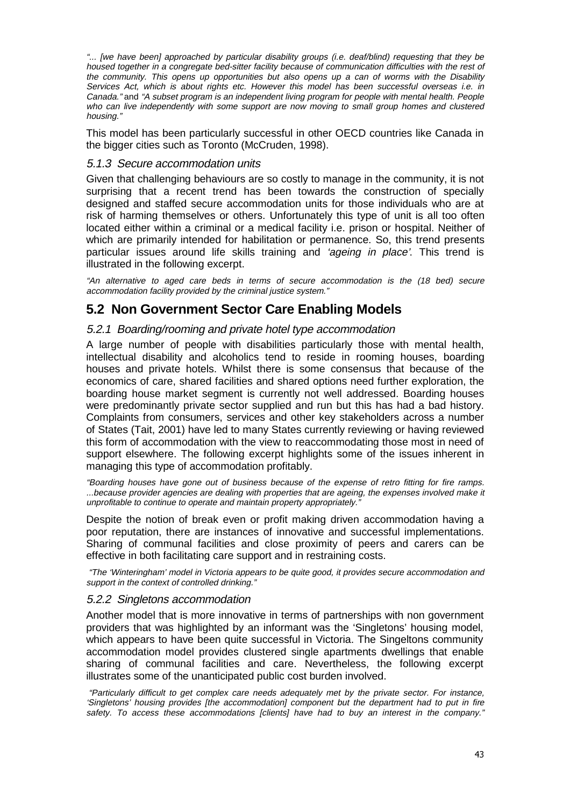"... [we have been] approached by particular disability groups (i.e. deaf/blind) requesting that they be housed together in a congregate bed-sitter facility because of communication difficulties with the rest of the community. This opens up opportunities but also opens up a can of worms with the Disability Services Act, which is about rights etc. However this model has been successful overseas i.e. in Canada." and "A subset program is an independent living program for people with mental health. People who can live independently with some support are now moving to small group homes and clustered housing."

This model has been particularly successful in other OECD countries like Canada in the bigger cities such as Toronto (McCruden, 1998).

#### 5.1.3 Secure accommodation units

Given that challenging behaviours are so costly to manage in the community, it is not surprising that a recent trend has been towards the construction of specially designed and staffed secure accommodation units for those individuals who are at risk of harming themselves or others. Unfortunately this type of unit is all too often located either within a criminal or a medical facility i.e. prison or hospital. Neither of which are primarily intended for habilitation or permanence. So, this trend presents particular issues around life skills training and 'ageing in place'. This trend is illustrated in the following excerpt.

"An alternative to aged care beds in terms of secure accommodation is the (18 bed) secure accommodation facility provided by the criminal justice system."

## **5.2 Non Government Sector Care Enabling Models**

## 5.2.1 Boarding/rooming and private hotel type accommodation

A large number of people with disabilities particularly those with mental health, intellectual disability and alcoholics tend to reside in rooming houses, boarding houses and private hotels. Whilst there is some consensus that because of the economics of care, shared facilities and shared options need further exploration, the boarding house market segment is currently not well addressed. Boarding houses were predominantly private sector supplied and run but this has had a bad history. Complaints from consumers, services and other key stakeholders across a number of States (Tait, 2001) have led to many States currently reviewing or having reviewed this form of accommodation with the view to reaccommodating those most in need of support elsewhere. The following excerpt highlights some of the issues inherent in managing this type of accommodation profitably.

"Boarding houses have gone out of business because of the expense of retro fitting for fire ramps. ...because provider agencies are dealing with properties that are ageing, the expenses involved make it unprofitable to continue to operate and maintain property appropriately.

Despite the notion of break even or profit making driven accommodation having a poor reputation, there are instances of innovative and successful implementations. Sharing of communal facilities and close proximity of peers and carers can be effective in both facilitating care support and in restraining costs.

 "The 'Winteringham' model in Victoria appears to be quite good, it provides secure accommodation and support in the context of controlled drinking."

#### 5.2.2 Singletons accommodation

Another model that is more innovative in terms of partnerships with non government providers that was highlighted by an informant was the 'Singletons' housing model, which appears to have been quite successful in Victoria. The Singeltons community accommodation model provides clustered single apartments dwellings that enable sharing of communal facilities and care. Nevertheless, the following excerpt illustrates some of the unanticipated public cost burden involved.

 "Particularly difficult to get complex care needs adequately met by the private sector. For instance, 'Singletons' housing provides [the accommodation] component but the department had to put in fire safety. To access these accommodations [clients] have had to buy an interest in the company."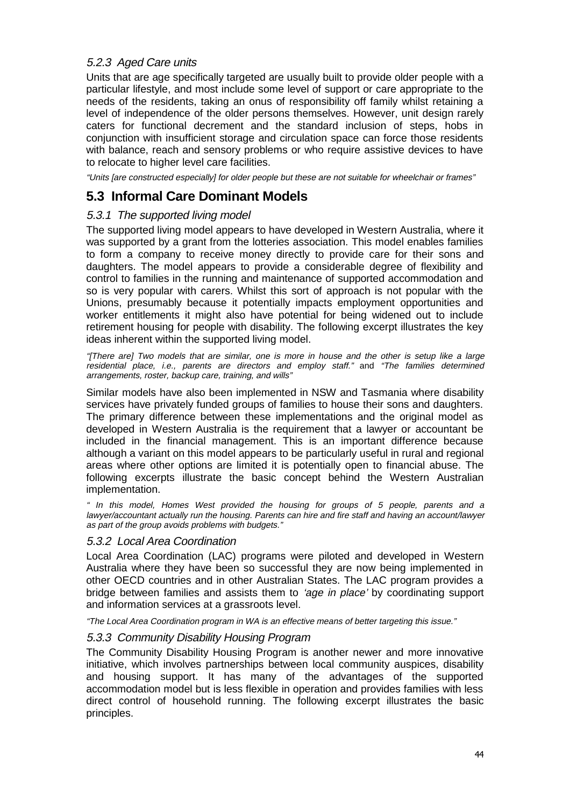## 5.2.3 Aged Care units

Units that are age specifically targeted are usually built to provide older people with a particular lifestyle, and most include some level of support or care appropriate to the needs of the residents, taking an onus of responsibility off family whilst retaining a level of independence of the older persons themselves. However, unit design rarely caters for functional decrement and the standard inclusion of steps, hobs in conjunction with insufficient storage and circulation space can force those residents with balance, reach and sensory problems or who require assistive devices to have to relocate to higher level care facilities.

"Units [are constructed especially] for older people but these are not suitable for wheelchair or frames"

## **5.3 Informal Care Dominant Models**

## 5.3.1 The supported living model

The supported living model appears to have developed in Western Australia, where it was supported by a grant from the lotteries association. This model enables families to form a company to receive money directly to provide care for their sons and daughters. The model appears to provide a considerable degree of flexibility and control to families in the running and maintenance of supported accommodation and so is very popular with carers. Whilst this sort of approach is not popular with the Unions, presumably because it potentially impacts employment opportunities and worker entitlements it might also have potential for being widened out to include retirement housing for people with disability. The following excerpt illustrates the key ideas inherent within the supported living model.

"[There are] Two models that are similar, one is more in house and the other is setup like a large residential place, i.e., parents are directors and employ staff." and "The families determined arrangements, roster, backup care, training, and wills"

Similar models have also been implemented in NSW and Tasmania where disability services have privately funded groups of families to house their sons and daughters. The primary difference between these implementations and the original model as developed in Western Australia is the requirement that a lawyer or accountant be included in the financial management. This is an important difference because although a variant on this model appears to be particularly useful in rural and regional areas where other options are limited it is potentially open to financial abuse. The following excerpts illustrate the basic concept behind the Western Australian implementation.

" In this model, Homes West provided the housing for groups of 5 people, parents and a lawyer/accountant actually run the housing. Parents can hire and fire staff and having an account/lawyer as part of the group avoids problems with budgets."

## 5.3.2 Local Area Coordination

Local Area Coordination (LAC) programs were piloted and developed in Western Australia where they have been so successful they are now being implemented in other OECD countries and in other Australian States. The LAC program provides a bridge between families and assists them to 'age in place' by coordinating support and information services at a grassroots level.

"The Local Area Coordination program in WA is an effective means of better targeting this issue."

## 5.3.3 Community Disability Housing Program

The Community Disability Housing Program is another newer and more innovative initiative, which involves partnerships between local community auspices, disability and housing support. It has many of the advantages of the supported accommodation model but is less flexible in operation and provides families with less direct control of household running. The following excerpt illustrates the basic principles.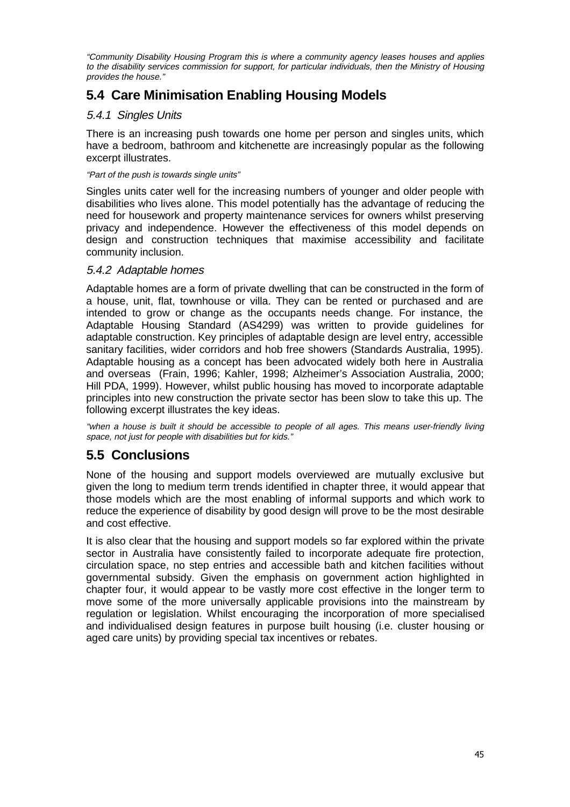"Community Disability Housing Program this is where a community agency leases houses and applies to the disability services commission for support, for particular individuals, then the Ministry of Housing provides the house."

# **5.4 Care Minimisation Enabling Housing Models**

## 5.4.1 Singles Units

There is an increasing push towards one home per person and singles units, which have a bedroom, bathroom and kitchenette are increasingly popular as the following excerpt illustrates.

#### "Part of the push is towards single units"

Singles units cater well for the increasing numbers of younger and older people with disabilities who lives alone. This model potentially has the advantage of reducing the need for housework and property maintenance services for owners whilst preserving privacy and independence. However the effectiveness of this model depends on design and construction techniques that maximise accessibility and facilitate community inclusion.

## 5.4.2 Adaptable homes

Adaptable homes are a form of private dwelling that can be constructed in the form of a house, unit, flat, townhouse or villa. They can be rented or purchased and are intended to grow or change as the occupants needs change. For instance, the Adaptable Housing Standard (AS4299) was written to provide guidelines for adaptable construction. Key principles of adaptable design are level entry, accessible sanitary facilities, wider corridors and hob free showers (Standards Australia, 1995). Adaptable housing as a concept has been advocated widely both here in Australia and overseas (Frain, 1996; Kahler, 1998; Alzheimer's Association Australia, 2000; Hill PDA, 1999). However, whilst public housing has moved to incorporate adaptable principles into new construction the private sector has been slow to take this up. The following excerpt illustrates the key ideas.

"when a house is built it should be accessible to people of all ages. This means user-friendly living space, not just for people with disabilities but for kids."

# **5.5 Conclusions**

None of the housing and support models overviewed are mutually exclusive but given the long to medium term trends identified in chapter three, it would appear that those models which are the most enabling of informal supports and which work to reduce the experience of disability by good design will prove to be the most desirable and cost effective.

It is also clear that the housing and support models so far explored within the private sector in Australia have consistently failed to incorporate adequate fire protection, circulation space, no step entries and accessible bath and kitchen facilities without governmental subsidy. Given the emphasis on government action highlighted in chapter four, it would appear to be vastly more cost effective in the longer term to move some of the more universally applicable provisions into the mainstream by regulation or legislation. Whilst encouraging the incorporation of more specialised and individualised design features in purpose built housing (i.e. cluster housing or aged care units) by providing special tax incentives or rebates.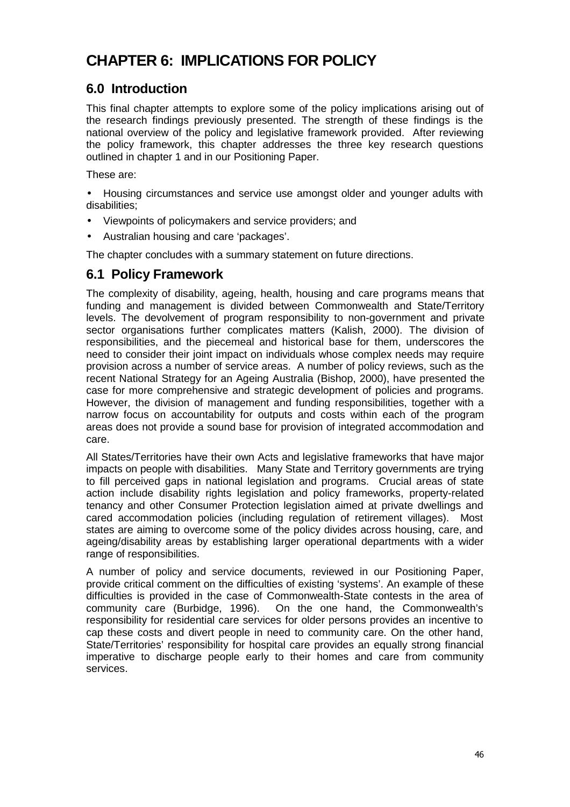# **CHAPTER 6: IMPLICATIONS FOR POLICY**

# **6.0 Introduction**

This final chapter attempts to explore some of the policy implications arising out of the research findings previously presented. The strength of these findings is the national overview of the policy and legislative framework provided. After reviewing the policy framework, this chapter addresses the three key research questions outlined in chapter 1 and in our Positioning Paper.

These are:

• Housing circumstances and service use amongst older and younger adults with disabilities;

- Viewpoints of policymakers and service providers; and
- Australian housing and care 'packages'.

The chapter concludes with a summary statement on future directions.

## **6.1 Policy Framework**

The complexity of disability, ageing, health, housing and care programs means that funding and management is divided between Commonwealth and State/Territory levels. The devolvement of program responsibility to non-government and private sector organisations further complicates matters (Kalish, 2000). The division of responsibilities, and the piecemeal and historical base for them, underscores the need to consider their joint impact on individuals whose complex needs may require provision across a number of service areas. A number of policy reviews, such as the recent National Strategy for an Ageing Australia (Bishop, 2000), have presented the case for more comprehensive and strategic development of policies and programs. However, the division of management and funding responsibilities, together with a narrow focus on accountability for outputs and costs within each of the program areas does not provide a sound base for provision of integrated accommodation and care.

All States/Territories have their own Acts and legislative frameworks that have major impacts on people with disabilities. Many State and Territory governments are trying to fill perceived gaps in national legislation and programs. Crucial areas of state action include disability rights legislation and policy frameworks, property-related tenancy and other Consumer Protection legislation aimed at private dwellings and cared accommodation policies (including regulation of retirement villages). Most states are aiming to overcome some of the policy divides across housing, care, and ageing/disability areas by establishing larger operational departments with a wider range of responsibilities.

A number of policy and service documents, reviewed in our Positioning Paper, provide critical comment on the difficulties of existing 'systems'. An example of these difficulties is provided in the case of Commonwealth-State contests in the area of community care (Burbidge, 1996). On the one hand, the Commonwealth's responsibility for residential care services for older persons provides an incentive to cap these costs and divert people in need to community care. On the other hand, State/Territories' responsibility for hospital care provides an equally strong financial imperative to discharge people early to their homes and care from community services.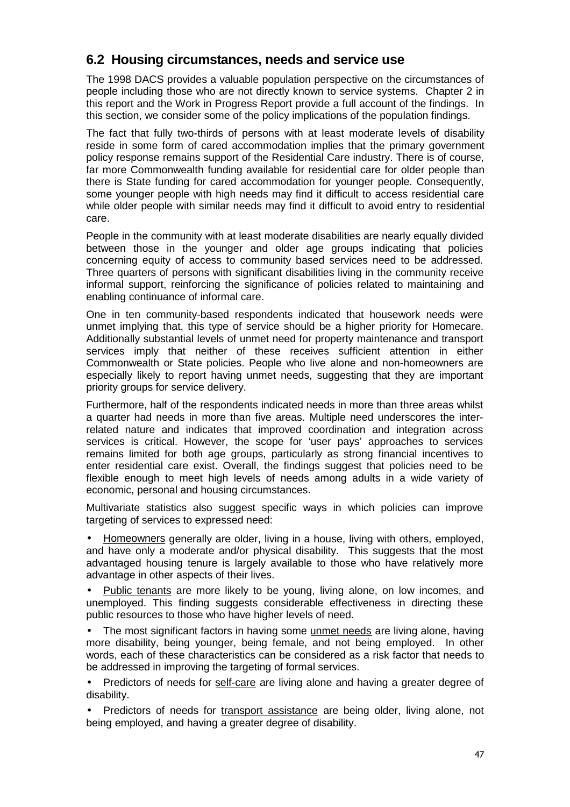# **6.2 Housing circumstances, needs and service use**

The 1998 DACS provides a valuable population perspective on the circumstances of people including those who are not directly known to service systems. Chapter 2 in this report and the Work in Progress Report provide a full account of the findings. In this section, we consider some of the policy implications of the population findings.

The fact that fully two-thirds of persons with at least moderate levels of disability reside in some form of cared accommodation implies that the primary government policy response remains support of the Residential Care industry. There is of course, far more Commonwealth funding available for residential care for older people than there is State funding for cared accommodation for younger people. Consequently, some younger people with high needs may find it difficult to access residential care while older people with similar needs may find it difficult to avoid entry to residential care.

People in the community with at least moderate disabilities are nearly equally divided between those in the younger and older age groups indicating that policies concerning equity of access to community based services need to be addressed. Three quarters of persons with significant disabilities living in the community receive informal support, reinforcing the significance of policies related to maintaining and enabling continuance of informal care.

One in ten community-based respondents indicated that housework needs were unmet implying that, this type of service should be a higher priority for Homecare. Additionally substantial levels of unmet need for property maintenance and transport services imply that neither of these receives sufficient attention in either Commonwealth or State policies. People who live alone and non-homeowners are especially likely to report having unmet needs, suggesting that they are important priority groups for service delivery.

Furthermore, half of the respondents indicated needs in more than three areas whilst a quarter had needs in more than five areas. Multiple need underscores the interrelated nature and indicates that improved coordination and integration across services is critical. However, the scope for 'user pays' approaches to services remains limited for both age groups, particularly as strong financial incentives to enter residential care exist. Overall, the findings suggest that policies need to be flexible enough to meet high levels of needs among adults in a wide variety of economic, personal and housing circumstances.

Multivariate statistics also suggest specific ways in which policies can improve targeting of services to expressed need:

• Homeowners generally are older, living in a house, living with others, employed, and have only a moderate and/or physical disability. This suggests that the most advantaged housing tenure is largely available to those who have relatively more advantage in other aspects of their lives.

• Public tenants are more likely to be young, living alone, on low incomes, and unemployed. This finding suggests considerable effectiveness in directing these public resources to those who have higher levels of need.

• The most significant factors in having some unmet needs are living alone, having more disability, being younger, being female, and not being employed. In other words, each of these characteristics can be considered as a risk factor that needs to be addressed in improving the targeting of formal services.

• Predictors of needs for self-care are living alone and having a greater degree of disability.

• Predictors of needs for transport assistance are being older, living alone, not being employed, and having a greater degree of disability.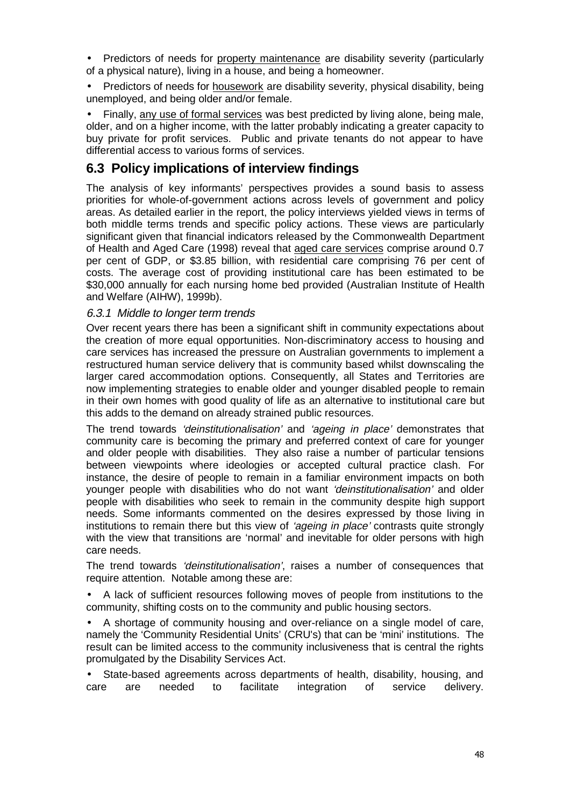• Predictors of needs for property maintenance are disability severity (particularly of a physical nature), living in a house, and being a homeowner.

• Predictors of needs for housework are disability severity, physical disability, being unemployed, and being older and/or female.

• Finally, any use of formal services was best predicted by living alone, being male, older, and on a higher income, with the latter probably indicating a greater capacity to buy private for profit services. Public and private tenants do not appear to have differential access to various forms of services.

## **6.3 Policy implications of interview findings**

The analysis of key informants' perspectives provides a sound basis to assess priorities for whole-of-government actions across levels of government and policy areas. As detailed earlier in the report, the policy interviews yielded views in terms of both middle terms trends and specific policy actions. These views are particularly significant given that financial indicators released by the Commonwealth Department of Health and Aged Care (1998) reveal that aged care services comprise around 0.7 per cent of GDP, or \$3.85 billion, with residential care comprising 76 per cent of costs. The average cost of providing institutional care has been estimated to be \$30,000 annually for each nursing home bed provided (Australian Institute of Health and Welfare (AIHW), 1999b).

## 6.3.1 Middle to longer term trends

Over recent years there has been a significant shift in community expectations about the creation of more equal opportunities. Non-discriminatory access to housing and care services has increased the pressure on Australian governments to implement a restructured human service delivery that is community based whilst downscaling the larger cared accommodation options. Consequently, all States and Territories are now implementing strategies to enable older and younger disabled people to remain in their own homes with good quality of life as an alternative to institutional care but this adds to the demand on already strained public resources.

The trend towards 'deinstitutionalisation' and 'ageing in place' demonstrates that community care is becoming the primary and preferred context of care for younger and older people with disabilities. They also raise a number of particular tensions between viewpoints where ideologies or accepted cultural practice clash. For instance, the desire of people to remain in a familiar environment impacts on both younger people with disabilities who do not want 'deinstitutionalisation' and older people with disabilities who seek to remain in the community despite high support needs. Some informants commented on the desires expressed by those living in institutions to remain there but this view of 'ageing in place' contrasts quite strongly with the view that transitions are 'normal' and inevitable for older persons with high care needs.

The trend towards 'deinstitutionalisation', raises a number of consequences that require attention. Notable among these are:

• A lack of sufficient resources following moves of people from institutions to the community, shifting costs on to the community and public housing sectors.

• A shortage of community housing and over-reliance on a single model of care, namely the 'Community Residential Units' (CRU's) that can be 'mini' institutions. The result can be limited access to the community inclusiveness that is central the rights promulgated by the Disability Services Act.

• State-based agreements across departments of health, disability, housing, and care are needed to facilitate integration of service delivery.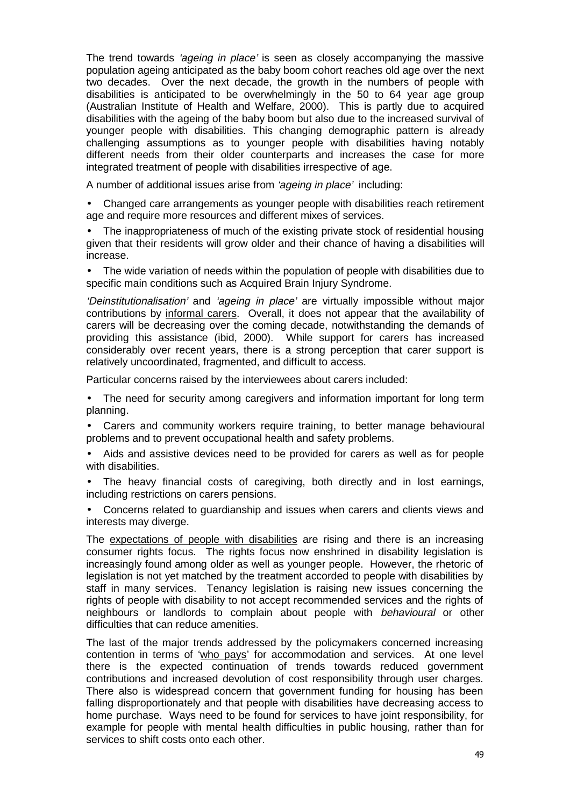The trend towards *'ageing in place'* is seen as closely accompanying the massive population ageing anticipated as the baby boom cohort reaches old age over the next two decades. Over the next decade, the growth in the numbers of people with disabilities is anticipated to be overwhelmingly in the 50 to 64 year age group (Australian Institute of Health and Welfare, 2000). This is partly due to acquired disabilities with the ageing of the baby boom but also due to the increased survival of younger people with disabilities. This changing demographic pattern is already challenging assumptions as to younger people with disabilities having notably different needs from their older counterparts and increases the case for more integrated treatment of people with disabilities irrespective of age.

A number of additional issues arise from 'ageing in place' including:

- Changed care arrangements as younger people with disabilities reach retirement age and require more resources and different mixes of services.
- The inappropriateness of much of the existing private stock of residential housing given that their residents will grow older and their chance of having a disabilities will increase.
- The wide variation of needs within the population of people with disabilities due to specific main conditions such as Acquired Brain Injury Syndrome.

'Deinstitutionalisation' and 'ageing in place' are virtually impossible without major contributions by informal carers. Overall, it does not appear that the availability of carers will be decreasing over the coming decade, notwithstanding the demands of providing this assistance (ibid, 2000). While support for carers has increased considerably over recent years, there is a strong perception that carer support is relatively uncoordinated, fragmented, and difficult to access.

Particular concerns raised by the interviewees about carers included:

- The need for security among caregivers and information important for long term planning.
- Carers and community workers require training, to better manage behavioural problems and to prevent occupational health and safety problems.
- Aids and assistive devices need to be provided for carers as well as for people with disabilities.
- The heavy financial costs of caregiving, both directly and in lost earnings, including restrictions on carers pensions.
- Concerns related to guardianship and issues when carers and clients views and interests may diverge.

The expectations of people with disabilities are rising and there is an increasing consumer rights focus. The rights focus now enshrined in disability legislation is increasingly found among older as well as younger people. However, the rhetoric of legislation is not yet matched by the treatment accorded to people with disabilities by staff in many services. Tenancy legislation is raising new issues concerning the rights of people with disability to not accept recommended services and the rights of neighbours or landlords to complain about people with behavioural or other difficulties that can reduce amenities.

The last of the major trends addressed by the policymakers concerned increasing contention in terms of 'who pays' for accommodation and services. At one level there is the expected continuation of trends towards reduced government contributions and increased devolution of cost responsibility through user charges. There also is widespread concern that government funding for housing has been falling disproportionately and that people with disabilities have decreasing access to home purchase. Ways need to be found for services to have joint responsibility, for example for people with mental health difficulties in public housing, rather than for services to shift costs onto each other.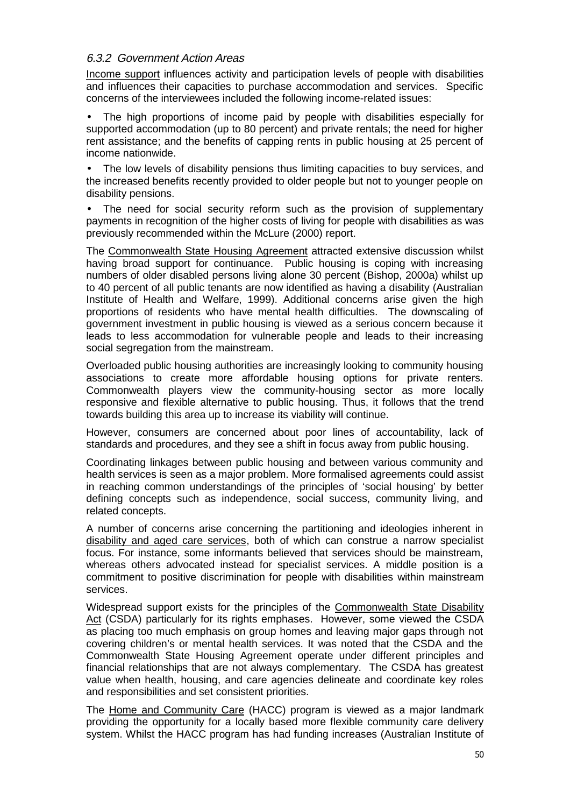## 6.3.2 Government Action Areas

Income support influences activity and participation levels of people with disabilities and influences their capacities to purchase accommodation and services. Specific concerns of the interviewees included the following income-related issues:

• The high proportions of income paid by people with disabilities especially for supported accommodation (up to 80 percent) and private rentals; the need for higher rent assistance; and the benefits of capping rents in public housing at 25 percent of income nationwide.

• The low levels of disability pensions thus limiting capacities to buy services, and the increased benefits recently provided to older people but not to younger people on disability pensions.

• The need for social security reform such as the provision of supplementary payments in recognition of the higher costs of living for people with disabilities as was previously recommended within the McLure (2000) report.

The Commonwealth State Housing Agreement attracted extensive discussion whilst having broad support for continuance. Public housing is coping with increasing numbers of older disabled persons living alone 30 percent (Bishop, 2000a) whilst up to 40 percent of all public tenants are now identified as having a disability (Australian Institute of Health and Welfare, 1999). Additional concerns arise given the high proportions of residents who have mental health difficulties. The downscaling of government investment in public housing is viewed as a serious concern because it leads to less accommodation for vulnerable people and leads to their increasing social segregation from the mainstream.

Overloaded public housing authorities are increasingly looking to community housing associations to create more affordable housing options for private renters. Commonwealth players view the community-housing sector as more locally responsive and flexible alternative to public housing. Thus, it follows that the trend towards building this area up to increase its viability will continue.

However, consumers are concerned about poor lines of accountability, lack of standards and procedures, and they see a shift in focus away from public housing.

Coordinating linkages between public housing and between various community and health services is seen as a major problem. More formalised agreements could assist in reaching common understandings of the principles of 'social housing' by better defining concepts such as independence, social success, community living, and related concepts.

A number of concerns arise concerning the partitioning and ideologies inherent in disability and aged care services, both of which can construe a narrow specialist focus. For instance, some informants believed that services should be mainstream, whereas others advocated instead for specialist services. A middle position is a commitment to positive discrimination for people with disabilities within mainstream services.

Widespread support exists for the principles of the Commonwealth State Disability Act (CSDA) particularly for its rights emphases. However, some viewed the CSDA as placing too much emphasis on group homes and leaving major gaps through not covering children's or mental health services. It was noted that the CSDA and the Commonwealth State Housing Agreement operate under different principles and financial relationships that are not always complementary. The CSDA has greatest value when health, housing, and care agencies delineate and coordinate key roles and responsibilities and set consistent priorities.

The Home and Community Care (HACC) program is viewed as a major landmark providing the opportunity for a locally based more flexible community care delivery system. Whilst the HACC program has had funding increases (Australian Institute of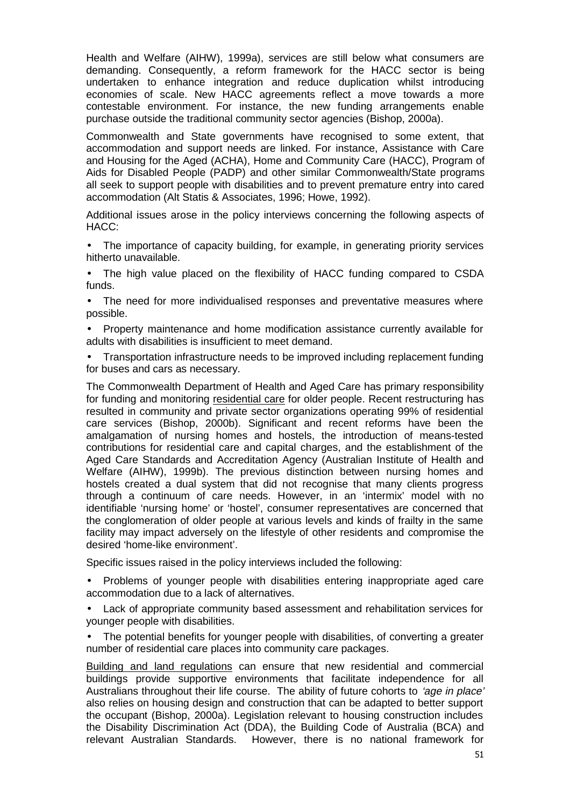Health and Welfare (AIHW), 1999a), services are still below what consumers are demanding. Consequently, a reform framework for the HACC sector is being undertaken to enhance integration and reduce duplication whilst introducing economies of scale. New HACC agreements reflect a move towards a more contestable environment. For instance, the new funding arrangements enable purchase outside the traditional community sector agencies (Bishop, 2000a).

Commonwealth and State governments have recognised to some extent, that accommodation and support needs are linked. For instance, Assistance with Care and Housing for the Aged (ACHA), Home and Community Care (HACC), Program of Aids for Disabled People (PADP) and other similar Commonwealth/State programs all seek to support people with disabilities and to prevent premature entry into cared accommodation (Alt Statis & Associates, 1996; Howe, 1992).

Additional issues arose in the policy interviews concerning the following aspects of HACC:

- The importance of capacity building, for example, in generating priority services hitherto unavailable.
- The high value placed on the flexibility of HACC funding compared to CSDA funds.
- The need for more individualised responses and preventative measures where possible.
- Property maintenance and home modification assistance currently available for adults with disabilities is insufficient to meet demand.
- Transportation infrastructure needs to be improved including replacement funding for buses and cars as necessary.

The Commonwealth Department of Health and Aged Care has primary responsibility for funding and monitoring residential care for older people. Recent restructuring has resulted in community and private sector organizations operating 99% of residential care services (Bishop, 2000b). Significant and recent reforms have been the amalgamation of nursing homes and hostels, the introduction of means-tested contributions for residential care and capital charges, and the establishment of the Aged Care Standards and Accreditation Agency (Australian Institute of Health and Welfare (AIHW), 1999b). The previous distinction between nursing homes and hostels created a dual system that did not recognise that many clients progress through a continuum of care needs. However, in an 'intermix' model with no identifiable 'nursing home' or 'hostel', consumer representatives are concerned that the conglomeration of older people at various levels and kinds of frailty in the same facility may impact adversely on the lifestyle of other residents and compromise the desired 'home-like environment'.

Specific issues raised in the policy interviews included the following:

- Problems of younger people with disabilities entering inappropriate aged care accommodation due to a lack of alternatives.
- Lack of appropriate community based assessment and rehabilitation services for younger people with disabilities.
- The potential benefits for younger people with disabilities, of converting a greater number of residential care places into community care packages.

Building and land regulations can ensure that new residential and commercial buildings provide supportive environments that facilitate independence for all Australians throughout their life course. The ability of future cohorts to 'age in place' also relies on housing design and construction that can be adapted to better support the occupant (Bishop, 2000a). Legislation relevant to housing construction includes the Disability Discrimination Act (DDA), the Building Code of Australia (BCA) and relevant Australian Standards. However, there is no national framework for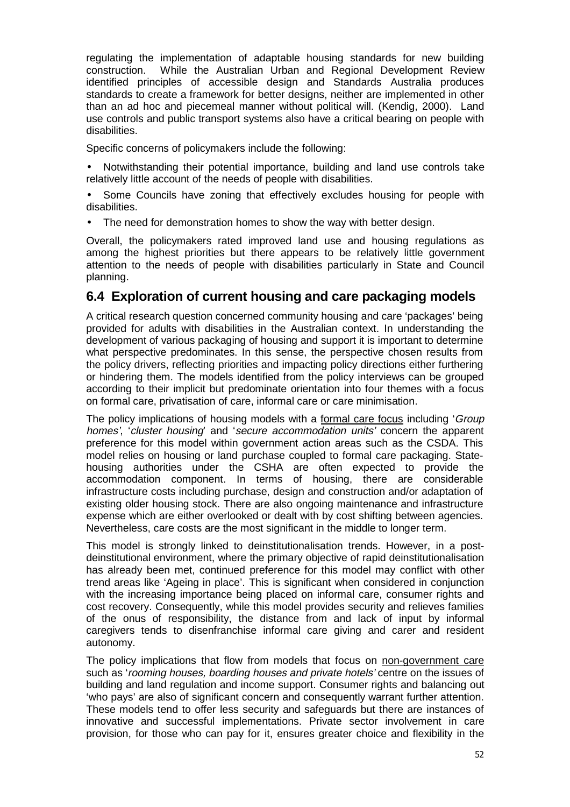regulating the implementation of adaptable housing standards for new building construction. While the Australian Urban and Regional Development Review identified principles of accessible design and Standards Australia produces standards to create a framework for better designs, neither are implemented in other than an ad hoc and piecemeal manner without political will. (Kendig, 2000). Land use controls and public transport systems also have a critical bearing on people with disabilities.

Specific concerns of policymakers include the following:

- Notwithstanding their potential importance, building and land use controls take relatively little account of the needs of people with disabilities.
- Some Councils have zoning that effectively excludes housing for people with disabilities.
- The need for demonstration homes to show the way with better design.

Overall, the policymakers rated improved land use and housing regulations as among the highest priorities but there appears to be relatively little government attention to the needs of people with disabilities particularly in State and Council planning.

# **6.4 Exploration of current housing and care packaging models**

A critical research question concerned community housing and care 'packages' being provided for adults with disabilities in the Australian context. In understanding the development of various packaging of housing and support it is important to determine what perspective predominates. In this sense, the perspective chosen results from the policy drivers, reflecting priorities and impacting policy directions either furthering or hindering them. The models identified from the policy interviews can be grouped according to their implicit but predominate orientation into four themes with a focus on formal care, privatisation of care, informal care or care minimisation.

The policy implications of housing models with a formal care focus including 'Group homes', 'cluster housing' and 'secure accommodation units' concern the apparent preference for this model within government action areas such as the CSDA. This model relies on housing or land purchase coupled to formal care packaging. Statehousing authorities under the CSHA are often expected to provide the accommodation component. In terms of housing, there are considerable infrastructure costs including purchase, design and construction and/or adaptation of existing older housing stock. There are also ongoing maintenance and infrastructure expense which are either overlooked or dealt with by cost shifting between agencies. Nevertheless, care costs are the most significant in the middle to longer term.

This model is strongly linked to deinstitutionalisation trends. However, in a postdeinstitutional environment, where the primary objective of rapid deinstitutionalisation has already been met, continued preference for this model may conflict with other trend areas like 'Ageing in place'. This is significant when considered in conjunction with the increasing importance being placed on informal care, consumer rights and cost recovery. Consequently, while this model provides security and relieves families of the onus of responsibility, the distance from and lack of input by informal caregivers tends to disenfranchise informal care giving and carer and resident autonomy.

The policy implications that flow from models that focus on non-government care such as 'rooming houses, boarding houses and private hotels' centre on the issues of building and land regulation and income support. Consumer rights and balancing out 'who pays' are also of significant concern and consequently warrant further attention. These models tend to offer less security and safeguards but there are instances of innovative and successful implementations. Private sector involvement in care provision, for those who can pay for it, ensures greater choice and flexibility in the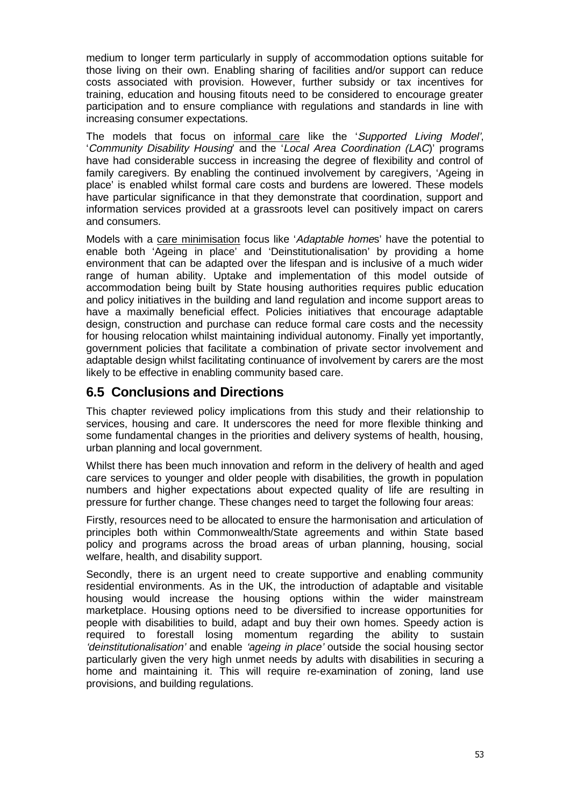medium to longer term particularly in supply of accommodation options suitable for those living on their own. Enabling sharing of facilities and/or support can reduce costs associated with provision. However, further subsidy or tax incentives for training, education and housing fitouts need to be considered to encourage greater participation and to ensure compliance with regulations and standards in line with increasing consumer expectations.

The models that focus on informal care like the 'Supported Living Model', 'Community Disability Housing' and the 'Local Area Coordination (LAC)' programs have had considerable success in increasing the degree of flexibility and control of family caregivers. By enabling the continued involvement by caregivers, 'Ageing in place' is enabled whilst formal care costs and burdens are lowered. These models have particular significance in that they demonstrate that coordination, support and information services provided at a grassroots level can positively impact on carers and consumers.

Models with a care minimisation focus like 'Adaptable homes' have the potential to enable both 'Ageing in place' and 'Deinstitutionalisation' by providing a home environment that can be adapted over the lifespan and is inclusive of a much wider range of human ability. Uptake and implementation of this model outside of accommodation being built by State housing authorities requires public education and policy initiatives in the building and land regulation and income support areas to have a maximally beneficial effect. Policies initiatives that encourage adaptable design, construction and purchase can reduce formal care costs and the necessity for housing relocation whilst maintaining individual autonomy. Finally yet importantly, government policies that facilitate a combination of private sector involvement and adaptable design whilst facilitating continuance of involvement by carers are the most likely to be effective in enabling community based care.

## **6.5 Conclusions and Directions**

This chapter reviewed policy implications from this study and their relationship to services, housing and care. It underscores the need for more flexible thinking and some fundamental changes in the priorities and delivery systems of health, housing, urban planning and local government.

Whilst there has been much innovation and reform in the delivery of health and aged care services to younger and older people with disabilities, the growth in population numbers and higher expectations about expected quality of life are resulting in pressure for further change. These changes need to target the following four areas:

Firstly, resources need to be allocated to ensure the harmonisation and articulation of principles both within Commonwealth/State agreements and within State based policy and programs across the broad areas of urban planning, housing, social welfare, health, and disability support.

Secondly, there is an urgent need to create supportive and enabling community residential environments. As in the UK, the introduction of adaptable and visitable housing would increase the housing options within the wider mainstream marketplace. Housing options need to be diversified to increase opportunities for people with disabilities to build, adapt and buy their own homes. Speedy action is required to forestall losing momentum regarding the ability to sustain 'deinstitutionalisation' and enable 'ageing in place' outside the social housing sector particularly given the very high unmet needs by adults with disabilities in securing a home and maintaining it. This will require re-examination of zoning, land use provisions, and building regulations.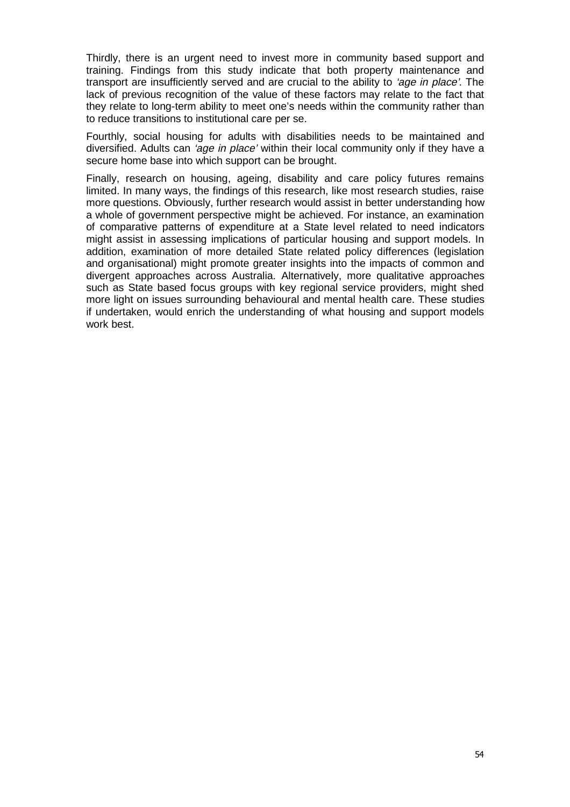Thirdly, there is an urgent need to invest more in community based support and training. Findings from this study indicate that both property maintenance and transport are insufficiently served and are crucial to the ability to 'age in place'. The lack of previous recognition of the value of these factors may relate to the fact that they relate to long-term ability to meet one's needs within the community rather than to reduce transitions to institutional care per se.

Fourthly, social housing for adults with disabilities needs to be maintained and diversified. Adults can 'age in place' within their local community only if they have a secure home base into which support can be brought.

Finally, research on housing, ageing, disability and care policy futures remains limited. In many ways, the findings of this research, like most research studies, raise more questions. Obviously, further research would assist in better understanding how a whole of government perspective might be achieved. For instance, an examination of comparative patterns of expenditure at a State level related to need indicators might assist in assessing implications of particular housing and support models. In addition, examination of more detailed State related policy differences (legislation and organisational) might promote greater insights into the impacts of common and divergent approaches across Australia. Alternatively, more qualitative approaches such as State based focus groups with key regional service providers, might shed more light on issues surrounding behavioural and mental health care. These studies if undertaken, would enrich the understanding of what housing and support models work best.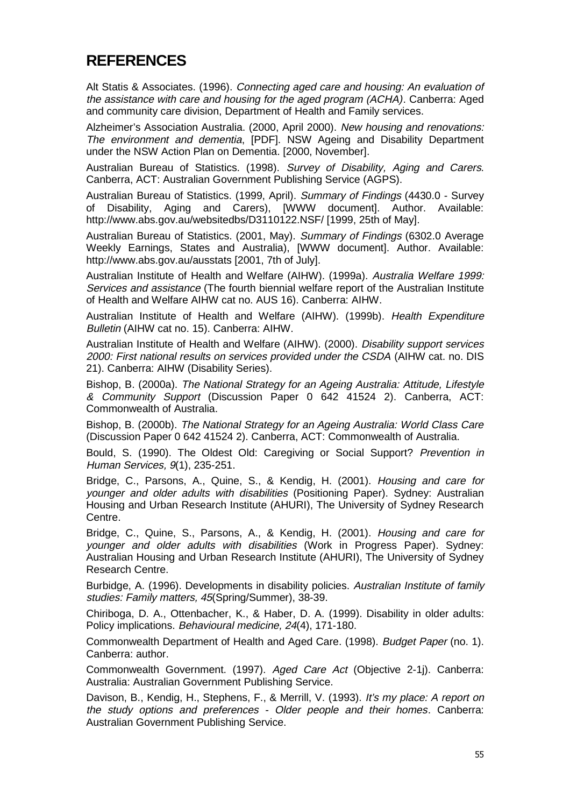# **REFERENCES**

Alt Statis & Associates. (1996). Connecting aged care and housing: An evaluation of the assistance with care and housing for the aged program (ACHA). Canberra: Aged and community care division, Department of Health and Family services.

Alzheimer's Association Australia. (2000, April 2000). New housing and renovations: The environment and dementia, [PDF]. NSW Ageing and Disability Department under the NSW Action Plan on Dementia. [2000, November].

Australian Bureau of Statistics. (1998). Survey of Disability, Aging and Carers. Canberra, ACT: Australian Government Publishing Service (AGPS).

Australian Bureau of Statistics. (1999, April). Summary of Findings (4430.0 - Survey of Disability, Aging and Carers), [WWW document]. Author. Available: http://www.abs.gov.au/websitedbs/D3110122.NSF/ [1999, 25th of May].

Australian Bureau of Statistics. (2001, May). Summary of Findings (6302.0 Average Weekly Earnings, States and Australia), [WWW document]. Author. Available: http://www.abs.gov.au/ausstats [2001, 7th of July].

Australian Institute of Health and Welfare (AIHW). (1999a). Australia Welfare 1999: Services and assistance (The fourth biennial welfare report of the Australian Institute of Health and Welfare AIHW cat no. AUS 16). Canberra: AIHW.

Australian Institute of Health and Welfare (AIHW). (1999b). Health Expenditure Bulletin (AIHW cat no. 15). Canberra: AIHW.

Australian Institute of Health and Welfare (AIHW). (2000). Disability support services 2000: First national results on services provided under the CSDA (AIHW cat. no. DIS 21). Canberra: AIHW (Disability Series).

Bishop, B. (2000a). The National Strategy for an Ageing Australia: Attitude, Lifestyle & Community Support (Discussion Paper 0 642 41524 2). Canberra, ACT: Commonwealth of Australia.

Bishop, B. (2000b). The National Strategy for an Ageing Australia: World Class Care (Discussion Paper 0 642 41524 2). Canberra, ACT: Commonwealth of Australia.

Bould, S. (1990). The Oldest Old: Caregiving or Social Support? Prevention in Human Services, 9(1), 235-251.

Bridge, C., Parsons, A., Quine, S., & Kendig, H. (2001). Housing and care for younger and older adults with disabilities (Positioning Paper). Sydney: Australian Housing and Urban Research Institute (AHURI), The University of Sydney Research Centre.

Bridge, C., Quine, S., Parsons, A., & Kendig, H. (2001). Housing and care for younger and older adults with disabilities (Work in Progress Paper). Sydney: Australian Housing and Urban Research Institute (AHURI), The University of Sydney Research Centre.

Burbidge, A. (1996). Developments in disability policies. Australian Institute of family studies: Family matters, 45(Spring/Summer), 38-39.

Chiriboga, D. A., Ottenbacher, K., & Haber, D. A. (1999). Disability in older adults: Policy implications. Behavioural medicine, 24(4), 171-180.

Commonwealth Department of Health and Aged Care. (1998). Budget Paper (no. 1). Canberra: author.

Commonwealth Government. (1997). Aged Care Act (Objective 2-1j). Canberra: Australia: Australian Government Publishing Service.

Davison, B., Kendig, H., Stephens, F., & Merrill, V. (1993). It's my place: A report on the study options and preferences - Older people and their homes. Canberra: Australian Government Publishing Service.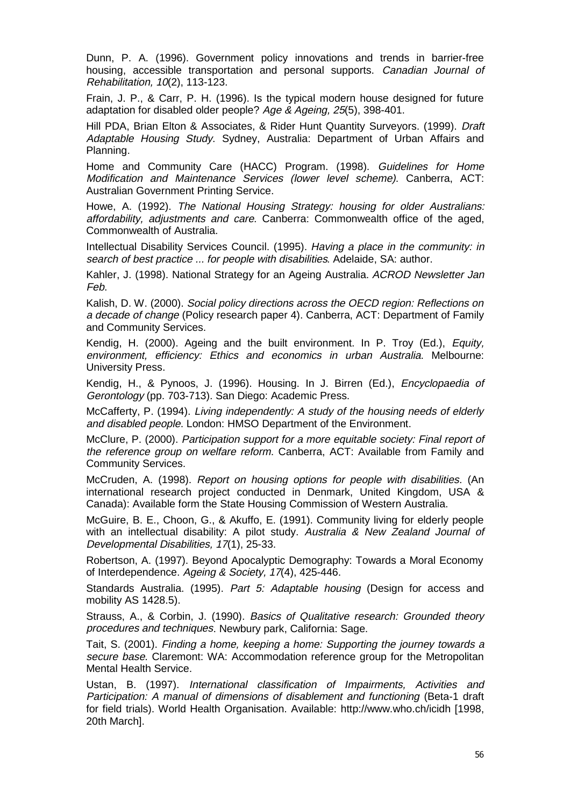Dunn, P. A. (1996). Government policy innovations and trends in barrier-free housing, accessible transportation and personal supports. Canadian Journal of Rehabilitation, 10(2), 113-123.

Frain, J. P., & Carr, P. H. (1996). Is the typical modern house designed for future adaptation for disabled older people? Age & Ageing, 25(5), 398-401.

Hill PDA, Brian Elton & Associates, & Rider Hunt Quantity Surveyors. (1999). Draft Adaptable Housing Study. Sydney, Australia: Department of Urban Affairs and Planning.

Home and Community Care (HACC) Program. (1998). Guidelines for Home Modification and Maintenance Services (lower level scheme). Canberra, ACT: Australian Government Printing Service.

Howe, A. (1992). The National Housing Strategy: housing for older Australians: affordability, adjustments and care. Canberra: Commonwealth office of the aged, Commonwealth of Australia.

Intellectual Disability Services Council. (1995). Having a place in the community: in search of best practice ... for people with disabilities. Adelaide, SA: author.

Kahler, J. (1998). National Strategy for an Ageing Australia. ACROD Newsletter Jan Feb.

Kalish, D. W. (2000). Social policy directions across the OECD region: Reflections on a decade of change (Policy research paper 4). Canberra, ACT: Department of Family and Community Services.

Kendig, H. (2000). Ageing and the built environment. In P. Troy (Ed.), Equity, environment, efficiency: Ethics and economics in urban Australia. Melbourne: University Press.

Kendig, H., & Pynoos, J. (1996). Housing. In J. Birren (Ed.), Encyclopaedia of Gerontology (pp. 703-713). San Diego: Academic Press.

McCafferty, P. (1994). Living independently: A study of the housing needs of elderly and disabled people. London: HMSO Department of the Environment.

McClure, P. (2000). Participation support for a more equitable society: Final report of the reference group on welfare reform. Canberra, ACT: Available from Family and Community Services.

McCruden, A. (1998). Report on housing options for people with disabilities. (An international research project conducted in Denmark, United Kingdom, USA & Canada): Available form the State Housing Commission of Western Australia.

McGuire, B. E., Choon, G., & Akuffo, E. (1991). Community living for elderly people with an intellectual disability: A pilot study. Australia & New Zealand Journal of Developmental Disabilities, 17(1), 25-33.

Robertson, A. (1997). Beyond Apocalyptic Demography: Towards a Moral Economy of Interdependence. Ageing & Society, 17(4), 425-446.

Standards Australia. (1995). Part 5: Adaptable housing (Design for access and mobility AS 1428.5).

Strauss, A., & Corbin, J. (1990). Basics of Qualitative research: Grounded theory procedures and techniques. Newbury park, California: Sage.

Tait, S. (2001). Finding a home, keeping a home: Supporting the journey towards a secure base. Claremont: WA: Accommodation reference group for the Metropolitan Mental Health Service.

Ustan, B. (1997). International classification of Impairments, Activities and Participation: A manual of dimensions of disablement and functioning (Beta-1 draft for field trials). World Health Organisation. Available: http://www.who.ch/icidh [1998, 20th March].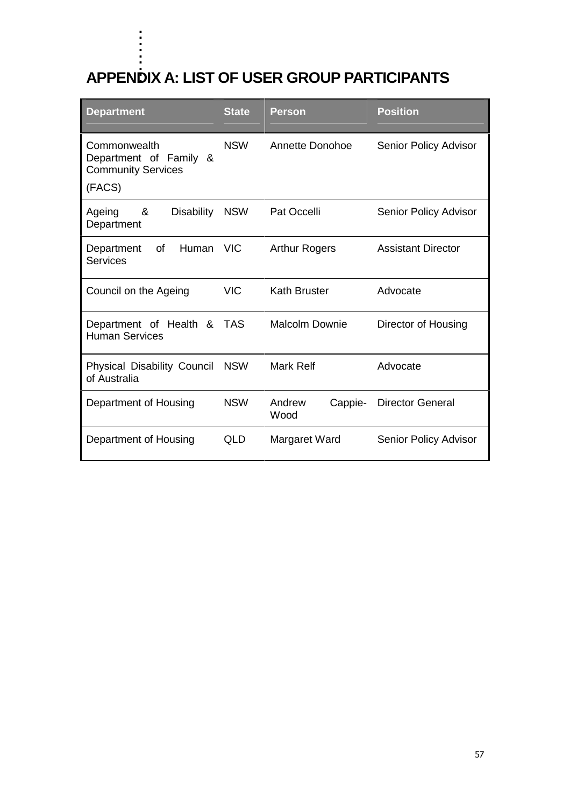. . . . .

| <b>APPENDIX A: LIST OF USER GROUP PARTICIPANTS</b>                            |              |                           |                           |  |  |
|-------------------------------------------------------------------------------|--------------|---------------------------|---------------------------|--|--|
| <b>Department</b>                                                             | <b>State</b> | <b>Person</b>             | <b>Position</b>           |  |  |
| Commonwealth<br>Department of Family &<br><b>Community Services</b><br>(FACS) | <b>NSW</b>   | Annette Donohoe           | Senior Policy Advisor     |  |  |
| &<br><b>Disability</b><br>Ageing<br>Department                                | <b>NSW</b>   | Pat Occelli               | Senior Policy Advisor     |  |  |
| <b>of</b><br>Human<br>Department<br><b>Services</b>                           | <b>VIC</b>   | <b>Arthur Rogers</b>      | <b>Assistant Director</b> |  |  |
| Council on the Ageing                                                         | <b>VIC</b>   | <b>Kath Bruster</b>       | Advocate                  |  |  |
| Department of Health &<br><b>Human Services</b>                               | <b>TAS</b>   | <b>Malcolm Downie</b>     | Director of Housing       |  |  |
| <b>Physical Disability Council</b><br>of Australia                            | <b>NSW</b>   | Mark Relf                 | Advocate                  |  |  |
| Department of Housing                                                         | <b>NSW</b>   | Andrew<br>Cappie-<br>Wood | <b>Director General</b>   |  |  |
| Department of Housing                                                         | QLD          | Margaret Ward             | Senior Policy Advisor     |  |  |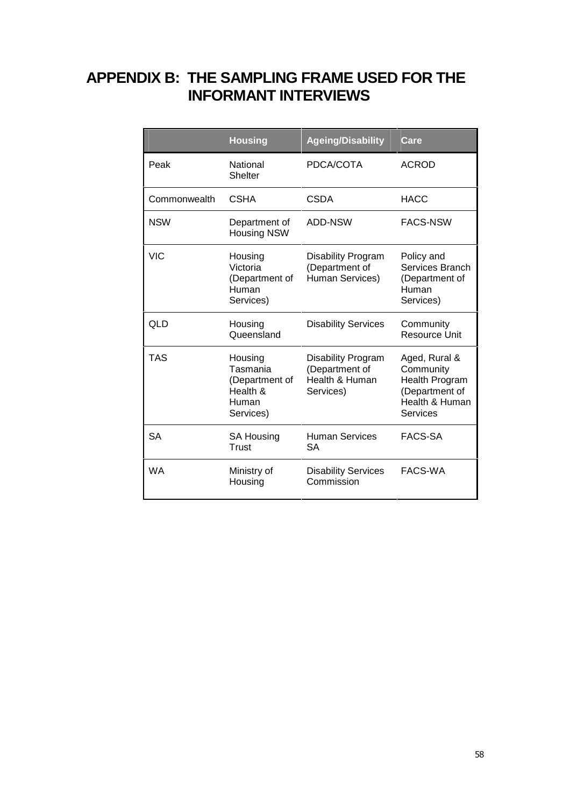# **APPENDIX B: THE SAMPLING FRAME USED FOR THE INFORMANT INTERVIEWS**

|              | <b>Housing</b>                                                          | <b>Ageing/Disability</b>                                                   | Care                                                                                                |
|--------------|-------------------------------------------------------------------------|----------------------------------------------------------------------------|-----------------------------------------------------------------------------------------------------|
| Peak         | National<br><b>Shelter</b>                                              | PDCA/COTA                                                                  | <b>ACROD</b>                                                                                        |
| Commonwealth | CSHA                                                                    | CSDA                                                                       | <b>HACC</b>                                                                                         |
| <b>NSW</b>   | Department of<br><b>Housing NSW</b>                                     | ADD-NSW                                                                    | <b>FACS-NSW</b>                                                                                     |
| <b>VIC</b>   | Housing<br>Victoria<br>(Department of<br>Human<br>Services)             | <b>Disability Program</b><br>(Department of<br>Human Services)             | Policy and<br>Services Branch<br>(Department of<br>Human<br>Services)                               |
| QLD          | Housing<br>Queensland                                                   | <b>Disability Services</b>                                                 | Community<br>Resource Unit                                                                          |
| <b>TAS</b>   | Housing<br>Tasmania<br>(Department of<br>Health &<br>Human<br>Services) | <b>Disability Program</b><br>(Department of<br>Health & Human<br>Services) | Aged, Rural &<br>Community<br><b>Health Program</b><br>(Department of<br>Health & Human<br>Services |
| <b>SA</b>    | <b>SA Housing</b><br>Trust                                              | <b>Human Services</b><br>SА                                                | <b>FACS-SA</b>                                                                                      |
| <b>WA</b>    | Ministry of<br>Housing                                                  | <b>Disability Services</b><br>Commission                                   | FACS-WA                                                                                             |